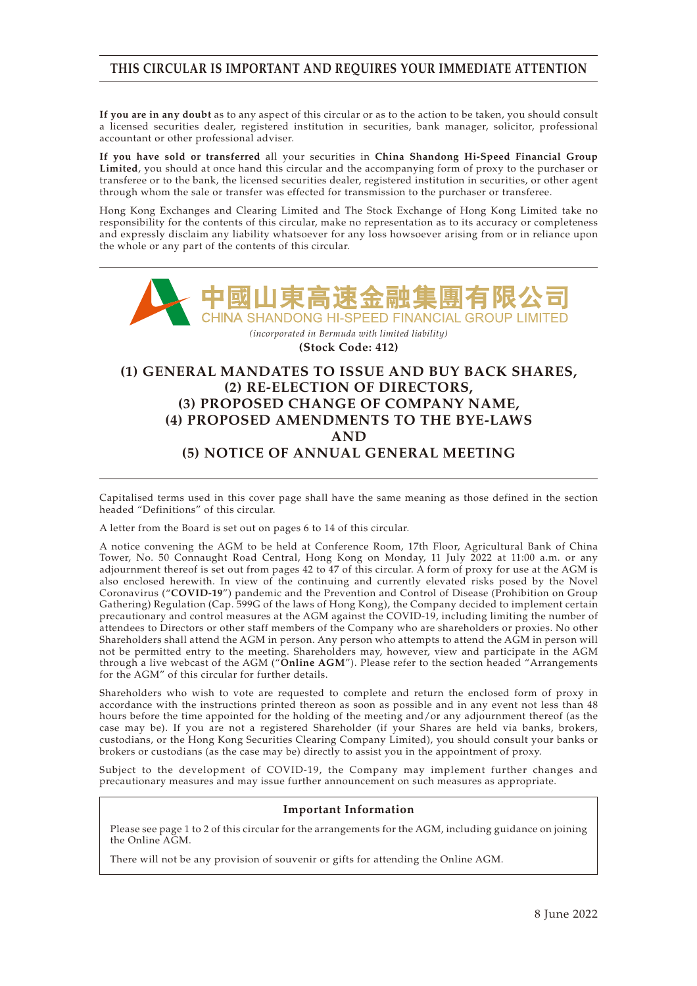## **THIS CIRCULAR IS IMPORTANT AND REQUIRES YOUR IMMEDIATE ATTENTION**

**If you are in any doubt** as to any aspect of this circular or as to the action to be taken, you should consult a licensed securities dealer, registered institution in securities, bank manager, solicitor, professional accountant or other professional adviser.

**If you have sold or transferred** all your securities in **China Shandong Hi-Speed Financial Group Limited**, you should at once hand this circular and the accompanying form of proxy to the purchaser or transferee or to the bank, the licensed securities dealer, registered institution in securities, or other agent through whom the sale or transfer was effected for transmission to the purchaser or transferee.

Hong Kong Exchanges and Clearing Limited and The Stock Exchange of Hong Kong Limited take no responsibility for the contents of this circular, make no representation as to its accuracy or completeness and expressly disclaim any liability whatsoever for any loss howsoever arising from or in reliance upon the whole or any part of the contents of this circular.



**(Stock Code: 412)**

## **(1) GENERAL MANDATES TO ISSUE AND BUY BACK SHARES, (2) RE-ELECTION OF DIRECTORS, (3) PROPOSED CHANGE OF COMPANY NAME, (4) PROPOSED AMENDMENTS TO THE BYE-LAWS AND (5) NOTICE OF ANNUAL GENERAL MEETING**

Capitalised terms used in this cover page shall have the same meaning as those defined in the section headed "Definitions" of this circular.

A letter from the Board is set out on pages 6 to 14 of this circular.

A notice convening the AGM to be held at Conference Room, 17th Floor, Agricultural Bank of China Tower, No. 50 Connaught Road Central, Hong Kong on Monday, 11 July 2022 at 11:00 a.m. or any adjournment thereof is set out from pages 42 to 47 of this circular. A form of proxy for use at the AGM is also enclosed herewith. In view of the continuing and currently elevated risks posed by the Novel Coronavirus ("**COVID-19**") pandemic and the Prevention and Control of Disease (Prohibition on Group Gathering) Regulation (Cap. 599G of the laws of Hong Kong), the Company decided to implement certain precautionary and control measures at the AGM against the COVID-19, including limiting the number of attendees to Directors or other staff members of the Company who are shareholders or proxies. No other Shareholders shall attend the AGM in person. Any person who attempts to attend the AGM in person will not be permitted entry to the meeting. Shareholders may, however, view and participate in the AGM through a live webcast of the AGM ("**Online AGM**"). Please refer to the section headed "Arrangements for the AGM" of this circular for further details.

Shareholders who wish to vote are requested to complete and return the enclosed form of proxy in accordance with the instructions printed thereon as soon as possible and in any event not less than 48 hours before the time appointed for the holding of the meeting and/or any adjournment thereof (as the case may be). If you are not a registered Shareholder (if your Shares are held via banks, brokers, custodians, or the Hong Kong Securities Clearing Company Limited), you should consult your banks or brokers or custodians (as the case may be) directly to assist you in the appointment of proxy.

Subject to the development of COVID-19, the Company may implement further changes and precautionary measures and may issue further announcement on such measures as appropriate.

### **Important Information**

Please see page 1 to 2 of this circular for the arrangements for the AGM, including guidance on joining the Online AGM.

There will not be any provision of souvenir or gifts for attending the Online AGM.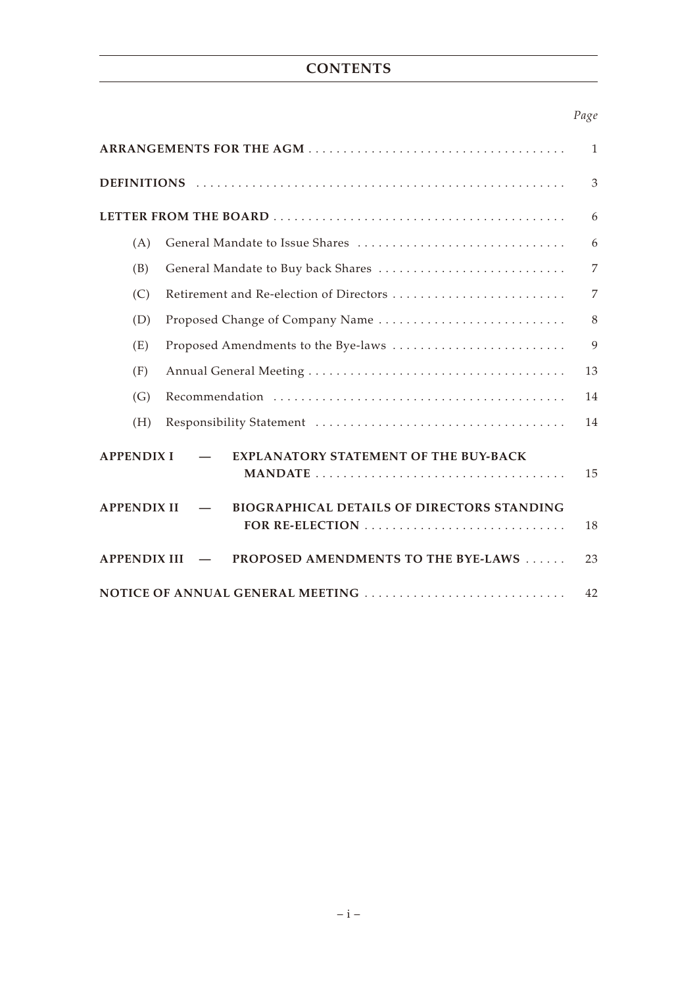# **CONTENTS**

## *Page*

| 1                                                                       |                |  |
|-------------------------------------------------------------------------|----------------|--|
|                                                                         | 3              |  |
|                                                                         | 6              |  |
| (A)                                                                     | 6              |  |
| (B)<br>General Mandate to Buy back Shares                               | $\overline{7}$ |  |
| Retirement and Re-election of Directors<br>(C)                          | 7              |  |
| Proposed Change of Company Name<br>(D)                                  | 8              |  |
| Proposed Amendments to the Bye-laws<br>(E)                              | 9              |  |
| (F)                                                                     | 13             |  |
| (G)                                                                     | 14             |  |
| (H)                                                                     | 14             |  |
| <b>EXPLANATORY STATEMENT OF THE BUY-BACK</b><br><b>APPENDIX I</b>       | 15             |  |
| <b>BIOGRAPHICAL DETAILS OF DIRECTORS STANDING</b><br><b>APPENDIX II</b> | 18             |  |
| <b>APPENDIX III</b><br>PROPOSED AMENDMENTS TO THE BYE-LAWS              | 23             |  |
| NOTICE OF ANNUAL GENERAL MEETING                                        | 42             |  |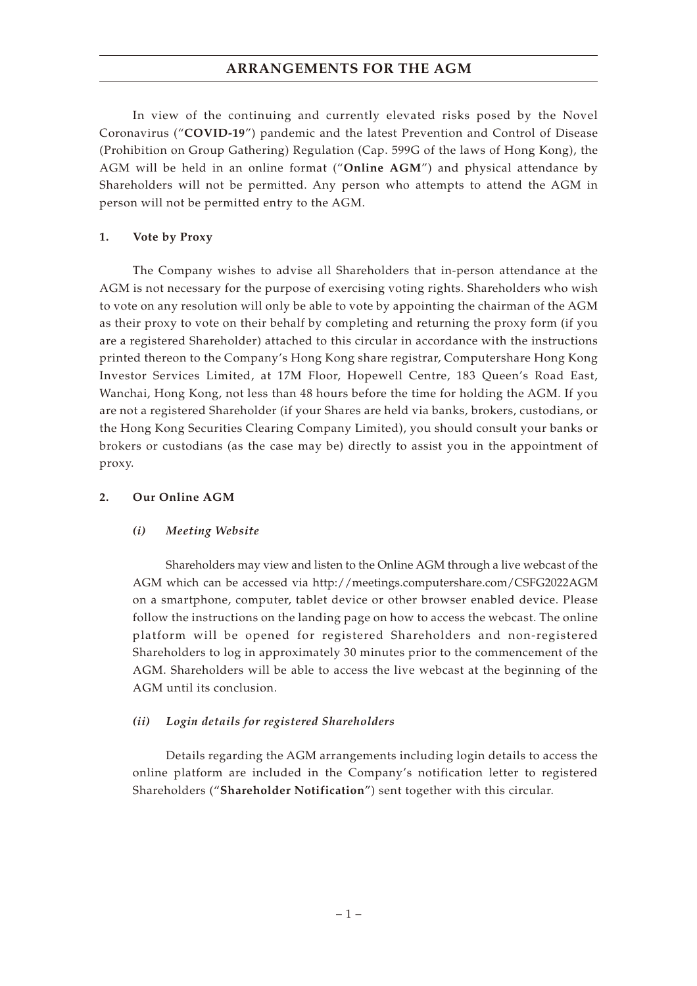## **ARRANGEMENTS FOR THE AGM**

In view of the continuing and currently elevated risks posed by the Novel Coronavirus ("**COVID-19**") pandemic and the latest Prevention and Control of Disease (Prohibition on Group Gathering) Regulation (Cap. 599G of the laws of Hong Kong), the AGM will be held in an online format ("**Online AGM**") and physical attendance by Shareholders will not be permitted. Any person who attempts to attend the AGM in person will not be permitted entry to the AGM.

## **1. Vote by Proxy**

The Company wishes to advise all Shareholders that in-person attendance at the AGM is not necessary for the purpose of exercising voting rights. Shareholders who wish to vote on any resolution will only be able to vote by appointing the chairman of the AGM as their proxy to vote on their behalf by completing and returning the proxy form (if you are a registered Shareholder) attached to this circular in accordance with the instructions printed thereon to the Company's Hong Kong share registrar, Computershare Hong Kong Investor Services Limited, at 17M Floor, Hopewell Centre, 183 Queen's Road East, Wanchai, Hong Kong, not less than 48 hours before the time for holding the AGM. If you are not a registered Shareholder (if your Shares are held via banks, brokers, custodians, or the Hong Kong Securities Clearing Company Limited), you should consult your banks or brokers or custodians (as the case may be) directly to assist you in the appointment of proxy.

### **2. Our Online AGM**

## *(i) Meeting Website*

Shareholders may view and listen to the Online AGM through a live webcast of the AGM which can be accessed via http://meetings.computershare.com/CSFG2022AGM on a smartphone, computer, tablet device or other browser enabled device. Please follow the instructions on the landing page on how to access the webcast. The online platform will be opened for registered Shareholders and non-registered Shareholders to log in approximately 30 minutes prior to the commencement of the AGM. Shareholders will be able to access the live webcast at the beginning of the AGM until its conclusion.

## *(ii) Login details for registered Shareholders*

Details regarding the AGM arrangements including login details to access the online platform are included in the Company's notification letter to registered Shareholders ("**Shareholder Notification**") sent together with this circular.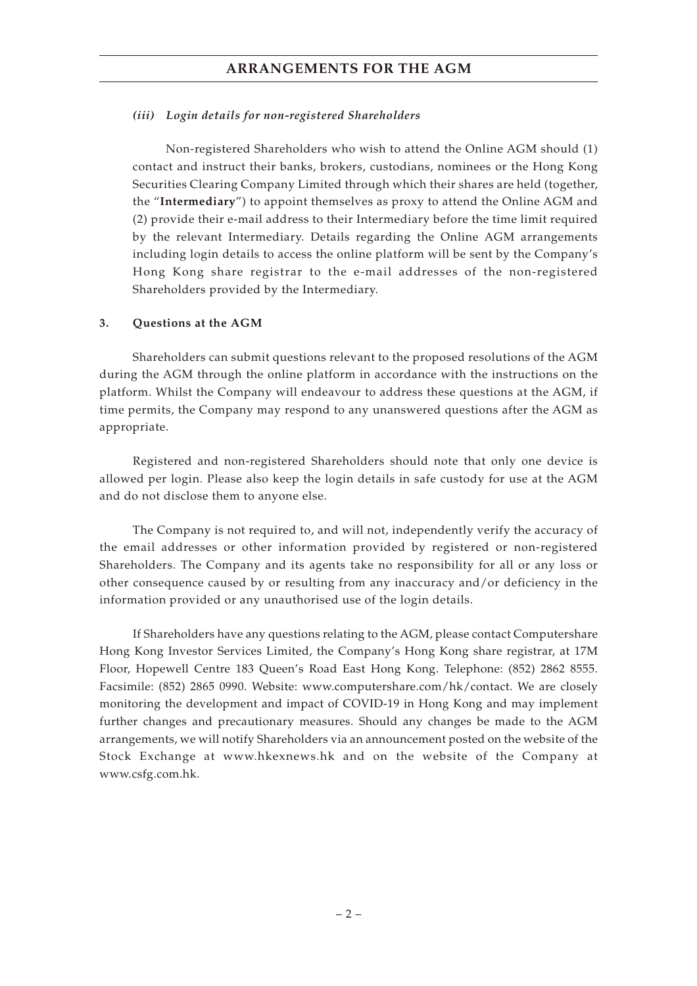## **ARRANGEMENTS FOR THE AGM**

### *(iii) Login details for non-registered Shareholders*

Non-registered Shareholders who wish to attend the Online AGM should (1) contact and instruct their banks, brokers, custodians, nominees or the Hong Kong Securities Clearing Company Limited through which their shares are held (together, the "**Intermediary**") to appoint themselves as proxy to attend the Online AGM and (2) provide their e-mail address to their Intermediary before the time limit required by the relevant Intermediary. Details regarding the Online AGM arrangements including login details to access the online platform will be sent by the Company's Hong Kong share registrar to the e-mail addresses of the non-registered Shareholders provided by the Intermediary.

## **3. Questions at the AGM**

Shareholders can submit questions relevant to the proposed resolutions of the AGM during the AGM through the online platform in accordance with the instructions on the platform. Whilst the Company will endeavour to address these questions at the AGM, if time permits, the Company may respond to any unanswered questions after the AGM as appropriate.

Registered and non-registered Shareholders should note that only one device is allowed per login. Please also keep the login details in safe custody for use at the AGM and do not disclose them to anyone else.

The Company is not required to, and will not, independently verify the accuracy of the email addresses or other information provided by registered or non-registered Shareholders. The Company and its agents take no responsibility for all or any loss or other consequence caused by or resulting from any inaccuracy and/or deficiency in the information provided or any unauthorised use of the login details.

If Shareholders have any questions relating to the AGM, please contact Computershare Hong Kong Investor Services Limited, the Company's Hong Kong share registrar, at 17M Floor, Hopewell Centre 183 Queen's Road East Hong Kong. Telephone: (852) 2862 8555. Facsimile: (852) 2865 0990. Website: www.computershare.com/hk/contact. We are closely monitoring the development and impact of COVID-19 in Hong Kong and may implement further changes and precautionary measures. Should any changes be made to the AGM arrangements, we will notify Shareholders via an announcement posted on the website of the Stock Exchange at www.hkexnews.hk and on the website of the Company at www.csfg.com.hk.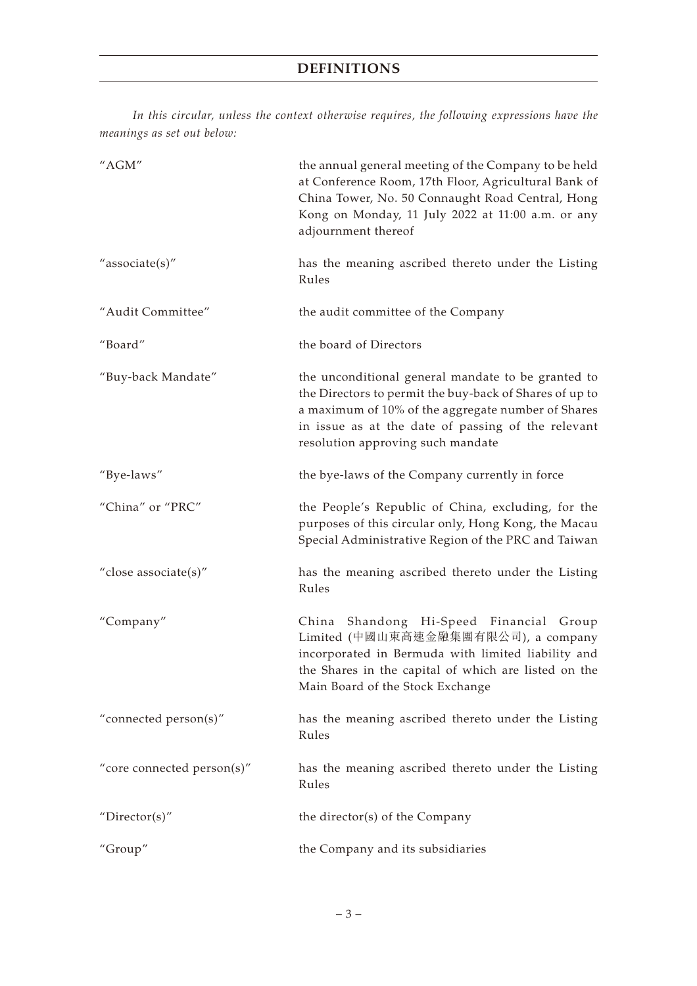*In this circular, unless the context otherwise requires, the following expressions have the meanings as set out below:*

| $^{\prime\prime}{\rm AGM}^{\prime\prime}$ | the annual general meeting of the Company to be held<br>at Conference Room, 17th Floor, Agricultural Bank of<br>China Tower, No. 50 Connaught Road Central, Hong<br>Kong on Monday, 11 July 2022 at 11:00 a.m. or any<br>adjournment thereof                   |
|-------------------------------------------|----------------------------------------------------------------------------------------------------------------------------------------------------------------------------------------------------------------------------------------------------------------|
| "associate(s)"                            | has the meaning ascribed thereto under the Listing<br>Rules                                                                                                                                                                                                    |
| "Audit Committee"                         | the audit committee of the Company                                                                                                                                                                                                                             |
| "Board"                                   | the board of Directors                                                                                                                                                                                                                                         |
| "Buy-back Mandate"                        | the unconditional general mandate to be granted to<br>the Directors to permit the buy-back of Shares of up to<br>a maximum of 10% of the aggregate number of Shares<br>in issue as at the date of passing of the relevant<br>resolution approving such mandate |
| "Bye-laws"                                | the bye-laws of the Company currently in force                                                                                                                                                                                                                 |
| "China" or "PRC"                          | the People's Republic of China, excluding, for the<br>purposes of this circular only, Hong Kong, the Macau<br>Special Administrative Region of the PRC and Taiwan                                                                                              |
| "close associate(s)"                      | has the meaning ascribed thereto under the Listing<br>Rules                                                                                                                                                                                                    |
| "Company"                                 | Shandong Hi-Speed Financial Group<br>China<br>Limited (中國山東高速金融集團有限公司), a company<br>incorporated in Bermuda with limited liability and<br>the Shares in the capital of which are listed on the<br>Main Board of the Stock Exchange                            |
| "connected person(s)"                     | has the meaning ascribed thereto under the Listing<br>Rules                                                                                                                                                                                                    |
| "core connected person(s)"                | has the meaning ascribed thereto under the Listing<br>Rules                                                                                                                                                                                                    |
| "Director(s)"                             | the director(s) of the Company                                                                                                                                                                                                                                 |
| "Group"                                   | the Company and its subsidiaries                                                                                                                                                                                                                               |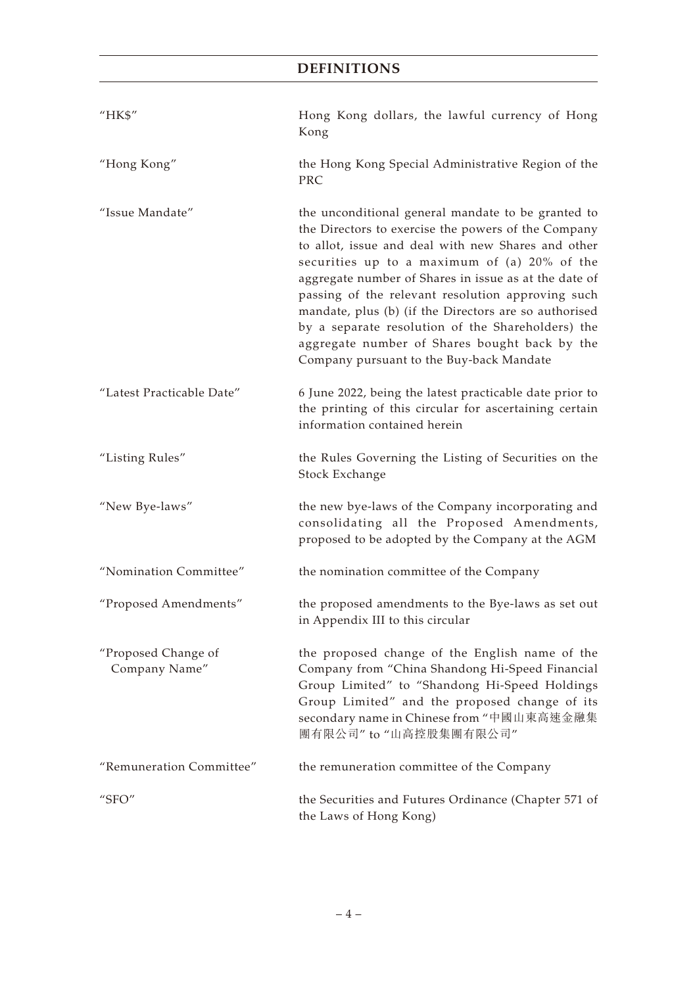# **DEFINITIONS**

| "HK\$"                               | Hong Kong dollars, the lawful currency of Hong<br>Kong                                                                                                                                                                                                                                                                                                                                                                                                                                                                                   |
|--------------------------------------|------------------------------------------------------------------------------------------------------------------------------------------------------------------------------------------------------------------------------------------------------------------------------------------------------------------------------------------------------------------------------------------------------------------------------------------------------------------------------------------------------------------------------------------|
| "Hong Kong"                          | the Hong Kong Special Administrative Region of the<br>PRC                                                                                                                                                                                                                                                                                                                                                                                                                                                                                |
| "Issue Mandate"                      | the unconditional general mandate to be granted to<br>the Directors to exercise the powers of the Company<br>to allot, issue and deal with new Shares and other<br>securities up to a maximum of (a) 20% of the<br>aggregate number of Shares in issue as at the date of<br>passing of the relevant resolution approving such<br>mandate, plus (b) (if the Directors are so authorised<br>by a separate resolution of the Shareholders) the<br>aggregate number of Shares bought back by the<br>Company pursuant to the Buy-back Mandate |
| "Latest Practicable Date"            | 6 June 2022, being the latest practicable date prior to<br>the printing of this circular for ascertaining certain<br>information contained herein                                                                                                                                                                                                                                                                                                                                                                                        |
| "Listing Rules"                      | the Rules Governing the Listing of Securities on the<br>Stock Exchange                                                                                                                                                                                                                                                                                                                                                                                                                                                                   |
| "New Bye-laws"                       | the new bye-laws of the Company incorporating and<br>consolidating all the Proposed Amendments,<br>proposed to be adopted by the Company at the AGM                                                                                                                                                                                                                                                                                                                                                                                      |
| "Nomination Committee"               | the nomination committee of the Company                                                                                                                                                                                                                                                                                                                                                                                                                                                                                                  |
| "Proposed Amendments"                | the proposed amendments to the Bye-laws as set out<br>in Appendix III to this circular                                                                                                                                                                                                                                                                                                                                                                                                                                                   |
| "Proposed Change of<br>Company Name" | the proposed change of the English name of the<br>Company from "China Shandong Hi-Speed Financial<br>Group Limited" to "Shandong Hi-Speed Holdings<br>Group Limited" and the proposed change of its<br>secondary name in Chinese from "中國山東高速金融集<br>團有限公司" to "山高控股集團有限公司"                                                                                                                                                                                                                                                               |
| "Remuneration Committee"             | the remuneration committee of the Company                                                                                                                                                                                                                                                                                                                                                                                                                                                                                                |
| "SFO"                                | the Securities and Futures Ordinance (Chapter 571 of<br>the Laws of Hong Kong)                                                                                                                                                                                                                                                                                                                                                                                                                                                           |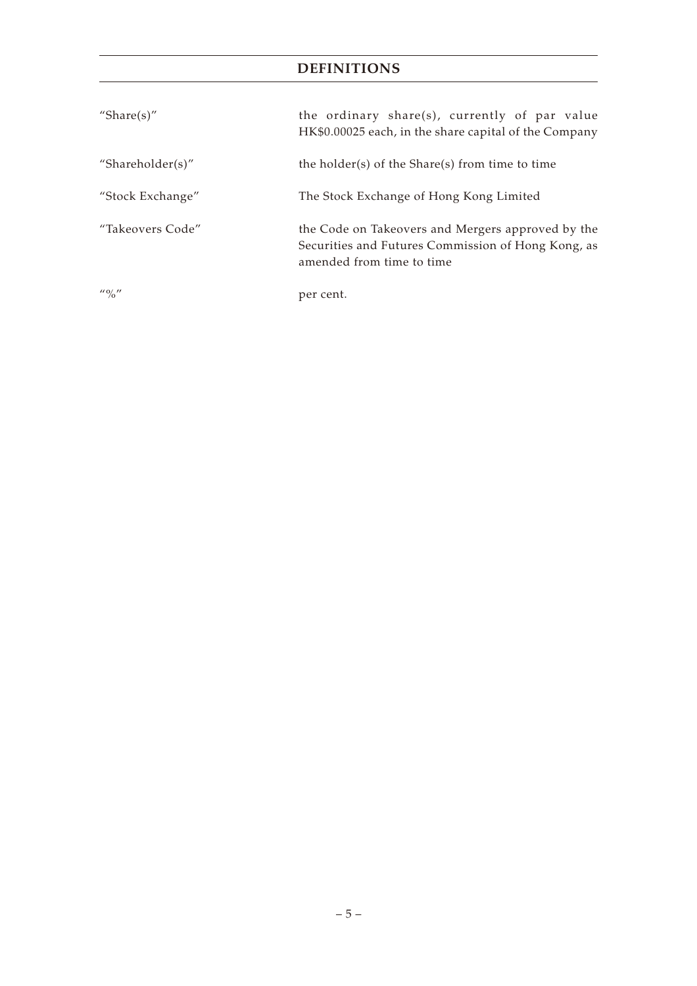# **DEFINITIONS**

| "Share $(s)$ "                                                                                                                                                                                                                                                                                                      | the ordinary share(s), currently of par value<br>HK\$0.00025 each, in the share capital of the Company                               |  |
|---------------------------------------------------------------------------------------------------------------------------------------------------------------------------------------------------------------------------------------------------------------------------------------------------------------------|--------------------------------------------------------------------------------------------------------------------------------------|--|
| "Shareholder(s)"                                                                                                                                                                                                                                                                                                    | the holder(s) of the Share(s) from time to time                                                                                      |  |
| "Stock Exchange"                                                                                                                                                                                                                                                                                                    | The Stock Exchange of Hong Kong Limited                                                                                              |  |
| "Takeovers Code"                                                                                                                                                                                                                                                                                                    | the Code on Takeovers and Mergers approved by the<br>Securities and Futures Commission of Hong Kong, as<br>amended from time to time |  |
| $\frac{1}{2}$ $\frac{1}{2}$ $\frac{1}{2}$ $\frac{1}{2}$ $\frac{1}{2}$ $\frac{1}{2}$ $\frac{1}{2}$ $\frac{1}{2}$ $\frac{1}{2}$ $\frac{1}{2}$ $\frac{1}{2}$ $\frac{1}{2}$ $\frac{1}{2}$ $\frac{1}{2}$ $\frac{1}{2}$ $\frac{1}{2}$ $\frac{1}{2}$ $\frac{1}{2}$ $\frac{1}{2}$ $\frac{1}{2}$ $\frac{1}{2}$ $\frac{1}{2}$ | per cent.                                                                                                                            |  |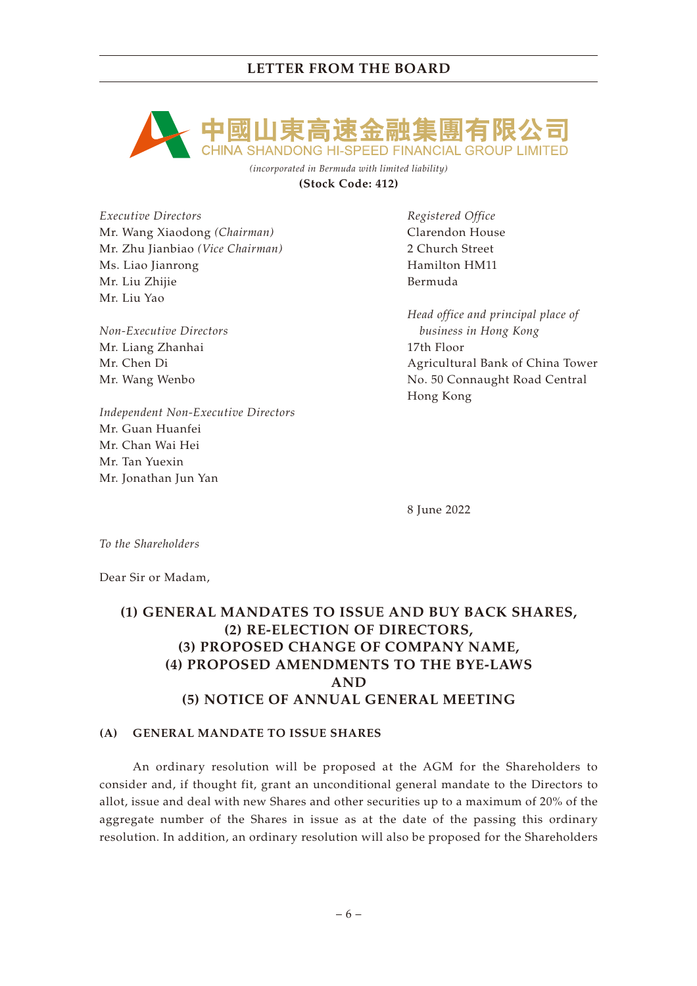

*(incorporated in Bermuda with limited liability)* **(Stock Code: 412)**

*Executive Directors* Mr. Wang Xiaodong *(Chairman)* Mr. Zhu Jianbiao *(Vice Chairman)* Ms. Liao Jianrong Mr. Liu Zhijie Mr. Liu Yao

*Non-Executive Directors* Mr. Liang Zhanhai Mr. Chen Di Mr. Wang Wenbo

*Independent Non-Executive Directors* Mr. Guan Huanfei Mr. Chan Wai Hei Mr. Tan Yuexin Mr. Jonathan Jun Yan

*Registered Office* Clarendon House 2 Church Street Hamilton HM11 Bermuda

*Head office and principal place of business in Hong Kong* 17th Floor Agricultural Bank of China Tower No. 50 Connaught Road Central Hong Kong

8 June 2022

*To the Shareholders*

Dear Sir or Madam,

# **(1) GENERAL MANDATES TO ISSUE AND BUY BACK SHARES, (2) RE-ELECTION OF DIRECTORS, (3) PROPOSED CHANGE OF COMPANY NAME, (4) PROPOSED AMENDMENTS TO THE BYE-LAWS AND (5) NOTICE OF ANNUAL GENERAL MEETING**

## **(A) GENERAL MANDATE TO ISSUE SHARES**

An ordinary resolution will be proposed at the AGM for the Shareholders to consider and, if thought fit, grant an unconditional general mandate to the Directors to allot, issue and deal with new Shares and other securities up to a maximum of 20% of the aggregate number of the Shares in issue as at the date of the passing this ordinary resolution. In addition, an ordinary resolution will also be proposed for the Shareholders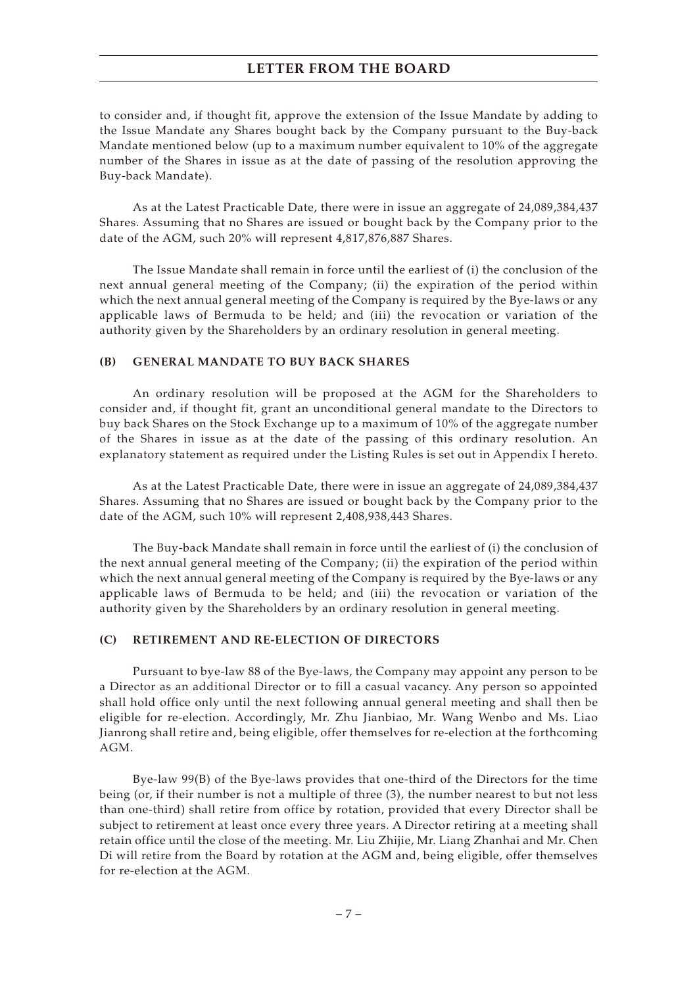to consider and, if thought fit, approve the extension of the Issue Mandate by adding to the Issue Mandate any Shares bought back by the Company pursuant to the Buy-back Mandate mentioned below (up to a maximum number equivalent to 10% of the aggregate number of the Shares in issue as at the date of passing of the resolution approving the Buy-back Mandate).

As at the Latest Practicable Date, there were in issue an aggregate of 24,089,384,437 Shares. Assuming that no Shares are issued or bought back by the Company prior to the date of the AGM, such 20% will represent 4,817,876,887 Shares.

The Issue Mandate shall remain in force until the earliest of (i) the conclusion of the next annual general meeting of the Company; (ii) the expiration of the period within which the next annual general meeting of the Company is required by the Bye-laws or any applicable laws of Bermuda to be held; and (iii) the revocation or variation of the authority given by the Shareholders by an ordinary resolution in general meeting.

### **(B) GENERAL MANDATE TO BUY BACK SHARES**

An ordinary resolution will be proposed at the AGM for the Shareholders to consider and, if thought fit, grant an unconditional general mandate to the Directors to buy back Shares on the Stock Exchange up to a maximum of 10% of the aggregate number of the Shares in issue as at the date of the passing of this ordinary resolution. An explanatory statement as required under the Listing Rules is set out in Appendix I hereto.

As at the Latest Practicable Date, there were in issue an aggregate of 24,089,384,437 Shares. Assuming that no Shares are issued or bought back by the Company prior to the date of the AGM, such 10% will represent 2,408,938,443 Shares.

The Buy-back Mandate shall remain in force until the earliest of (i) the conclusion of the next annual general meeting of the Company; (ii) the expiration of the period within which the next annual general meeting of the Company is required by the Bye-laws or any applicable laws of Bermuda to be held; and (iii) the revocation or variation of the authority given by the Shareholders by an ordinary resolution in general meeting.

### **(C) RETIREMENT AND RE-ELECTION OF DIRECTORS**

Pursuant to bye-law 88 of the Bye-laws, the Company may appoint any person to be a Director as an additional Director or to fill a casual vacancy. Any person so appointed shall hold office only until the next following annual general meeting and shall then be eligible for re-election. Accordingly, Mr. Zhu Jianbiao, Mr. Wang Wenbo and Ms. Liao Jianrong shall retire and, being eligible, offer themselves for re-election at the forthcoming AGM.

Bye-law 99(B) of the Bye-laws provides that one-third of the Directors for the time being (or, if their number is not a multiple of three (3), the number nearest to but not less than one-third) shall retire from office by rotation, provided that every Director shall be subject to retirement at least once every three years. A Director retiring at a meeting shall retain office until the close of the meeting. Mr. Liu Zhijie, Mr. Liang Zhanhai and Mr. Chen Di will retire from the Board by rotation at the AGM and, being eligible, offer themselves for re-election at the AGM.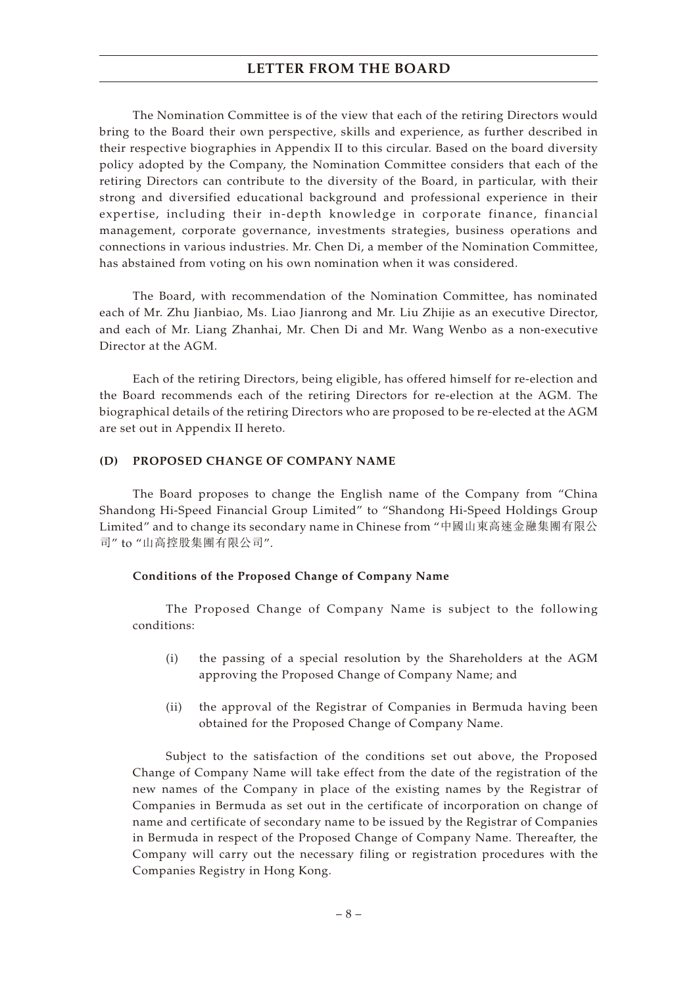The Nomination Committee is of the view that each of the retiring Directors would bring to the Board their own perspective, skills and experience, as further described in their respective biographies in Appendix II to this circular. Based on the board diversity policy adopted by the Company, the Nomination Committee considers that each of the retiring Directors can contribute to the diversity of the Board, in particular, with their strong and diversified educational background and professional experience in their expertise, including their in-depth knowledge in corporate finance, financial management, corporate governance, investments strategies, business operations and connections in various industries. Mr. Chen Di, a member of the Nomination Committee, has abstained from voting on his own nomination when it was considered.

The Board, with recommendation of the Nomination Committee, has nominated each of Mr. Zhu Jianbiao, Ms. Liao Jianrong and Mr. Liu Zhijie as an executive Director, and each of Mr. Liang Zhanhai, Mr. Chen Di and Mr. Wang Wenbo as a non-executive Director at the AGM.

Each of the retiring Directors, being eligible, has offered himself for re-election and the Board recommends each of the retiring Directors for re-election at the AGM. The biographical details of the retiring Directors who are proposed to be re-elected at the AGM are set out in Appendix II hereto.

### **(D) PROPOSED CHANGE OF COMPANY NAME**

The Board proposes to change the English name of the Company from "China Shandong Hi-Speed Financial Group Limited" to "Shandong Hi-Speed Holdings Group Limited" and to change its secondary name in Chinese from "中國山東高速金融集團有限公 司" to "山高控股集團有限公司".

### **Conditions of the Proposed Change of Company Name**

The Proposed Change of Company Name is subject to the following conditions:

- (i) the passing of a special resolution by the Shareholders at the AGM approving the Proposed Change of Company Name; and
- (ii) the approval of the Registrar of Companies in Bermuda having been obtained for the Proposed Change of Company Name.

Subject to the satisfaction of the conditions set out above, the Proposed Change of Company Name will take effect from the date of the registration of the new names of the Company in place of the existing names by the Registrar of Companies in Bermuda as set out in the certificate of incorporation on change of name and certificate of secondary name to be issued by the Registrar of Companies in Bermuda in respect of the Proposed Change of Company Name. Thereafter, the Company will carry out the necessary filing or registration procedures with the Companies Registry in Hong Kong.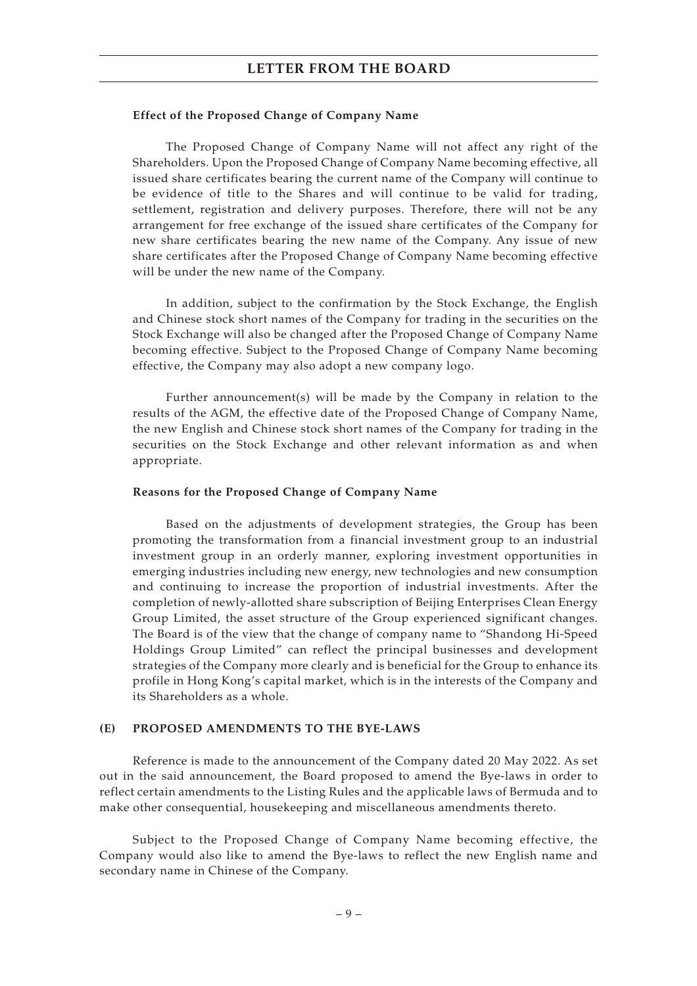### **Effect of the Proposed Change of Company Name**

The Proposed Change of Company Name will not affect any right of the Shareholders. Upon the Proposed Change of Company Name becoming effective, all issued share certificates bearing the current name of the Company will continue to be evidence of title to the Shares and will continue to be valid for trading, settlement, registration and delivery purposes. Therefore, there will not be any arrangement for free exchange of the issued share certificates of the Company for new share certificates bearing the new name of the Company. Any issue of new share certificates after the Proposed Change of Company Name becoming effective will be under the new name of the Company.

In addition, subject to the confirmation by the Stock Exchange, the English and Chinese stock short names of the Company for trading in the securities on the Stock Exchange will also be changed after the Proposed Change of Company Name becoming effective. Subject to the Proposed Change of Company Name becoming effective, the Company may also adopt a new company logo.

Further announcement(s) will be made by the Company in relation to the results of the AGM, the effective date of the Proposed Change of Company Name, the new English and Chinese stock short names of the Company for trading in the securities on the Stock Exchange and other relevant information as and when appropriate.

### **Reasons for the Proposed Change of Company Name**

Based on the adjustments of development strategies, the Group has been promoting the transformation from a financial investment group to an industrial investment group in an orderly manner, exploring investment opportunities in emerging industries including new energy, new technologies and new consumption and continuing to increase the proportion of industrial investments. After the completion of newly-allotted share subscription of Beijing Enterprises Clean Energy Group Limited, the asset structure of the Group experienced significant changes. The Board is of the view that the change of company name to "Shandong Hi-Speed Holdings Group Limited" can reflect the principal businesses and development strategies of the Company more clearly and is beneficial for the Group to enhance its profile in Hong Kong's capital market, which is in the interests of the Company and its Shareholders as a whole.

### **(E) PROPOSED AMENDMENTS TO THE BYE-LAWS**

Reference is made to the announcement of the Company dated 20 May 2022. As set out in the said announcement, the Board proposed to amend the Bye-laws in order to reflect certain amendments to the Listing Rules and the applicable laws of Bermuda and to make other consequential, housekeeping and miscellaneous amendments thereto.

Subject to the Proposed Change of Company Name becoming effective, the Company would also like to amend the Bye-laws to reflect the new English name and secondary name in Chinese of the Company.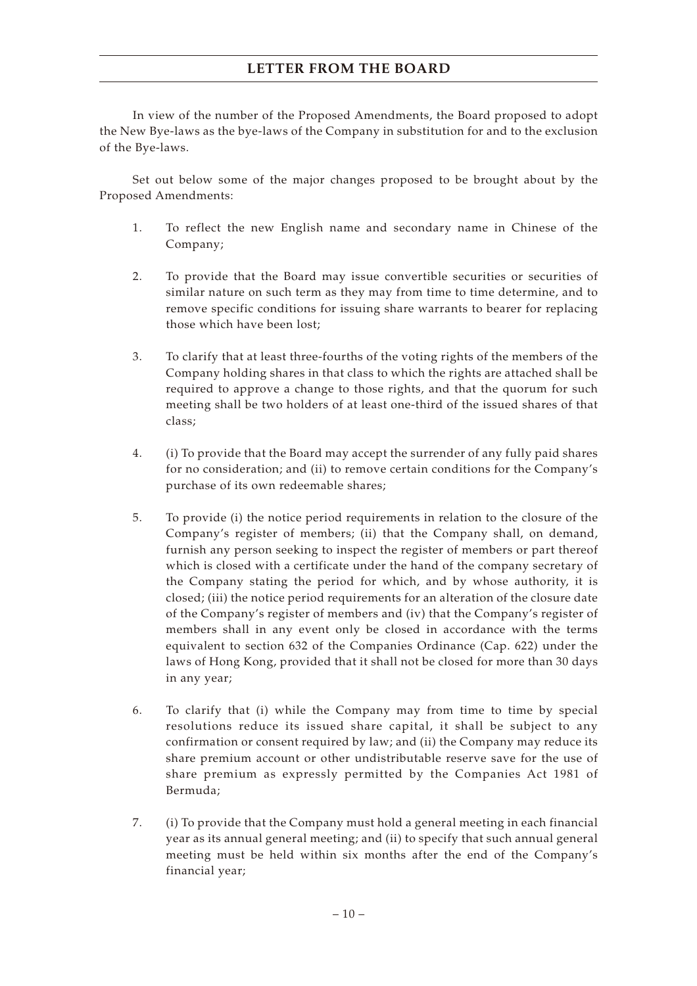In view of the number of the Proposed Amendments, the Board proposed to adopt the New Bye-laws as the bye-laws of the Company in substitution for and to the exclusion of the Bye-laws.

Set out below some of the major changes proposed to be brought about by the Proposed Amendments:

- 1. To reflect the new English name and secondary name in Chinese of the Company;
- 2. To provide that the Board may issue convertible securities or securities of similar nature on such term as they may from time to time determine, and to remove specific conditions for issuing share warrants to bearer for replacing those which have been lost;
- 3. To clarify that at least three-fourths of the voting rights of the members of the Company holding shares in that class to which the rights are attached shall be required to approve a change to those rights, and that the quorum for such meeting shall be two holders of at least one-third of the issued shares of that class;
- 4. (i) To provide that the Board may accept the surrender of any fully paid shares for no consideration; and (ii) to remove certain conditions for the Company's purchase of its own redeemable shares;
- 5. To provide (i) the notice period requirements in relation to the closure of the Company's register of members; (ii) that the Company shall, on demand, furnish any person seeking to inspect the register of members or part thereof which is closed with a certificate under the hand of the company secretary of the Company stating the period for which, and by whose authority, it is closed; (iii) the notice period requirements for an alteration of the closure date of the Company's register of members and (iv) that the Company's register of members shall in any event only be closed in accordance with the terms equivalent to section 632 of the Companies Ordinance (Cap. 622) under the laws of Hong Kong, provided that it shall not be closed for more than 30 days in any year;
- 6. To clarify that (i) while the Company may from time to time by special resolutions reduce its issued share capital, it shall be subject to any confirmation or consent required by law; and (ii) the Company may reduce its share premium account or other undistributable reserve save for the use of share premium as expressly permitted by the Companies Act 1981 of Bermuda;
- 7. (i) To provide that the Company must hold a general meeting in each financial year as its annual general meeting; and (ii) to specify that such annual general meeting must be held within six months after the end of the Company's financial year;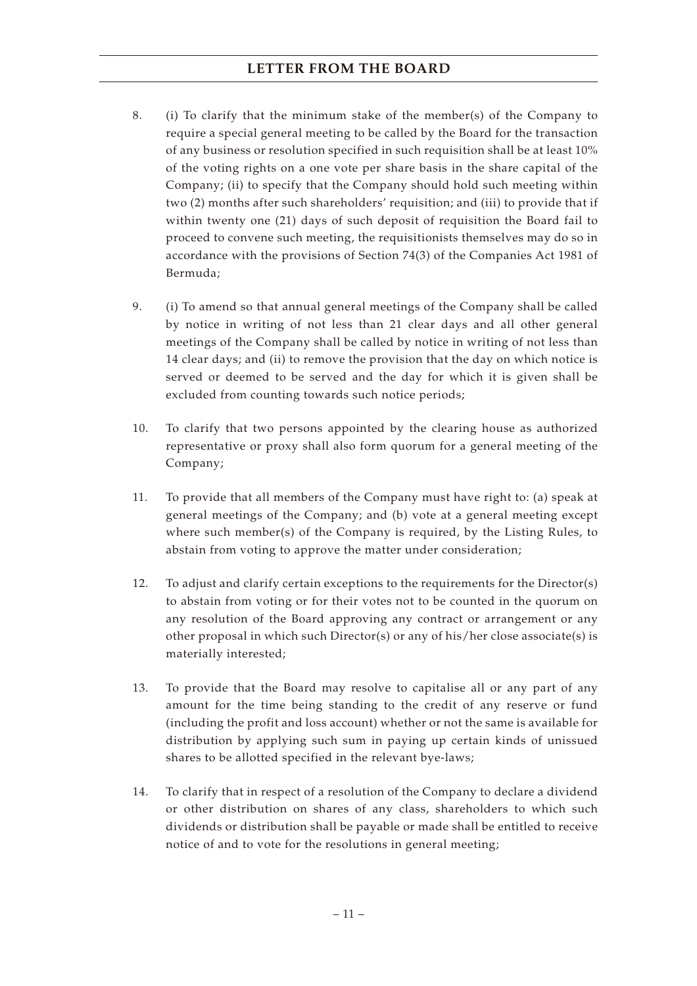- 8. (i) To clarify that the minimum stake of the member(s) of the Company to require a special general meeting to be called by the Board for the transaction of any business or resolution specified in such requisition shall be at least 10% of the voting rights on a one vote per share basis in the share capital of the Company; (ii) to specify that the Company should hold such meeting within two (2) months after such shareholders' requisition; and (iii) to provide that if within twenty one (21) days of such deposit of requisition the Board fail to proceed to convene such meeting, the requisitionists themselves may do so in accordance with the provisions of Section 74(3) of the Companies Act 1981 of Bermuda;
- 9. (i) To amend so that annual general meetings of the Company shall be called by notice in writing of not less than 21 clear days and all other general meetings of the Company shall be called by notice in writing of not less than 14 clear days; and (ii) to remove the provision that the day on which notice is served or deemed to be served and the day for which it is given shall be excluded from counting towards such notice periods;
- 10. To clarify that two persons appointed by the clearing house as authorized representative or proxy shall also form quorum for a general meeting of the Company;
- 11. To provide that all members of the Company must have right to: (a) speak at general meetings of the Company; and (b) vote at a general meeting except where such member(s) of the Company is required, by the Listing Rules, to abstain from voting to approve the matter under consideration;
- 12. To adjust and clarify certain exceptions to the requirements for the Director(s) to abstain from voting or for their votes not to be counted in the quorum on any resolution of the Board approving any contract or arrangement or any other proposal in which such Director(s) or any of his/her close associate(s) is materially interested;
- 13. To provide that the Board may resolve to capitalise all or any part of any amount for the time being standing to the credit of any reserve or fund (including the profit and loss account) whether or not the same is available for distribution by applying such sum in paying up certain kinds of unissued shares to be allotted specified in the relevant bye-laws;
- 14. To clarify that in respect of a resolution of the Company to declare a dividend or other distribution on shares of any class, shareholders to which such dividends or distribution shall be payable or made shall be entitled to receive notice of and to vote for the resolutions in general meeting;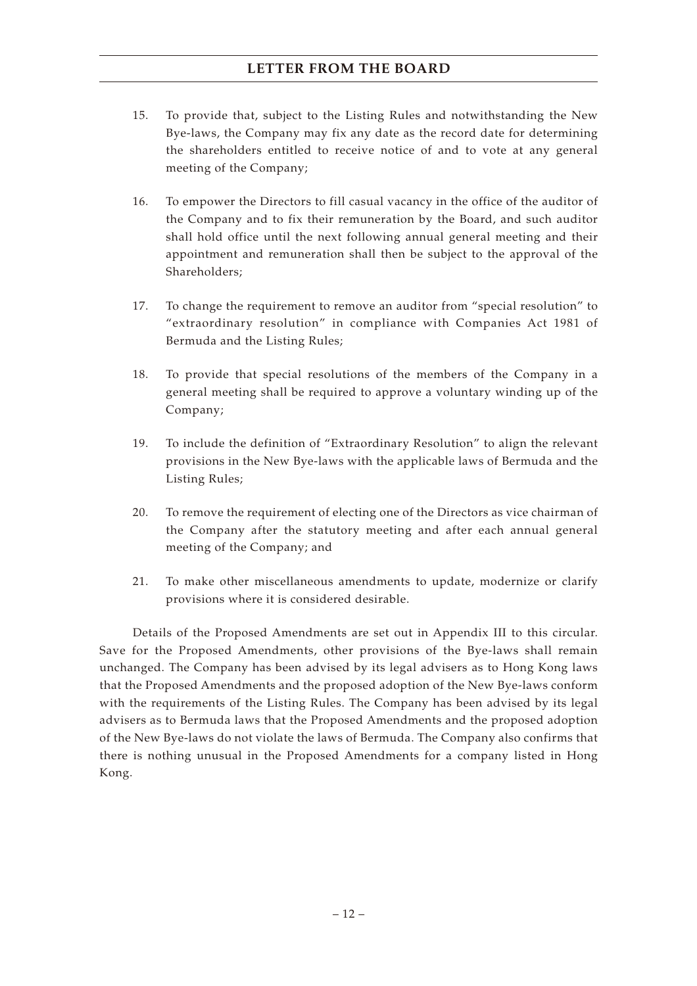- 15. To provide that, subject to the Listing Rules and notwithstanding the New Bye-laws, the Company may fix any date as the record date for determining the shareholders entitled to receive notice of and to vote at any general meeting of the Company;
- 16. To empower the Directors to fill casual vacancy in the office of the auditor of the Company and to fix their remuneration by the Board, and such auditor shall hold office until the next following annual general meeting and their appointment and remuneration shall then be subject to the approval of the Shareholders;
- 17. To change the requirement to remove an auditor from "special resolution" to "extraordinary resolution" in compliance with Companies Act 1981 of Bermuda and the Listing Rules;
- 18. To provide that special resolutions of the members of the Company in a general meeting shall be required to approve a voluntary winding up of the Company;
- 19. To include the definition of "Extraordinary Resolution" to align the relevant provisions in the New Bye-laws with the applicable laws of Bermuda and the Listing Rules;
- 20. To remove the requirement of electing one of the Directors as vice chairman of the Company after the statutory meeting and after each annual general meeting of the Company; and
- 21. To make other miscellaneous amendments to update, modernize or clarify provisions where it is considered desirable.

Details of the Proposed Amendments are set out in Appendix III to this circular. Save for the Proposed Amendments, other provisions of the Bye-laws shall remain unchanged. The Company has been advised by its legal advisers as to Hong Kong laws that the Proposed Amendments and the proposed adoption of the New Bye-laws conform with the requirements of the Listing Rules. The Company has been advised by its legal advisers as to Bermuda laws that the Proposed Amendments and the proposed adoption of the New Bye-laws do not violate the laws of Bermuda. The Company also confirms that there is nothing unusual in the Proposed Amendments for a company listed in Hong Kong.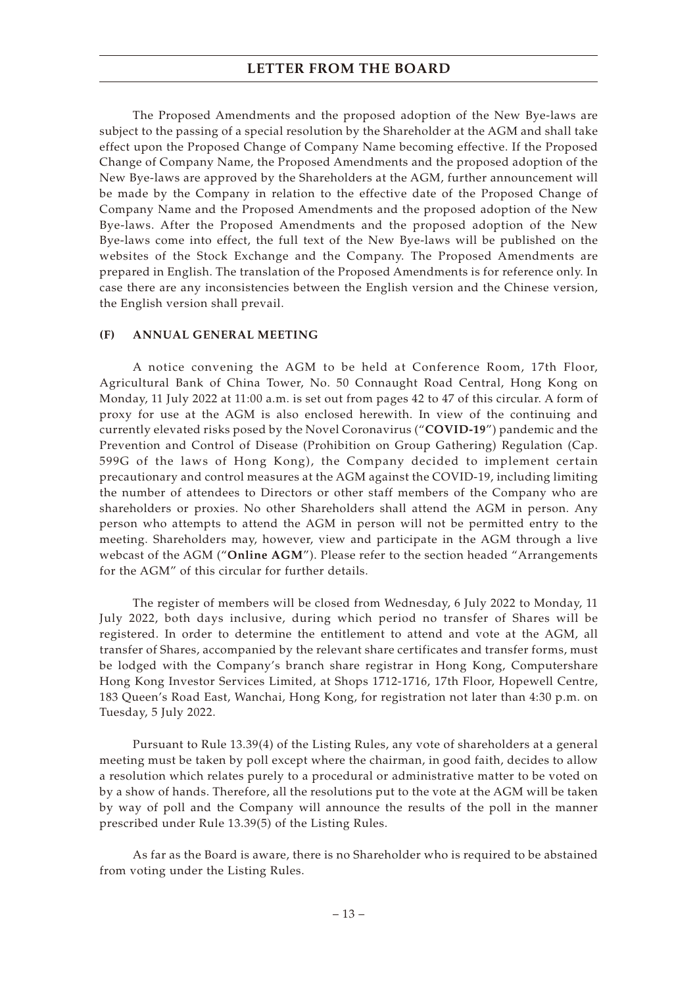The Proposed Amendments and the proposed adoption of the New Bye-laws are subject to the passing of a special resolution by the Shareholder at the AGM and shall take effect upon the Proposed Change of Company Name becoming effective. If the Proposed Change of Company Name, the Proposed Amendments and the proposed adoption of the New Bye-laws are approved by the Shareholders at the AGM, further announcement will be made by the Company in relation to the effective date of the Proposed Change of Company Name and the Proposed Amendments and the proposed adoption of the New Bye-laws. After the Proposed Amendments and the proposed adoption of the New Bye-laws come into effect, the full text of the New Bye-laws will be published on the websites of the Stock Exchange and the Company. The Proposed Amendments are prepared in English. The translation of the Proposed Amendments is for reference only. In case there are any inconsistencies between the English version and the Chinese version, the English version shall prevail.

### **(F) ANNUAL GENERAL MEETING**

A notice convening the AGM to be held at Conference Room, 17th Floor, Agricultural Bank of China Tower, No. 50 Connaught Road Central, Hong Kong on Monday, 11 July 2022 at 11:00 a.m. is set out from pages 42 to 47 of this circular. A form of proxy for use at the AGM is also enclosed herewith. In view of the continuing and currently elevated risks posed by the Novel Coronavirus ("**COVID-19**") pandemic and the Prevention and Control of Disease (Prohibition on Group Gathering) Regulation (Cap. 599G of the laws of Hong Kong), the Company decided to implement certain precautionary and control measures at the AGM against the COVID-19, including limiting the number of attendees to Directors or other staff members of the Company who are shareholders or proxies. No other Shareholders shall attend the AGM in person. Any person who attempts to attend the AGM in person will not be permitted entry to the meeting. Shareholders may, however, view and participate in the AGM through a live webcast of the AGM ("**Online AGM**"). Please refer to the section headed "Arrangements for the AGM" of this circular for further details.

The register of members will be closed from Wednesday, 6 July 2022 to Monday, 11 July 2022, both days inclusive, during which period no transfer of Shares will be registered. In order to determine the entitlement to attend and vote at the AGM, all transfer of Shares, accompanied by the relevant share certificates and transfer forms, must be lodged with the Company's branch share registrar in Hong Kong, Computershare Hong Kong Investor Services Limited, at Shops 1712-1716, 17th Floor, Hopewell Centre, 183 Queen's Road East, Wanchai, Hong Kong, for registration not later than 4:30 p.m. on Tuesday, 5 July 2022.

Pursuant to Rule 13.39(4) of the Listing Rules, any vote of shareholders at a general meeting must be taken by poll except where the chairman, in good faith, decides to allow a resolution which relates purely to a procedural or administrative matter to be voted on by a show of hands. Therefore, all the resolutions put to the vote at the AGM will be taken by way of poll and the Company will announce the results of the poll in the manner prescribed under Rule 13.39(5) of the Listing Rules.

As far as the Board is aware, there is no Shareholder who is required to be abstained from voting under the Listing Rules.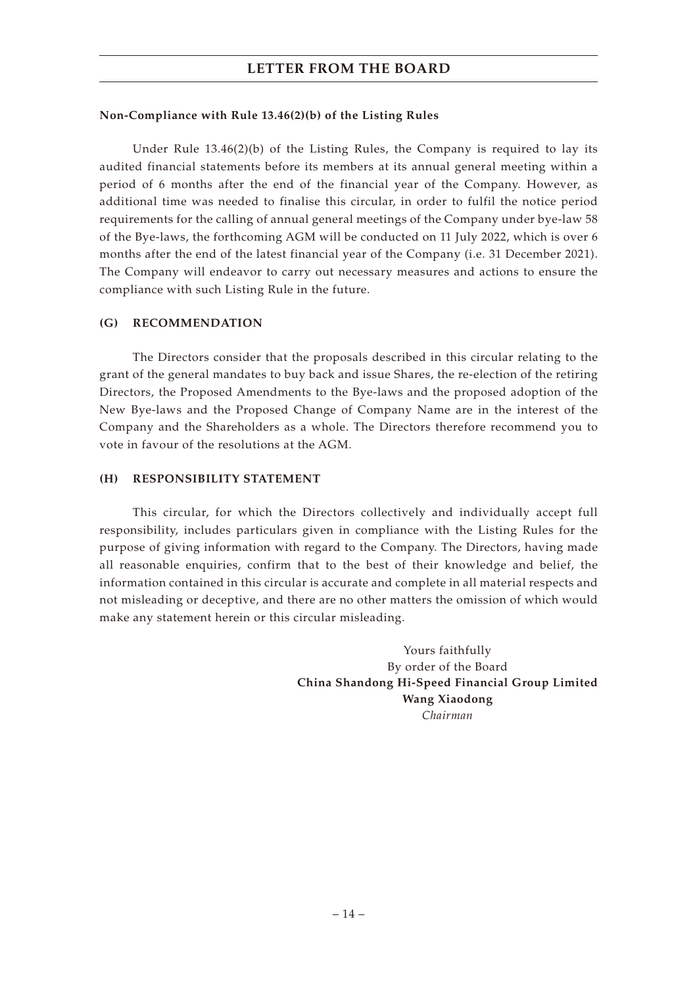## **Non-Compliance with Rule 13.46(2)(b) of the Listing Rules**

Under Rule  $13.46(2)(b)$  of the Listing Rules, the Company is required to lay its audited financial statements before its members at its annual general meeting within a period of 6 months after the end of the financial year of the Company. However, as additional time was needed to finalise this circular, in order to fulfil the notice period requirements for the calling of annual general meetings of the Company under bye-law 58 of the Bye-laws, the forthcoming AGM will be conducted on 11 July 2022, which is over 6 months after the end of the latest financial year of the Company (i.e. 31 December 2021). The Company will endeavor to carry out necessary measures and actions to ensure the compliance with such Listing Rule in the future.

## **(G) RECOMMENDATION**

The Directors consider that the proposals described in this circular relating to the grant of the general mandates to buy back and issue Shares, the re-election of the retiring Directors, the Proposed Amendments to the Bye-laws and the proposed adoption of the New Bye-laws and the Proposed Change of Company Name are in the interest of the Company and the Shareholders as a whole. The Directors therefore recommend you to vote in favour of the resolutions at the AGM.

## **(H) RESPONSIBILITY STATEMENT**

This circular, for which the Directors collectively and individually accept full responsibility, includes particulars given in compliance with the Listing Rules for the purpose of giving information with regard to the Company. The Directors, having made all reasonable enquiries, confirm that to the best of their knowledge and belief, the information contained in this circular is accurate and complete in all material respects and not misleading or deceptive, and there are no other matters the omission of which would make any statement herein or this circular misleading.

> Yours faithfully By order of the Board **China Shandong Hi-Speed Financial Group Limited Wang Xiaodong** *Chairman*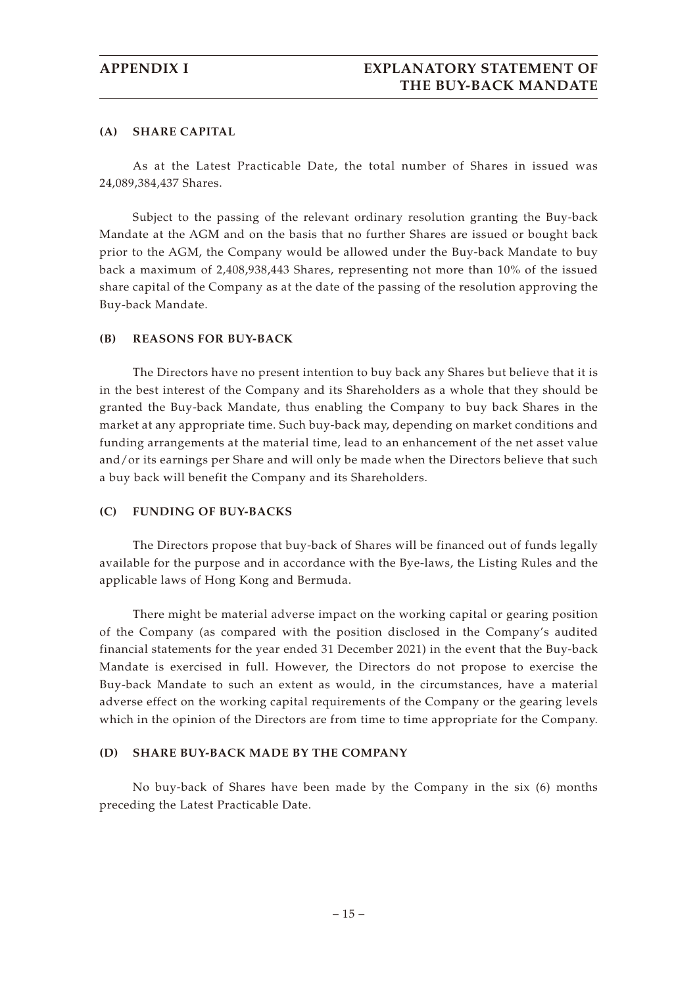## **(A) SHARE CAPITAL**

As at the Latest Practicable Date, the total number of Shares in issued was 24,089,384,437 Shares.

Subject to the passing of the relevant ordinary resolution granting the Buy-back Mandate at the AGM and on the basis that no further Shares are issued or bought back prior to the AGM, the Company would be allowed under the Buy-back Mandate to buy back a maximum of 2,408,938,443 Shares, representing not more than 10% of the issued share capital of the Company as at the date of the passing of the resolution approving the Buy-back Mandate.

## **(B) REASONS FOR BUY-BACK**

The Directors have no present intention to buy back any Shares but believe that it is in the best interest of the Company and its Shareholders as a whole that they should be granted the Buy-back Mandate, thus enabling the Company to buy back Shares in the market at any appropriate time. Such buy-back may, depending on market conditions and funding arrangements at the material time, lead to an enhancement of the net asset value and/or its earnings per Share and will only be made when the Directors believe that such a buy back will benefit the Company and its Shareholders.

### **(C) FUNDING OF BUY-BACKS**

The Directors propose that buy-back of Shares will be financed out of funds legally available for the purpose and in accordance with the Bye-laws, the Listing Rules and the applicable laws of Hong Kong and Bermuda.

There might be material adverse impact on the working capital or gearing position of the Company (as compared with the position disclosed in the Company's audited financial statements for the year ended 31 December 2021) in the event that the Buy-back Mandate is exercised in full. However, the Directors do not propose to exercise the Buy-back Mandate to such an extent as would, in the circumstances, have a material adverse effect on the working capital requirements of the Company or the gearing levels which in the opinion of the Directors are from time to time appropriate for the Company.

## **(D) SHARE BUY-BACK MADE BY THE COMPANY**

No buy-back of Shares have been made by the Company in the six (6) months preceding the Latest Practicable Date.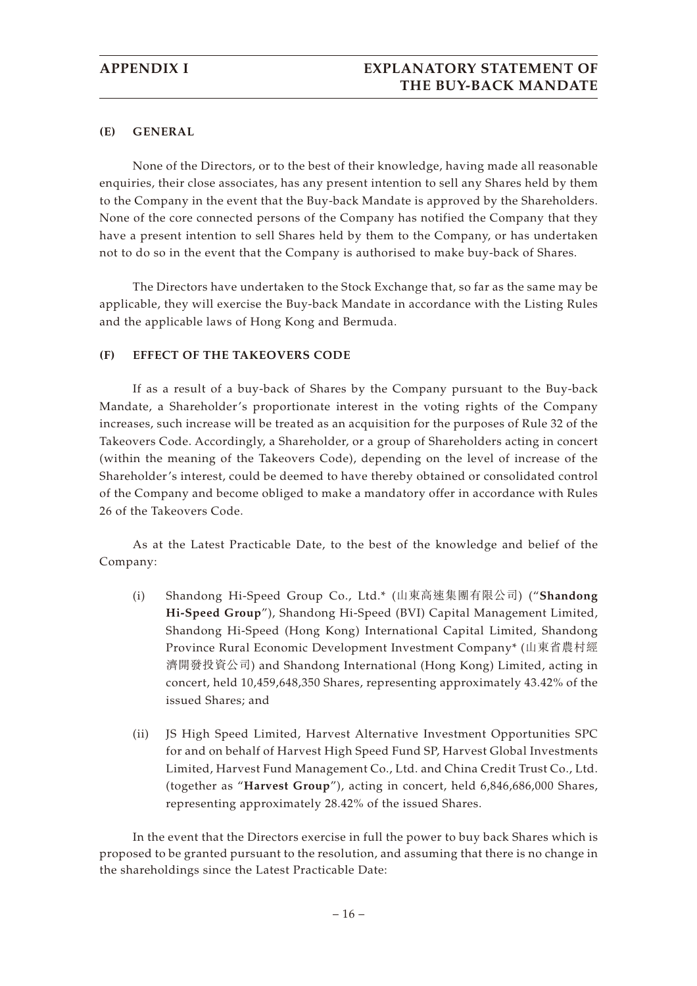## **(E) GENERAL**

None of the Directors, or to the best of their knowledge, having made all reasonable enquiries, their close associates, has any present intention to sell any Shares held by them to the Company in the event that the Buy-back Mandate is approved by the Shareholders. None of the core connected persons of the Company has notified the Company that they have a present intention to sell Shares held by them to the Company, or has undertaken not to do so in the event that the Company is authorised to make buy-back of Shares.

The Directors have undertaken to the Stock Exchange that, so far as the same may be applicable, they will exercise the Buy-back Mandate in accordance with the Listing Rules and the applicable laws of Hong Kong and Bermuda.

## **(F) EFFECT OF THE TAKEOVERS CODE**

If as a result of a buy-back of Shares by the Company pursuant to the Buy-back Mandate, a Shareholder's proportionate interest in the voting rights of the Company increases, such increase will be treated as an acquisition for the purposes of Rule 32 of the Takeovers Code. Accordingly, a Shareholder, or a group of Shareholders acting in concert (within the meaning of the Takeovers Code), depending on the level of increase of the Shareholder's interest, could be deemed to have thereby obtained or consolidated control of the Company and become obliged to make a mandatory offer in accordance with Rules 26 of the Takeovers Code.

As at the Latest Practicable Date, to the best of the knowledge and belief of the Company:

- (i) Shandong Hi-Speed Group Co., Ltd.\* (山東高速集團有限公司) ("**Shandong Hi-Speed Group**"), Shandong Hi-Speed (BVI) Capital Management Limited, Shandong Hi-Speed (Hong Kong) International Capital Limited, Shandong Province Rural Economic Development Investment Company\* (山東省農村經 濟開發投資公司) and Shandong International (Hong Kong) Limited, acting in concert, held 10,459,648,350 Shares, representing approximately 43.42% of the issued Shares; and
- (ii) JS High Speed Limited, Harvest Alternative Investment Opportunities SPC for and on behalf of Harvest High Speed Fund SP, Harvest Global Investments Limited, Harvest Fund Management Co., Ltd. and China Credit Trust Co., Ltd. (together as "**Harvest Group**"), acting in concert, held 6,846,686,000 Shares, representing approximately 28.42% of the issued Shares.

In the event that the Directors exercise in full the power to buy back Shares which is proposed to be granted pursuant to the resolution, and assuming that there is no change in the shareholdings since the Latest Practicable Date: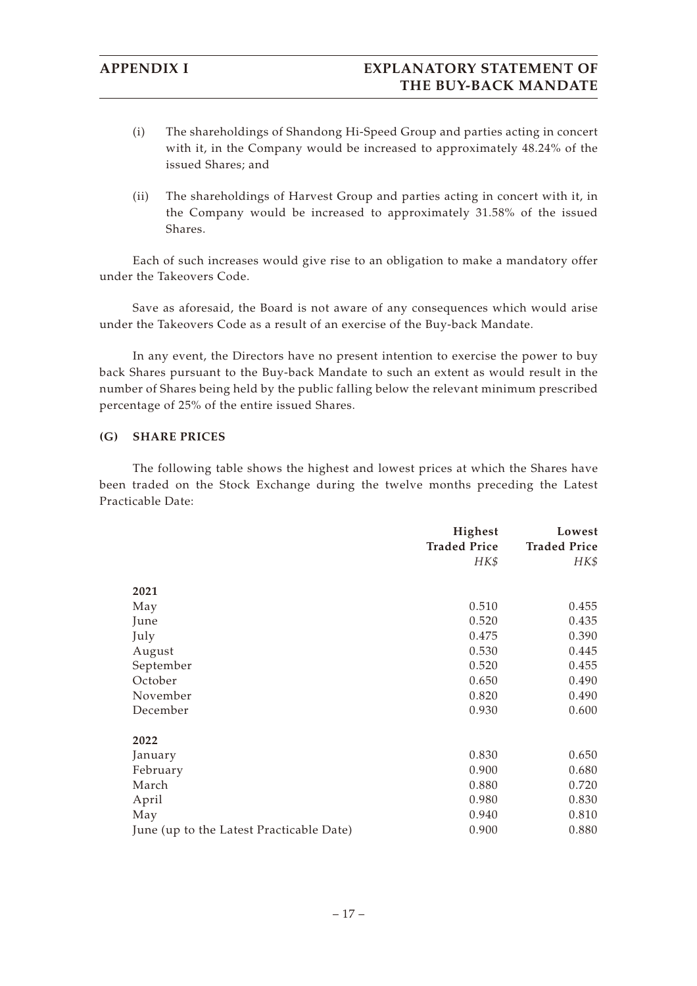# **APPENDIX I EXPLANATORY STATEMENT OF THE BUY-BACK MANDATE**

- (i) The shareholdings of Shandong Hi-Speed Group and parties acting in concert with it, in the Company would be increased to approximately 48.24% of the issued Shares; and
- (ii) The shareholdings of Harvest Group and parties acting in concert with it, in the Company would be increased to approximately 31.58% of the issued Shares.

Each of such increases would give rise to an obligation to make a mandatory offer under the Takeovers Code.

Save as aforesaid, the Board is not aware of any consequences which would arise under the Takeovers Code as a result of an exercise of the Buy-back Mandate.

In any event, the Directors have no present intention to exercise the power to buy back Shares pursuant to the Buy-back Mandate to such an extent as would result in the number of Shares being held by the public falling below the relevant minimum prescribed percentage of 25% of the entire issued Shares.

### **(G) SHARE PRICES**

The following table shows the highest and lowest prices at which the Shares have been traded on the Stock Exchange during the twelve months preceding the Latest Practicable Date:

|                                          | Highest             | Lowest              |
|------------------------------------------|---------------------|---------------------|
|                                          | <b>Traded Price</b> | <b>Traded Price</b> |
|                                          | HK\$                | HK\$                |
|                                          |                     |                     |
| 2021                                     |                     |                     |
| May                                      | 0.510               | 0.455               |
| June                                     | 0.520               | 0.435               |
| July                                     | 0.475               | 0.390               |
| August                                   | 0.530               | 0.445               |
| September                                | 0.520               | 0.455               |
| October                                  | 0.650               | 0.490               |
| November                                 | 0.820               | 0.490               |
| December                                 | 0.930               | 0.600               |
|                                          |                     |                     |
| 2022                                     |                     |                     |
| January                                  | 0.830               | 0.650               |
| February                                 | 0.900               | 0.680               |
| March                                    | 0.880               | 0.720               |
| April                                    | 0.980               | 0.830               |
| May                                      | 0.940               | 0.810               |
| June (up to the Latest Practicable Date) | 0.900               | 0.880               |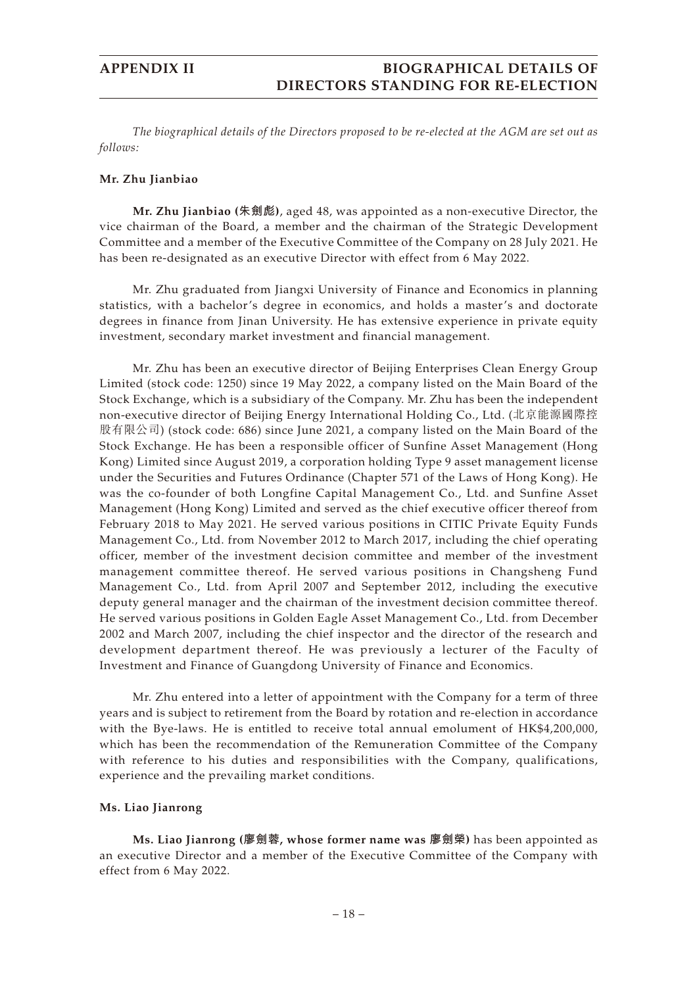*The biographical details of the Directors proposed to be re-elected at the AGM are set out as follows:*

### **Mr. Zhu Jianbiao**

**Mr. Zhu Jianbiao (朱劍彪)**, aged 48, was appointed as a non-executive Director, the vice chairman of the Board, a member and the chairman of the Strategic Development Committee and a member of the Executive Committee of the Company on 28 July 2021. He has been re-designated as an executive Director with effect from 6 May 2022.

Mr. Zhu graduated from Jiangxi University of Finance and Economics in planning statistics, with a bachelor's degree in economics, and holds a master's and doctorate degrees in finance from Jinan University. He has extensive experience in private equity investment, secondary market investment and financial management.

Mr. Zhu has been an executive director of Beijing Enterprises Clean Energy Group Limited (stock code: 1250) since 19 May 2022, a company listed on the Main Board of the Stock Exchange, which is a subsidiary of the Company. Mr. Zhu has been the independent non-executive director of Beijing Energy International Holding Co., Ltd. (北京能源國際控 股有限公司) (stock code: 686) since June 2021, a company listed on the Main Board of the Stock Exchange. He has been a responsible officer of Sunfine Asset Management (Hong Kong) Limited since August 2019, a corporation holding Type 9 asset management license under the Securities and Futures Ordinance (Chapter 571 of the Laws of Hong Kong). He was the co-founder of both Longfine Capital Management Co., Ltd. and Sunfine Asset Management (Hong Kong) Limited and served as the chief executive officer thereof from February 2018 to May 2021. He served various positions in CITIC Private Equity Funds Management Co., Ltd. from November 2012 to March 2017, including the chief operating officer, member of the investment decision committee and member of the investment management committee thereof. He served various positions in Changsheng Fund Management Co., Ltd. from April 2007 and September 2012, including the executive deputy general manager and the chairman of the investment decision committee thereof. He served various positions in Golden Eagle Asset Management Co., Ltd. from December 2002 and March 2007, including the chief inspector and the director of the research and development department thereof. He was previously a lecturer of the Faculty of Investment and Finance of Guangdong University of Finance and Economics.

Mr. Zhu entered into a letter of appointment with the Company for a term of three years and is subject to retirement from the Board by rotation and re-election in accordance with the Bye-laws. He is entitled to receive total annual emolument of HK\$4,200,000, which has been the recommendation of the Remuneration Committee of the Company with reference to his duties and responsibilities with the Company, qualifications, experience and the prevailing market conditions.

### **Ms. Liao Jianrong**

**Ms. Liao Jianrong (廖劍蓉, whose former name was 廖劍榮)** has been appointed as an executive Director and a member of the Executive Committee of the Company with effect from 6 May 2022.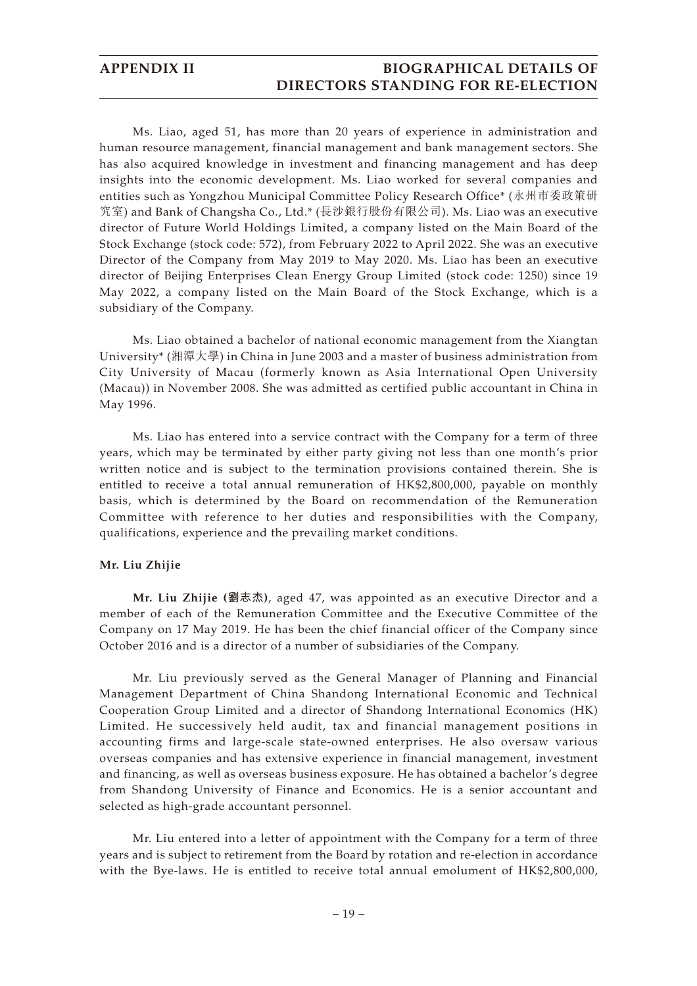Ms. Liao, aged 51, has more than 20 years of experience in administration and human resource management, financial management and bank management sectors. She has also acquired knowledge in investment and financing management and has deep insights into the economic development. Ms. Liao worked for several companies and entities such as Yongzhou Municipal Committee Policy Research Office\* (永州市委政策研 究室) and Bank of Changsha Co., Ltd.\* (長沙銀行股份有限公司). Ms. Liao was an executive director of Future World Holdings Limited, a company listed on the Main Board of the Stock Exchange (stock code: 572), from February 2022 to April 2022. She was an executive Director of the Company from May 2019 to May 2020. Ms. Liao has been an executive director of Beijing Enterprises Clean Energy Group Limited (stock code: 1250) since 19 May 2022, a company listed on the Main Board of the Stock Exchange, which is a subsidiary of the Company.

Ms. Liao obtained a bachelor of national economic management from the Xiangtan University\* (湘潭大學) in China in June 2003 and a master of business administration from City University of Macau (formerly known as Asia International Open University (Macau)) in November 2008. She was admitted as certified public accountant in China in May 1996.

Ms. Liao has entered into a service contract with the Company for a term of three years, which may be terminated by either party giving not less than one month's prior written notice and is subject to the termination provisions contained therein. She is entitled to receive a total annual remuneration of HK\$2,800,000, payable on monthly basis, which is determined by the Board on recommendation of the Remuneration Committee with reference to her duties and responsibilities with the Company, qualifications, experience and the prevailing market conditions.

### **Mr. Liu Zhijie**

**Mr. Liu Zhijie (劉志杰)**, aged 47, was appointed as an executive Director and a member of each of the Remuneration Committee and the Executive Committee of the Company on 17 May 2019. He has been the chief financial officer of the Company since October 2016 and is a director of a number of subsidiaries of the Company.

Mr. Liu previously served as the General Manager of Planning and Financial Management Department of China Shandong International Economic and Technical Cooperation Group Limited and a director of Shandong International Economics (HK) Limited. He successively held audit, tax and financial management positions in accounting firms and large-scale state-owned enterprises. He also oversaw various overseas companies and has extensive experience in financial management, investment and financing, as well as overseas business exposure. He has obtained a bachelor's degree from Shandong University of Finance and Economics. He is a senior accountant and selected as high-grade accountant personnel.

Mr. Liu entered into a letter of appointment with the Company for a term of three years and is subject to retirement from the Board by rotation and re-election in accordance with the Bye-laws. He is entitled to receive total annual emolument of HK\$2,800,000,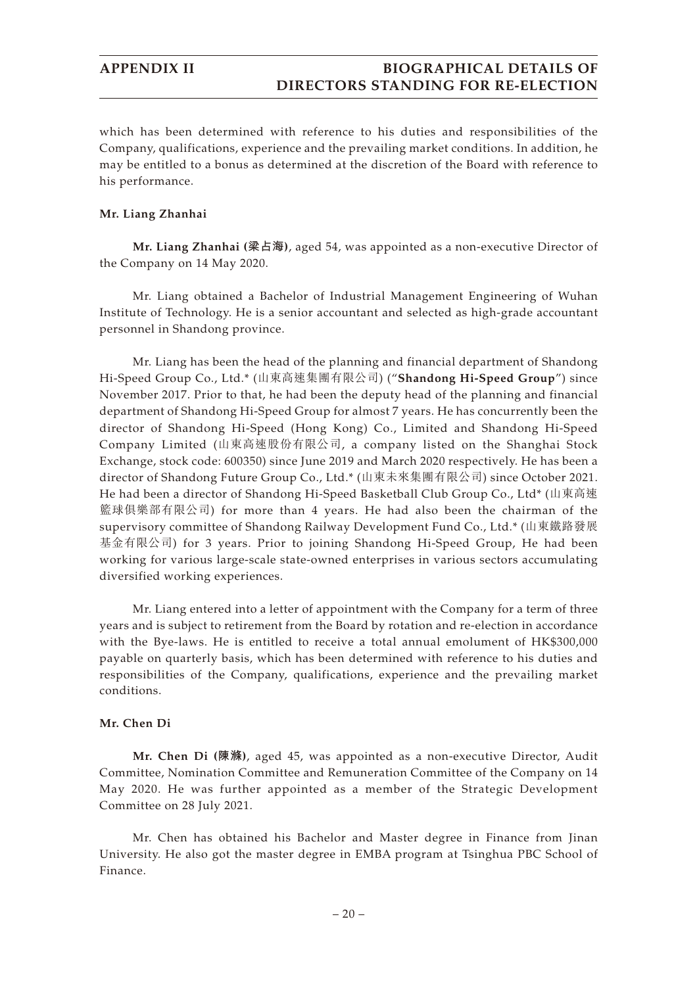which has been determined with reference to his duties and responsibilities of the Company, qualifications, experience and the prevailing market conditions. In addition, he may be entitled to a bonus as determined at the discretion of the Board with reference to his performance.

### **Mr. Liang Zhanhai**

**Mr. Liang Zhanhai (梁占海)**, aged 54, was appointed as a non-executive Director of the Company on 14 May 2020.

Mr. Liang obtained a Bachelor of Industrial Management Engineering of Wuhan Institute of Technology. He is a senior accountant and selected as high-grade accountant personnel in Shandong province.

Mr. Liang has been the head of the planning and financial department of Shandong Hi-Speed Group Co., Ltd.\* (山東高速集團有限公司) ("**Shandong Hi-Speed Group**") since November 2017. Prior to that, he had been the deputy head of the planning and financial department of Shandong Hi-Speed Group for almost 7 years. He has concurrently been the director of Shandong Hi-Speed (Hong Kong) Co., Limited and Shandong Hi-Speed Company Limited (山東高速股份有限公司, a company listed on the Shanghai Stock Exchange, stock code: 600350) since June 2019 and March 2020 respectively. He has been a director of Shandong Future Group Co., Ltd.\* (山東未來集團有限公司) since October 2021. He had been a director of Shandong Hi-Speed Basketball Club Group Co., Ltd\* (山東高速 籃球俱樂部有限公司) for more than 4 years. He had also been the chairman of the supervisory committee of Shandong Railway Development Fund Co., Ltd.\* (山東鐵路發展 基金有限公司) for 3 years. Prior to joining Shandong Hi-Speed Group, He had been working for various large-scale state-owned enterprises in various sectors accumulating diversified working experiences.

Mr. Liang entered into a letter of appointment with the Company for a term of three years and is subject to retirement from the Board by rotation and re-election in accordance with the Bye-laws. He is entitled to receive a total annual emolument of HK\$300,000 payable on quarterly basis, which has been determined with reference to his duties and responsibilities of the Company, qualifications, experience and the prevailing market conditions.

## **Mr. Chen Di**

**Mr. Chen Di (陳滌)**, aged 45, was appointed as a non-executive Director, Audit Committee, Nomination Committee and Remuneration Committee of the Company on 14 May 2020. He was further appointed as a member of the Strategic Development Committee on 28 July 2021.

Mr. Chen has obtained his Bachelor and Master degree in Finance from Jinan University. He also got the master degree in EMBA program at Tsinghua PBC School of Finance.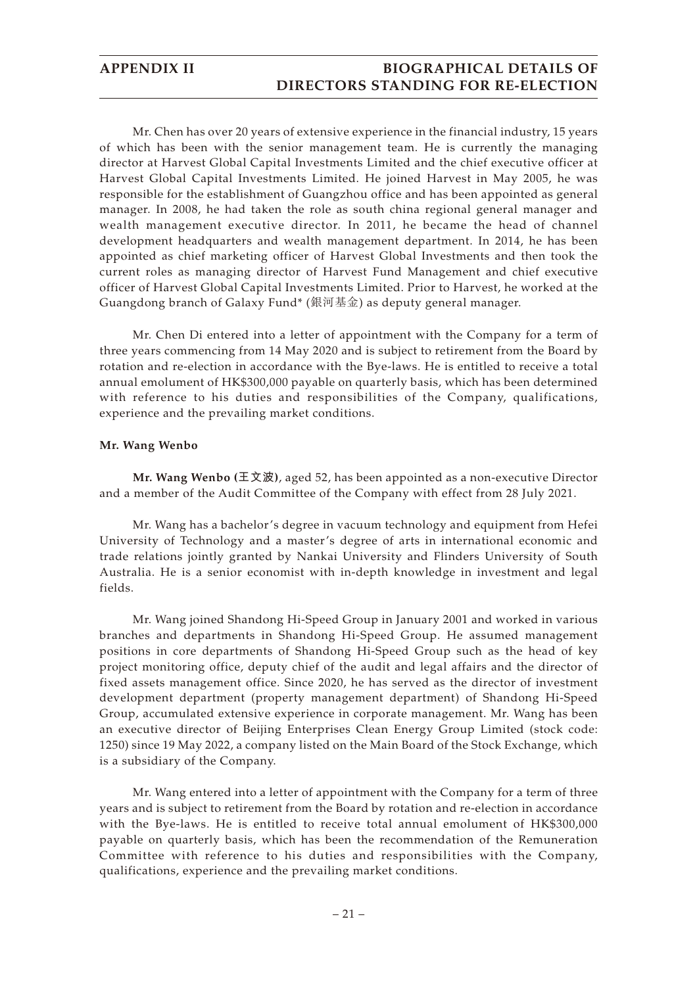Mr. Chen has over 20 years of extensive experience in the financial industry, 15 years of which has been with the senior management team. He is currently the managing director at Harvest Global Capital Investments Limited and the chief executive officer at Harvest Global Capital Investments Limited. He joined Harvest in May 2005, he was responsible for the establishment of Guangzhou office and has been appointed as general manager. In 2008, he had taken the role as south china regional general manager and wealth management executive director. In 2011, he became the head of channel development headquarters and wealth management department. In 2014, he has been appointed as chief marketing officer of Harvest Global Investments and then took the current roles as managing director of Harvest Fund Management and chief executive officer of Harvest Global Capital Investments Limited. Prior to Harvest, he worked at the Guangdong branch of Galaxy Fund\* (銀河基金) as deputy general manager.

Mr. Chen Di entered into a letter of appointment with the Company for a term of three years commencing from 14 May 2020 and is subject to retirement from the Board by rotation and re-election in accordance with the Bye-laws. He is entitled to receive a total annual emolument of HK\$300,000 payable on quarterly basis, which has been determined with reference to his duties and responsibilities of the Company, qualifications, experience and the prevailing market conditions.

### **Mr. Wang Wenbo**

**Mr. Wang Wenbo (王文波)**, aged 52, has been appointed as a non-executive Director and a member of the Audit Committee of the Company with effect from 28 July 2021.

Mr. Wang has a bachelor's degree in vacuum technology and equipment from Hefei University of Technology and a master's degree of arts in international economic and trade relations jointly granted by Nankai University and Flinders University of South Australia. He is a senior economist with in-depth knowledge in investment and legal fields.

Mr. Wang joined Shandong Hi-Speed Group in January 2001 and worked in various branches and departments in Shandong Hi-Speed Group. He assumed management positions in core departments of Shandong Hi-Speed Group such as the head of key project monitoring office, deputy chief of the audit and legal affairs and the director of fixed assets management office. Since 2020, he has served as the director of investment development department (property management department) of Shandong Hi-Speed Group, accumulated extensive experience in corporate management. Mr. Wang has been an executive director of Beijing Enterprises Clean Energy Group Limited (stock code: 1250) since 19 May 2022, a company listed on the Main Board of the Stock Exchange, which is a subsidiary of the Company.

Mr. Wang entered into a letter of appointment with the Company for a term of three years and is subject to retirement from the Board by rotation and re-election in accordance with the Bye-laws. He is entitled to receive total annual emolument of HK\$300,000 payable on quarterly basis, which has been the recommendation of the Remuneration Committee with reference to his duties and responsibilities with the Company, qualifications, experience and the prevailing market conditions.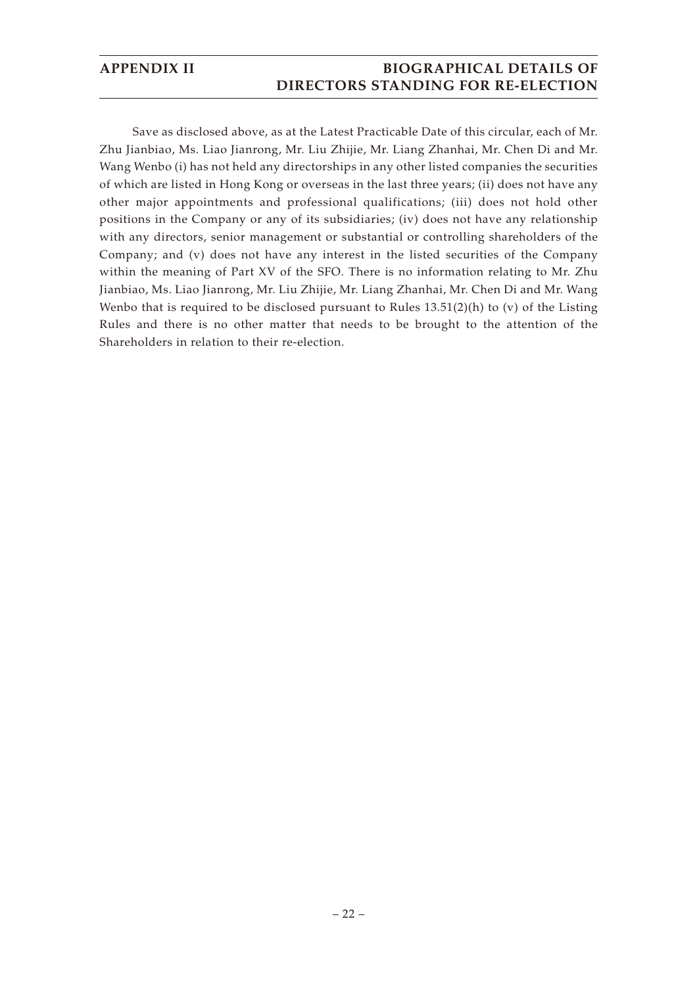Save as disclosed above, as at the Latest Practicable Date of this circular, each of Mr. Zhu Jianbiao, Ms. Liao Jianrong, Mr. Liu Zhijie, Mr. Liang Zhanhai, Mr. Chen Di and Mr. Wang Wenbo (i) has not held any directorships in any other listed companies the securities of which are listed in Hong Kong or overseas in the last three years; (ii) does not have any other major appointments and professional qualifications; (iii) does not hold other positions in the Company or any of its subsidiaries; (iv) does not have any relationship with any directors, senior management or substantial or controlling shareholders of the Company; and (v) does not have any interest in the listed securities of the Company within the meaning of Part XV of the SFO. There is no information relating to Mr. Zhu Jianbiao, Ms. Liao Jianrong, Mr. Liu Zhijie, Mr. Liang Zhanhai, Mr. Chen Di and Mr. Wang Wenbo that is required to be disclosed pursuant to Rules  $13.51(2)$ (h) to (v) of the Listing Rules and there is no other matter that needs to be brought to the attention of the Shareholders in relation to their re-election.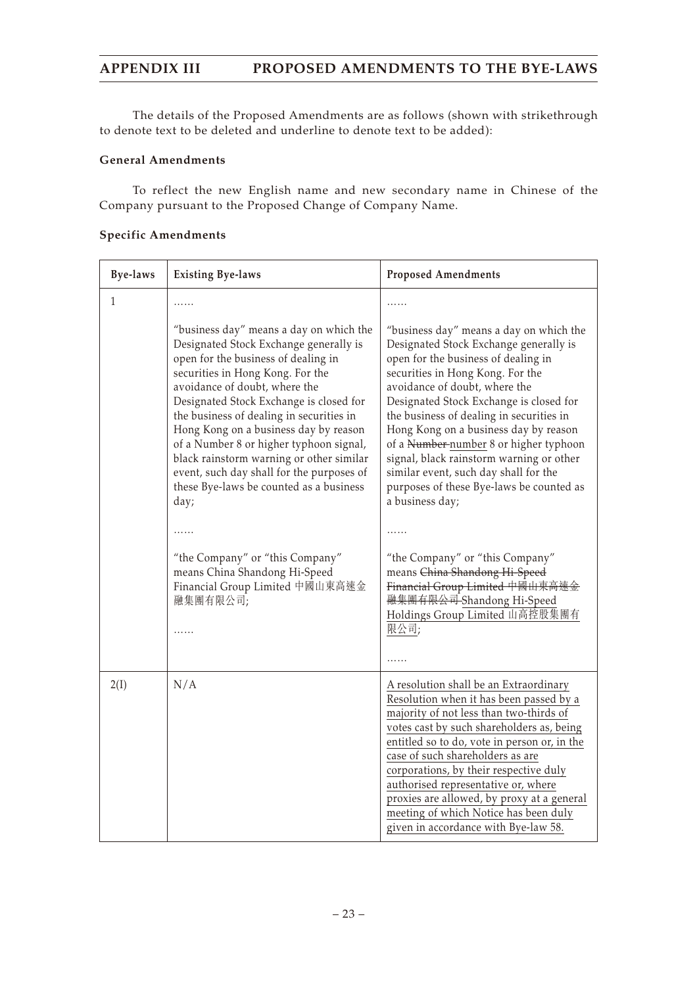The details of the Proposed Amendments are as follows (shown with strikethrough to denote text to be deleted and underline to denote text to be added):

## **General Amendments**

To reflect the new English name and new secondary name in Chinese of the Company pursuant to the Proposed Change of Company Name.

## **Specific Amendments**

| <b>Bye-laws</b> | <b>Existing Bye-laws</b>                                                                                                                                                                                                                                                                                                                                                                                                                                                                                             | <b>Proposed Amendments</b>                                                                                                                                                                                                                                                                                                                                                                                                                                                                                                  |
|-----------------|----------------------------------------------------------------------------------------------------------------------------------------------------------------------------------------------------------------------------------------------------------------------------------------------------------------------------------------------------------------------------------------------------------------------------------------------------------------------------------------------------------------------|-----------------------------------------------------------------------------------------------------------------------------------------------------------------------------------------------------------------------------------------------------------------------------------------------------------------------------------------------------------------------------------------------------------------------------------------------------------------------------------------------------------------------------|
| 1               | .                                                                                                                                                                                                                                                                                                                                                                                                                                                                                                                    |                                                                                                                                                                                                                                                                                                                                                                                                                                                                                                                             |
|                 | "business day" means a day on which the<br>Designated Stock Exchange generally is<br>open for the business of dealing in<br>securities in Hong Kong. For the<br>avoidance of doubt, where the<br>Designated Stock Exchange is closed for<br>the business of dealing in securities in<br>Hong Kong on a business day by reason<br>of a Number 8 or higher typhoon signal,<br>black rainstorm warning or other similar<br>event, such day shall for the purposes of<br>these Bye-laws be counted as a business<br>day; | "business day" means a day on which the<br>Designated Stock Exchange generally is<br>open for the business of dealing in<br>securities in Hong Kong. For the<br>avoidance of doubt, where the<br>Designated Stock Exchange is closed for<br>the business of dealing in securities in<br>Hong Kong on a business day by reason<br>of a Number number 8 or higher typhoon<br>signal, black rainstorm warning or other<br>similar event, such day shall for the<br>purposes of these Bye-laws be counted as<br>a business day; |
|                 | .                                                                                                                                                                                                                                                                                                                                                                                                                                                                                                                    | .                                                                                                                                                                                                                                                                                                                                                                                                                                                                                                                           |
|                 | "the Company" or "this Company"<br>means China Shandong Hi-Speed<br>Financial Group Limited 中國山東高速金<br>融集團有限公司;<br>.                                                                                                                                                                                                                                                                                                                                                                                                 | "the Company" or "this Company"<br>means China Shandong Hi-Speed<br>Financial Group Limited 中國山東高速金<br><del>融集團有限公司</del> Shandong Hi-Speed<br>Holdings Group Limited 山高控股集團有<br>限公司;                                                                                                                                                                                                                                                                                                                                       |
| 2(I)            | N/A                                                                                                                                                                                                                                                                                                                                                                                                                                                                                                                  | A resolution shall be an Extraordinary<br>Resolution when it has been passed by a<br>majority of not less than two-thirds of<br>votes cast by such shareholders as, being<br>entitled so to do, vote in person or, in the<br>case of such shareholders as are<br>corporations, by their respective duly<br>authorised representative or, where<br>proxies are allowed, by proxy at a general<br>meeting of which Notice has been duly<br>given in accordance with Bye-law 58.                                               |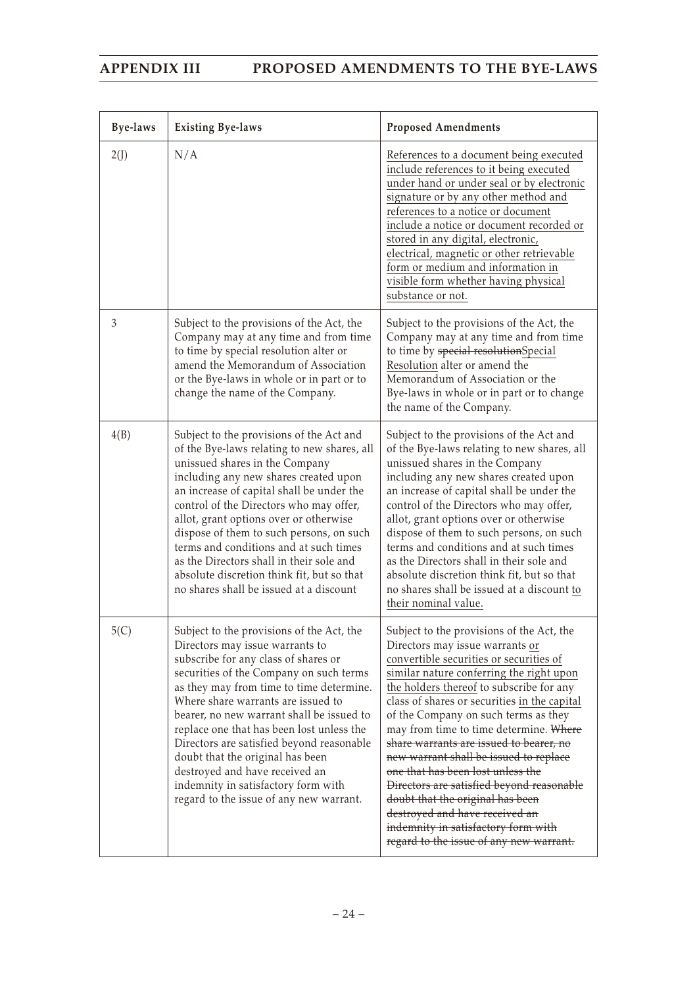| <b>Bye-laws</b> | <b>Existing Bye-laws</b>                                                                                                                                                                                                                                                                                                                                                                                                                                                                                                                         | <b>Proposed Amendments</b>                                                                                                                                                                                                                                                                                                                                                                                                                                                                                                                                                                                                                                                       |
|-----------------|--------------------------------------------------------------------------------------------------------------------------------------------------------------------------------------------------------------------------------------------------------------------------------------------------------------------------------------------------------------------------------------------------------------------------------------------------------------------------------------------------------------------------------------------------|----------------------------------------------------------------------------------------------------------------------------------------------------------------------------------------------------------------------------------------------------------------------------------------------------------------------------------------------------------------------------------------------------------------------------------------------------------------------------------------------------------------------------------------------------------------------------------------------------------------------------------------------------------------------------------|
| 2(J)            | N/A                                                                                                                                                                                                                                                                                                                                                                                                                                                                                                                                              | References to a document being executed<br>include references to it being executed<br>under hand or under seal or by electronic<br>signature or by any other method and<br>references to a notice or document<br>include a notice or document recorded or<br>stored in any digital, electronic,<br>electrical, magnetic or other retrievable<br>form or medium and information in<br>visible form whether having physical<br>substance or not.                                                                                                                                                                                                                                   |
| 3               | Subject to the provisions of the Act, the<br>Company may at any time and from time<br>to time by special resolution alter or<br>amend the Memorandum of Association<br>or the Bye-laws in whole or in part or to<br>change the name of the Company.                                                                                                                                                                                                                                                                                              | Subject to the provisions of the Act, the<br>Company may at any time and from time<br>to time by special resolutionSpecial<br>Resolution alter or amend the<br>Memorandum of Association or the<br>Bye-laws in whole or in part or to change<br>the name of the Company.                                                                                                                                                                                                                                                                                                                                                                                                         |
| 4(B)            | Subject to the provisions of the Act and<br>of the Bye-laws relating to new shares, all<br>unissued shares in the Company<br>including any new shares created upon<br>an increase of capital shall be under the<br>control of the Directors who may offer,<br>allot, grant options over or otherwise<br>dispose of them to such persons, on such<br>terms and conditions and at such times<br>as the Directors shall in their sole and<br>absolute discretion think fit, but so that<br>no shares shall be issued at a discount                  | Subject to the provisions of the Act and<br>of the Bye-laws relating to new shares, all<br>unissued shares in the Company<br>including any new shares created upon<br>an increase of capital shall be under the<br>control of the Directors who may offer,<br>allot, grant options over or otherwise<br>dispose of them to such persons, on such<br>terms and conditions and at such times<br>as the Directors shall in their sole and<br>absolute discretion think fit, but so that<br>no shares shall be issued at a discount to<br>their nominal value.                                                                                                                       |
| 5(C)            | Subject to the provisions of the Act, the<br>Directors may issue warrants to<br>subscribe for any class of shares or<br>securities of the Company on such terms<br>as they may from time to time determine.<br>Where share warrants are issued to<br>bearer, no new warrant shall be issued to<br>replace one that has been lost unless the<br>Directors are satisfied beyond reasonable<br>doubt that the original has been<br>destroyed and have received an<br>indemnity in satisfactory form with<br>regard to the issue of any new warrant. | Subject to the provisions of the Act, the<br>Directors may issue warrants or<br>convertible securities or securities of<br>similar nature conferring the right upon<br>the holders thereof to subscribe for any<br>class of shares or securities in the capital<br>of the Company on such terms as they<br>may from time to time determine. Where<br>share warrants are issued to bearer, no<br>new warrant shall be issued to replace<br>one that has been lost unless the<br>Directors are satisfied beyond reasonable<br>doubt that the original has been<br>destroyed and have received an<br>indemnity in satisfactory form with<br>regard to the issue of any new warrant. |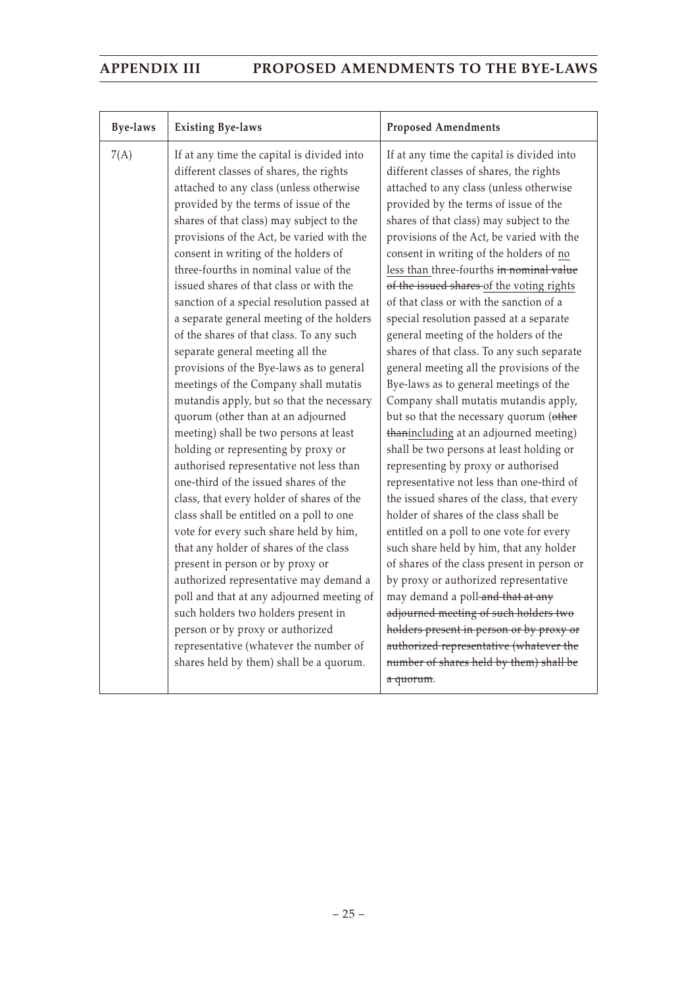| <b>Bye-laws</b> | <b>Existing Bye-laws</b>                                                                                                                                                                                                                                                                                                                                                                                                                                                                                                                                                                                                                                                                                                                                                                                                                                                                                                                                                                                                                                                                                                                                                                                                                                                                                                                                                                       | <b>Proposed Amendments</b>                                                                                                                                                                                                                                                                                                                                                                                                                                                                                                                                                                                                                                                                                                                                                                                                                                                                                                                                                                                                                                                                                                                                                                                                                                                                                                                                                                                                                   |
|-----------------|------------------------------------------------------------------------------------------------------------------------------------------------------------------------------------------------------------------------------------------------------------------------------------------------------------------------------------------------------------------------------------------------------------------------------------------------------------------------------------------------------------------------------------------------------------------------------------------------------------------------------------------------------------------------------------------------------------------------------------------------------------------------------------------------------------------------------------------------------------------------------------------------------------------------------------------------------------------------------------------------------------------------------------------------------------------------------------------------------------------------------------------------------------------------------------------------------------------------------------------------------------------------------------------------------------------------------------------------------------------------------------------------|----------------------------------------------------------------------------------------------------------------------------------------------------------------------------------------------------------------------------------------------------------------------------------------------------------------------------------------------------------------------------------------------------------------------------------------------------------------------------------------------------------------------------------------------------------------------------------------------------------------------------------------------------------------------------------------------------------------------------------------------------------------------------------------------------------------------------------------------------------------------------------------------------------------------------------------------------------------------------------------------------------------------------------------------------------------------------------------------------------------------------------------------------------------------------------------------------------------------------------------------------------------------------------------------------------------------------------------------------------------------------------------------------------------------------------------------|
| 7(A)            | If at any time the capital is divided into<br>different classes of shares, the rights<br>attached to any class (unless otherwise<br>provided by the terms of issue of the<br>shares of that class) may subject to the<br>provisions of the Act, be varied with the<br>consent in writing of the holders of<br>three-fourths in nominal value of the<br>issued shares of that class or with the<br>sanction of a special resolution passed at<br>a separate general meeting of the holders<br>of the shares of that class. To any such<br>separate general meeting all the<br>provisions of the Bye-laws as to general<br>meetings of the Company shall mutatis<br>mutandis apply, but so that the necessary<br>quorum (other than at an adjourned<br>meeting) shall be two persons at least<br>holding or representing by proxy or<br>authorised representative not less than<br>one-third of the issued shares of the<br>class, that every holder of shares of the<br>class shall be entitled on a poll to one<br>vote for every such share held by him,<br>that any holder of shares of the class<br>present in person or by proxy or<br>authorized representative may demand a<br>poll and that at any adjourned meeting of<br>such holders two holders present in<br>person or by proxy or authorized<br>representative (whatever the number of<br>shares held by them) shall be a quorum. | If at any time the capital is divided into<br>different classes of shares, the rights<br>attached to any class (unless otherwise<br>provided by the terms of issue of the<br>shares of that class) may subject to the<br>provisions of the Act, be varied with the<br>consent in writing of the holders of no<br>less than three-fourths in nominal value<br>of the issued shares of the voting rights<br>of that class or with the sanction of a<br>special resolution passed at a separate<br>general meeting of the holders of the<br>shares of that class. To any such separate<br>general meeting all the provisions of the<br>Bye-laws as to general meetings of the<br>Company shall mutatis mutandis apply,<br>but so that the necessary quorum (other<br>thanincluding at an adjourned meeting)<br>shall be two persons at least holding or<br>representing by proxy or authorised<br>representative not less than one-third of<br>the issued shares of the class, that every<br>holder of shares of the class shall be<br>entitled on a poll to one vote for every<br>such share held by him, that any holder<br>of shares of the class present in person or<br>by proxy or authorized representative<br>may demand a poll-and that at any<br>adjourned meeting of such holders two<br>holders present in person or by proxy or<br>authorized representative (whatever the<br>number of shares held by them) shall be<br>a quorum. |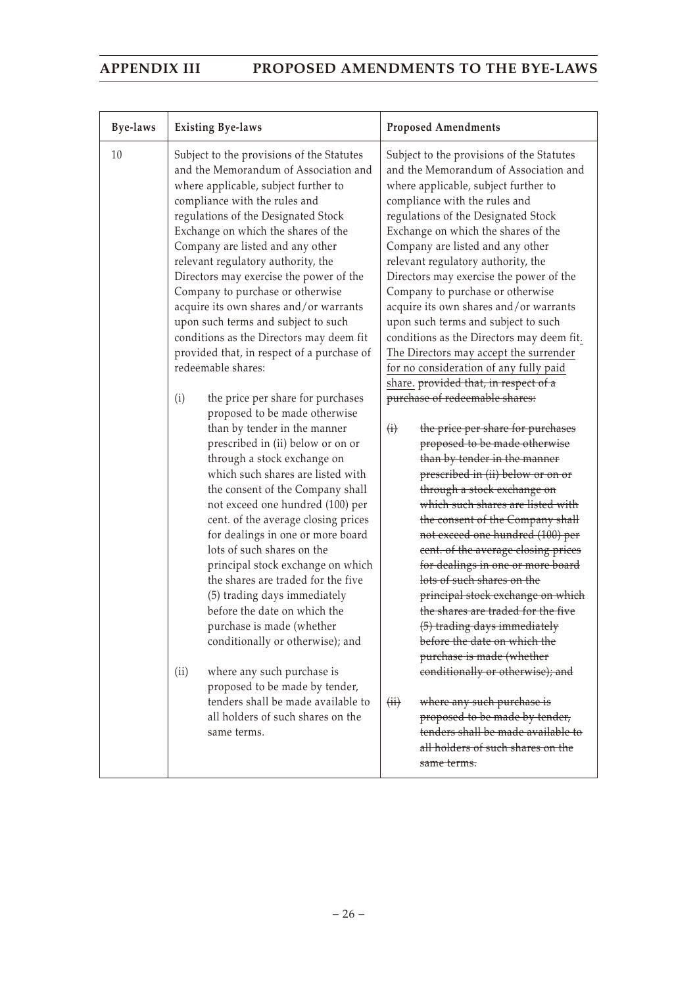| <b>Bye-laws</b> | <b>Existing Bye-laws</b>                                                                                                                                                                                                                                                                                                                                                                                                                                                                                                                                                                                                                                                                                                                                                                                                                                                                                                                                                                                                                                                                                                                                                                                                                                                                                                                                                                  | <b>Proposed Amendments</b>                                                                                                                                                                                                                                                                                                                                                                                                                                                                                                                                                                                                                                                                                                                                                                                                                                                                                                                                                                                                                                                                                                                                                                                                                                                                                                                                                                                                                                                                 |
|-----------------|-------------------------------------------------------------------------------------------------------------------------------------------------------------------------------------------------------------------------------------------------------------------------------------------------------------------------------------------------------------------------------------------------------------------------------------------------------------------------------------------------------------------------------------------------------------------------------------------------------------------------------------------------------------------------------------------------------------------------------------------------------------------------------------------------------------------------------------------------------------------------------------------------------------------------------------------------------------------------------------------------------------------------------------------------------------------------------------------------------------------------------------------------------------------------------------------------------------------------------------------------------------------------------------------------------------------------------------------------------------------------------------------|--------------------------------------------------------------------------------------------------------------------------------------------------------------------------------------------------------------------------------------------------------------------------------------------------------------------------------------------------------------------------------------------------------------------------------------------------------------------------------------------------------------------------------------------------------------------------------------------------------------------------------------------------------------------------------------------------------------------------------------------------------------------------------------------------------------------------------------------------------------------------------------------------------------------------------------------------------------------------------------------------------------------------------------------------------------------------------------------------------------------------------------------------------------------------------------------------------------------------------------------------------------------------------------------------------------------------------------------------------------------------------------------------------------------------------------------------------------------------------------------|
| 10              | Subject to the provisions of the Statutes<br>and the Memorandum of Association and<br>where applicable, subject further to<br>compliance with the rules and<br>regulations of the Designated Stock<br>Exchange on which the shares of the<br>Company are listed and any other<br>relevant regulatory authority, the<br>Directors may exercise the power of the<br>Company to purchase or otherwise<br>acquire its own shares and/or warrants<br>upon such terms and subject to such<br>conditions as the Directors may deem fit<br>provided that, in respect of a purchase of<br>redeemable shares:<br>the price per share for purchases<br>(i)<br>proposed to be made otherwise<br>than by tender in the manner<br>prescribed in (ii) below or on or<br>through a stock exchange on<br>which such shares are listed with<br>the consent of the Company shall<br>not exceed one hundred (100) per<br>cent. of the average closing prices<br>for dealings in one or more board<br>lots of such shares on the<br>principal stock exchange on which<br>the shares are traded for the five<br>(5) trading days immediately<br>before the date on which the<br>purchase is made (whether<br>conditionally or otherwise); and<br>where any such purchase is<br>(ii)<br>proposed to be made by tender,<br>tenders shall be made available to<br>all holders of such shares on the<br>same terms. | Subject to the provisions of the Statutes<br>and the Memorandum of Association and<br>where applicable, subject further to<br>compliance with the rules and<br>regulations of the Designated Stock<br>Exchange on which the shares of the<br>Company are listed and any other<br>relevant regulatory authority, the<br>Directors may exercise the power of the<br>Company to purchase or otherwise<br>acquire its own shares and/or warrants<br>upon such terms and subject to such<br>conditions as the Directors may deem fit.<br>The Directors may accept the surrender<br>for no consideration of any fully paid<br>share. provided that, in respect of a<br>purchase of redeemable shares:<br>the price per share for purchases<br>$\oplus$<br>proposed to be made otherwise<br>than by tender in the manner<br>prescribed in (ii) below or on or<br>through a stock exchange on<br>which such shares are listed with<br>the consent of the Company shall<br>not exceed one hundred (100) per<br>cent. of the average closing prices<br>for dealings in one or more board<br>lots of such shares on the<br>principal stock exchange on which<br>the shares are traded for the five<br>(5) trading days immediately<br>before the date on which the<br>purchase is made (whether<br>conditionally or otherwise); and<br>(ii)<br>where any such purchase is<br>proposed to be made by tender,<br>tenders shall be made available to<br>all holders of such shares on the<br>same terms. |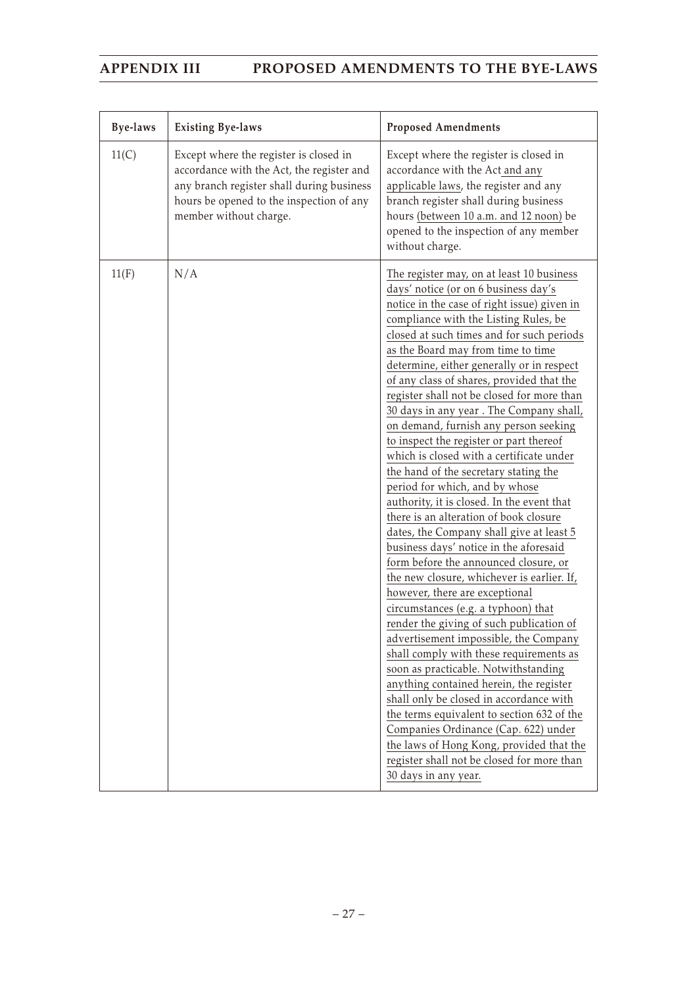| <b>Bye-laws</b> | <b>Existing Bye-laws</b>                                                                                                                                                                               | <b>Proposed Amendments</b>                                                                                                                                                                                                                                                                                                                                                                                                                                                                                                                                                                                                                                                                                                                                                                                                                                                                                                                                                                                                                                                                                                                                                                                                                                                                                                                                                                                                                                                     |
|-----------------|--------------------------------------------------------------------------------------------------------------------------------------------------------------------------------------------------------|--------------------------------------------------------------------------------------------------------------------------------------------------------------------------------------------------------------------------------------------------------------------------------------------------------------------------------------------------------------------------------------------------------------------------------------------------------------------------------------------------------------------------------------------------------------------------------------------------------------------------------------------------------------------------------------------------------------------------------------------------------------------------------------------------------------------------------------------------------------------------------------------------------------------------------------------------------------------------------------------------------------------------------------------------------------------------------------------------------------------------------------------------------------------------------------------------------------------------------------------------------------------------------------------------------------------------------------------------------------------------------------------------------------------------------------------------------------------------------|
| 11(C)           | Except where the register is closed in<br>accordance with the Act, the register and<br>any branch register shall during business<br>hours be opened to the inspection of any<br>member without charge. | Except where the register is closed in<br>accordance with the Act and any<br>applicable laws, the register and any<br>branch register shall during business<br>hours (between 10 a.m. and 12 noon) be<br>opened to the inspection of any member<br>without charge.                                                                                                                                                                                                                                                                                                                                                                                                                                                                                                                                                                                                                                                                                                                                                                                                                                                                                                                                                                                                                                                                                                                                                                                                             |
| 11(F)           | N/A                                                                                                                                                                                                    | The register may, on at least 10 business<br>days' notice (or on 6 business day's<br>notice in the case of right issue) given in<br>compliance with the Listing Rules, be<br>closed at such times and for such periods<br>as the Board may from time to time<br>determine, either generally or in respect<br>of any class of shares, provided that the<br>register shall not be closed for more than<br>30 days in any year. The Company shall,<br>on demand, furnish any person seeking<br>to inspect the register or part thereof<br>which is closed with a certificate under<br>the hand of the secretary stating the<br>period for which, and by whose<br>authority, it is closed. In the event that<br>there is an alteration of book closure<br>dates, the Company shall give at least 5<br>business days' notice in the aforesaid<br>form before the announced closure, or<br>the new closure, whichever is earlier. If,<br>however, there are exceptional<br>circumstances (e.g. a typhoon) that<br>render the giving of such publication of<br>advertisement impossible, the Company<br>shall comply with these requirements as<br>soon as practicable. Notwithstanding<br>anything contained herein, the register<br>shall only be closed in accordance with<br>the terms equivalent to section 632 of the<br>Companies Ordinance (Cap. 622) under<br>the laws of Hong Kong, provided that the<br>register shall not be closed for more than<br>30 days in any year. |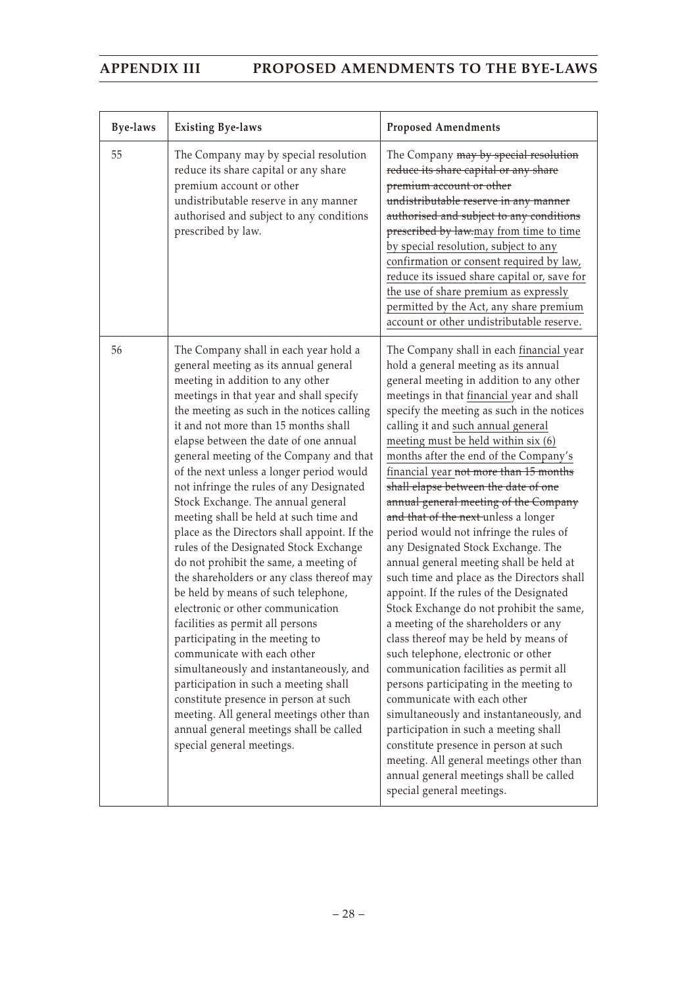| <b>Bye-laws</b> | <b>Existing Bye-laws</b>                                                                                                                                                                                                                                                                                                                                                                                                                                                                                                                                                                                                                                                                                                                                                                                                                                                                                                                                                                                                                                                                                                            | <b>Proposed Amendments</b>                                                                                                                                                                                                                                                                                                                                                                                                                                                                                                                                                                                                                                                                                                                                                                                                                                                                                                                                                                                                                                                                                                                                                                                                                                                    |
|-----------------|-------------------------------------------------------------------------------------------------------------------------------------------------------------------------------------------------------------------------------------------------------------------------------------------------------------------------------------------------------------------------------------------------------------------------------------------------------------------------------------------------------------------------------------------------------------------------------------------------------------------------------------------------------------------------------------------------------------------------------------------------------------------------------------------------------------------------------------------------------------------------------------------------------------------------------------------------------------------------------------------------------------------------------------------------------------------------------------------------------------------------------------|-------------------------------------------------------------------------------------------------------------------------------------------------------------------------------------------------------------------------------------------------------------------------------------------------------------------------------------------------------------------------------------------------------------------------------------------------------------------------------------------------------------------------------------------------------------------------------------------------------------------------------------------------------------------------------------------------------------------------------------------------------------------------------------------------------------------------------------------------------------------------------------------------------------------------------------------------------------------------------------------------------------------------------------------------------------------------------------------------------------------------------------------------------------------------------------------------------------------------------------------------------------------------------|
| 55              | The Company may by special resolution<br>reduce its share capital or any share<br>premium account or other<br>undistributable reserve in any manner<br>authorised and subject to any conditions<br>prescribed by law.                                                                                                                                                                                                                                                                                                                                                                                                                                                                                                                                                                                                                                                                                                                                                                                                                                                                                                               | The Company may by special resolution<br>reduce its share capital or any share<br>premium account or other<br>undistributable reserve in any manner<br>authorised and subject to any conditions<br>prescribed by law.may from time to time<br>by special resolution, subject to any<br>confirmation or consent required by law,<br>reduce its issued share capital or, save for<br>the use of share premium as expressly<br>permitted by the Act, any share premium<br>account or other undistributable reserve.                                                                                                                                                                                                                                                                                                                                                                                                                                                                                                                                                                                                                                                                                                                                                              |
| 56              | The Company shall in each year hold a<br>general meeting as its annual general<br>meeting in addition to any other<br>meetings in that year and shall specify<br>the meeting as such in the notices calling<br>it and not more than 15 months shall<br>elapse between the date of one annual<br>general meeting of the Company and that<br>of the next unless a longer period would<br>not infringe the rules of any Designated<br>Stock Exchange. The annual general<br>meeting shall be held at such time and<br>place as the Directors shall appoint. If the<br>rules of the Designated Stock Exchange<br>do not prohibit the same, a meeting of<br>the shareholders or any class thereof may<br>be held by means of such telephone,<br>electronic or other communication<br>facilities as permit all persons<br>participating in the meeting to<br>communicate with each other<br>simultaneously and instantaneously, and<br>participation in such a meeting shall<br>constitute presence in person at such<br>meeting. All general meetings other than<br>annual general meetings shall be called<br>special general meetings. | The Company shall in each financial year<br>hold a general meeting as its annual<br>general meeting in addition to any other<br>meetings in that financial year and shall<br>specify the meeting as such in the notices<br>calling it and such annual general<br>meeting must be held within six (6)<br>months after the end of the Company's<br>financial year not more than 15 months<br>shall elapse between the date of one<br>annual general meeting of the Company<br>and that of the next-unless a longer<br>period would not infringe the rules of<br>any Designated Stock Exchange. The<br>annual general meeting shall be held at<br>such time and place as the Directors shall<br>appoint. If the rules of the Designated<br>Stock Exchange do not prohibit the same,<br>a meeting of the shareholders or any<br>class thereof may be held by means of<br>such telephone, electronic or other<br>communication facilities as permit all<br>persons participating in the meeting to<br>communicate with each other<br>simultaneously and instantaneously, and<br>participation in such a meeting shall<br>constitute presence in person at such<br>meeting. All general meetings other than<br>annual general meetings shall be called<br>special general meetings. |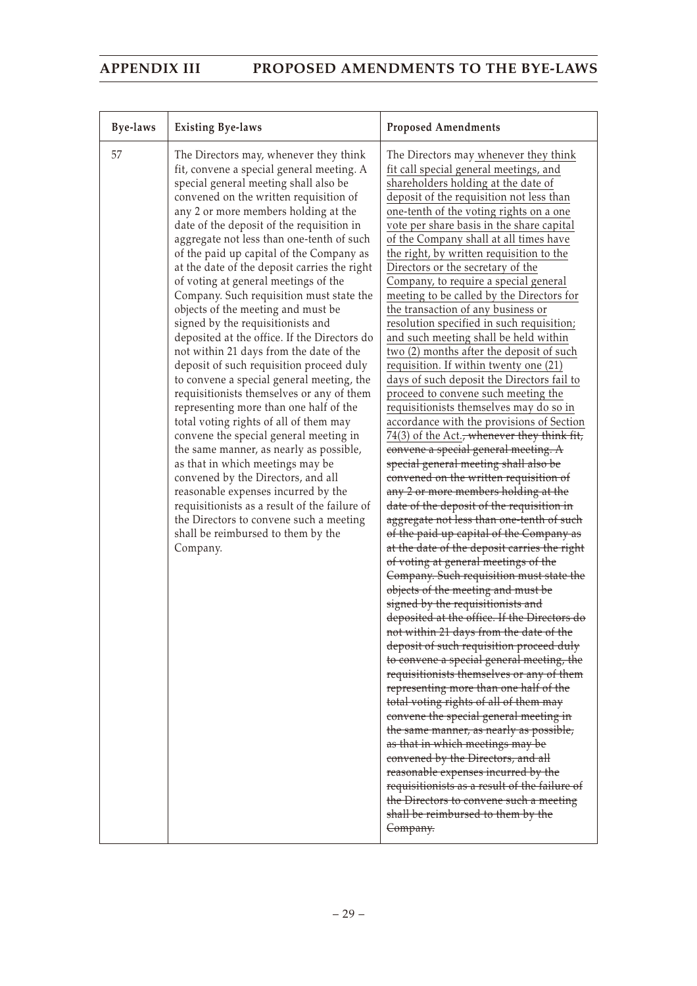| Bye-laws | <b>Existing Bye-laws</b>                                                                                                                                                                                                                                                                                                                                                                                                                                                                                                                                                                                                                                                                                                                                                                                                                                                                                                                                                                                                                                                                                                                                                                                                                     | <b>Proposed Amendments</b>                                                                                                                                                                                                                                                                                                                                                                                                                                                                                                                                                                                                                                                                                                                                                                                                                                                                                                                                                                                                                                                                                                                                                                                                                                                                                                                                                                                                                                                                                                                                                                                                                                                                                                                                                                                                                                                                                                                                                                                                                                                                                                             |
|----------|----------------------------------------------------------------------------------------------------------------------------------------------------------------------------------------------------------------------------------------------------------------------------------------------------------------------------------------------------------------------------------------------------------------------------------------------------------------------------------------------------------------------------------------------------------------------------------------------------------------------------------------------------------------------------------------------------------------------------------------------------------------------------------------------------------------------------------------------------------------------------------------------------------------------------------------------------------------------------------------------------------------------------------------------------------------------------------------------------------------------------------------------------------------------------------------------------------------------------------------------|----------------------------------------------------------------------------------------------------------------------------------------------------------------------------------------------------------------------------------------------------------------------------------------------------------------------------------------------------------------------------------------------------------------------------------------------------------------------------------------------------------------------------------------------------------------------------------------------------------------------------------------------------------------------------------------------------------------------------------------------------------------------------------------------------------------------------------------------------------------------------------------------------------------------------------------------------------------------------------------------------------------------------------------------------------------------------------------------------------------------------------------------------------------------------------------------------------------------------------------------------------------------------------------------------------------------------------------------------------------------------------------------------------------------------------------------------------------------------------------------------------------------------------------------------------------------------------------------------------------------------------------------------------------------------------------------------------------------------------------------------------------------------------------------------------------------------------------------------------------------------------------------------------------------------------------------------------------------------------------------------------------------------------------------------------------------------------------------------------------------------------------|
| 57       | The Directors may, whenever they think<br>fit, convene a special general meeting. A<br>special general meeting shall also be<br>convened on the written requisition of<br>any 2 or more members holding at the<br>date of the deposit of the requisition in<br>aggregate not less than one-tenth of such<br>of the paid up capital of the Company as<br>at the date of the deposit carries the right<br>of voting at general meetings of the<br>Company. Such requisition must state the<br>objects of the meeting and must be<br>signed by the requisitionists and<br>deposited at the office. If the Directors do<br>not within 21 days from the date of the<br>deposit of such requisition proceed duly<br>to convene a special general meeting, the<br>requisitionists themselves or any of them<br>representing more than one half of the<br>total voting rights of all of them may<br>convene the special general meeting in<br>the same manner, as nearly as possible,<br>as that in which meetings may be<br>convened by the Directors, and all<br>reasonable expenses incurred by the<br>requisitionists as a result of the failure of<br>the Directors to convene such a meeting<br>shall be reimbursed to them by the<br>Company. | The Directors may whenever they think<br>fit call special general meetings, and<br>shareholders holding at the date of<br>deposit of the requisition not less than<br>one-tenth of the voting rights on a one<br>vote per share basis in the share capital<br>of the Company shall at all times have<br>the right, by written requisition to the<br>Directors or the secretary of the<br>Company, to require a special general<br>meeting to be called by the Directors for<br>the transaction of any business or<br>resolution specified in such requisition;<br>and such meeting shall be held within<br>two (2) months after the deposit of such<br>requisition. If within twenty one (21)<br>days of such deposit the Directors fail to<br>proceed to convene such meeting the<br>requisitionists themselves may do so in<br>accordance with the provisions of Section<br>74(3) of the Act. <del>, whenever they think fit,</del><br>convene a special general meeting. A<br>special general meeting shall also be<br>convened on the written requisition of<br>any 2 or more members holding at the<br>date of the deposit of the requisition in<br>aggregate not less than one-tenth of such<br>of the paid up capital of the Company as<br>at the date of the deposit carries the right<br>of voting at general meetings of the<br>Company. Such requisition must state the<br>objects of the meeting and must be<br>signed by the requisitionists and<br>deposited at the office. If the Directors do<br>not within 21 days from the date of the<br>deposit of such requisition proceed duly<br>to convene a special general meeting, the<br>requisitionists themselves or any of them<br>representing more than one half of the<br>total voting rights of all of them may<br>convene the special general meeting in<br>the same manner, as nearly as possible,<br>as that in which meetings may be<br>convened by the Directors, and all<br>reasonable expenses incurred by the<br>requisitionists as a result of the failure of<br>the Directors to convene such a meeting<br>shall be reimbursed to them by the<br>Company. |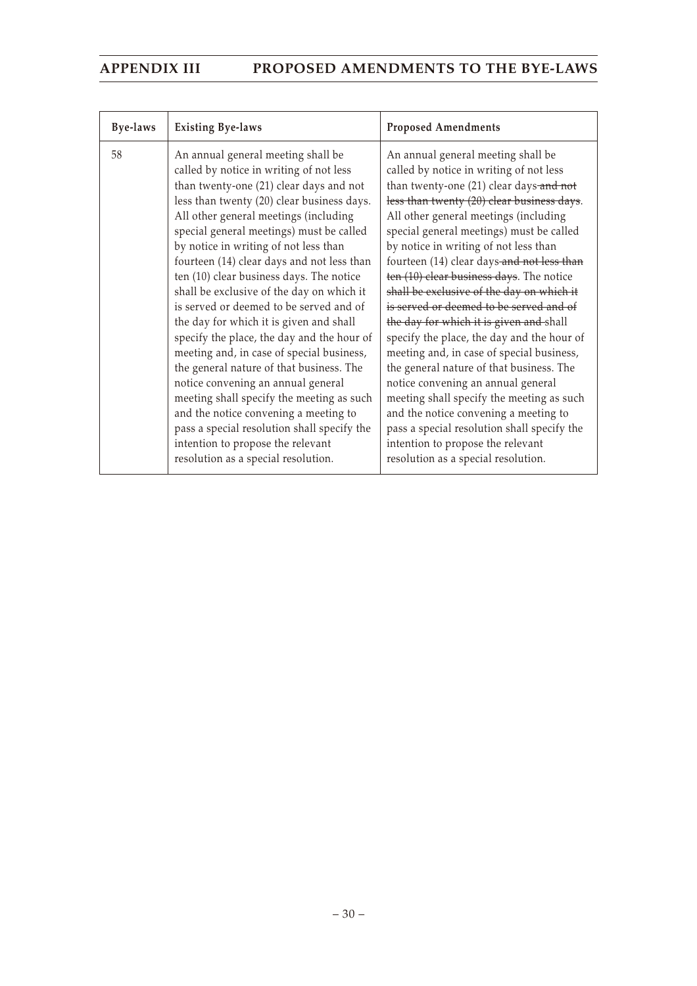| <b>Bye-laws</b> | <b>Existing Bye-laws</b>                                                                                                                                                                                                                                                                                                                                                                                                                                                                                                                                                                                                                                                                                                                                                                                                                                                                                                        | <b>Proposed Amendments</b>                                                                                                                                                                                                                                                                                                                                                                                                                                                                                                                                                                                                                                                                                                                                                                                                                                                                                                      |
|-----------------|---------------------------------------------------------------------------------------------------------------------------------------------------------------------------------------------------------------------------------------------------------------------------------------------------------------------------------------------------------------------------------------------------------------------------------------------------------------------------------------------------------------------------------------------------------------------------------------------------------------------------------------------------------------------------------------------------------------------------------------------------------------------------------------------------------------------------------------------------------------------------------------------------------------------------------|---------------------------------------------------------------------------------------------------------------------------------------------------------------------------------------------------------------------------------------------------------------------------------------------------------------------------------------------------------------------------------------------------------------------------------------------------------------------------------------------------------------------------------------------------------------------------------------------------------------------------------------------------------------------------------------------------------------------------------------------------------------------------------------------------------------------------------------------------------------------------------------------------------------------------------|
| 58              | An annual general meeting shall be<br>called by notice in writing of not less<br>than twenty-one (21) clear days and not<br>less than twenty (20) clear business days.<br>All other general meetings (including<br>special general meetings) must be called<br>by notice in writing of not less than<br>fourteen (14) clear days and not less than<br>ten (10) clear business days. The notice<br>shall be exclusive of the day on which it<br>is served or deemed to be served and of<br>the day for which it is given and shall<br>specify the place, the day and the hour of<br>meeting and, in case of special business,<br>the general nature of that business. The<br>notice convening an annual general<br>meeting shall specify the meeting as such<br>and the notice convening a meeting to<br>pass a special resolution shall specify the<br>intention to propose the relevant<br>resolution as a special resolution. | An annual general meeting shall be<br>called by notice in writing of not less<br>than twenty-one (21) clear days-and not<br>less than twenty (20) clear business days.<br>All other general meetings (including<br>special general meetings) must be called<br>by notice in writing of not less than<br>fourteen (14) clear days-and not less than<br>ten (10) clear business days. The notice<br>shall be exclusive of the day on which it<br>is served or deemed to be served and of<br>the day for which it is given and shall<br>specify the place, the day and the hour of<br>meeting and, in case of special business,<br>the general nature of that business. The<br>notice convening an annual general<br>meeting shall specify the meeting as such<br>and the notice convening a meeting to<br>pass a special resolution shall specify the<br>intention to propose the relevant<br>resolution as a special resolution. |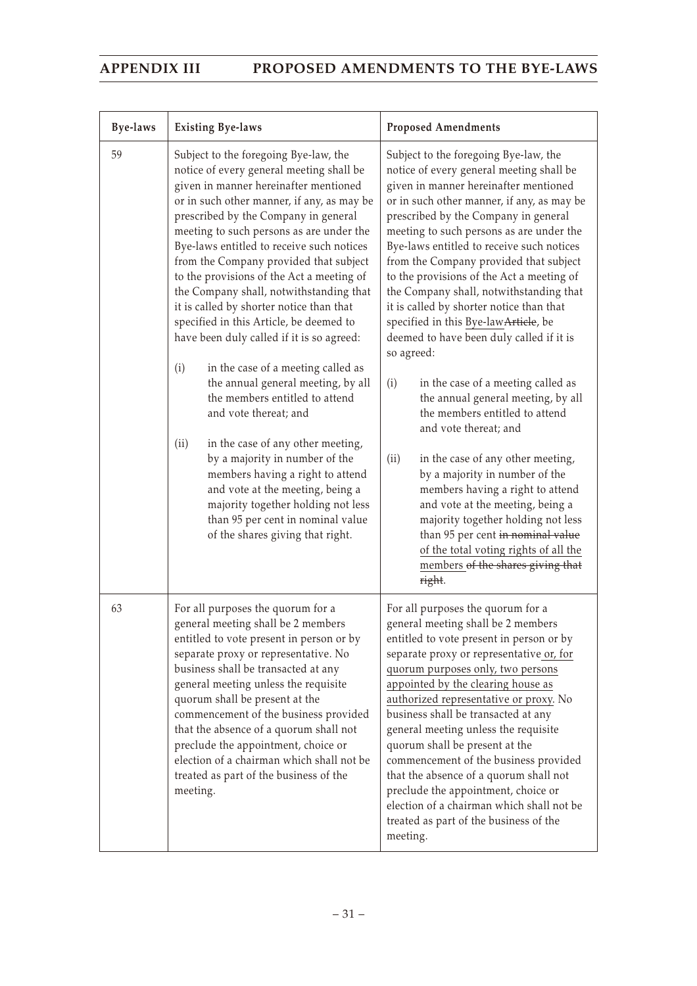| <b>Bye-laws</b> | <b>Existing Bye-laws</b>                                                                                                                                                                                                                                                                                                                                                                                                                                                                                                                                                                                                                                                                                                                                                                                                                                                                                                                                                                            | <b>Proposed Amendments</b>                                                                                                                                                                                                                                                                                                                                                                                                                                                                                                                                                                                                                                                                                                                                                                                                                                                                                                                                                                                                                                         |
|-----------------|-----------------------------------------------------------------------------------------------------------------------------------------------------------------------------------------------------------------------------------------------------------------------------------------------------------------------------------------------------------------------------------------------------------------------------------------------------------------------------------------------------------------------------------------------------------------------------------------------------------------------------------------------------------------------------------------------------------------------------------------------------------------------------------------------------------------------------------------------------------------------------------------------------------------------------------------------------------------------------------------------------|--------------------------------------------------------------------------------------------------------------------------------------------------------------------------------------------------------------------------------------------------------------------------------------------------------------------------------------------------------------------------------------------------------------------------------------------------------------------------------------------------------------------------------------------------------------------------------------------------------------------------------------------------------------------------------------------------------------------------------------------------------------------------------------------------------------------------------------------------------------------------------------------------------------------------------------------------------------------------------------------------------------------------------------------------------------------|
| 59              | Subject to the foregoing Bye-law, the<br>notice of every general meeting shall be<br>given in manner hereinafter mentioned<br>or in such other manner, if any, as may be<br>prescribed by the Company in general<br>meeting to such persons as are under the<br>Bye-laws entitled to receive such notices<br>from the Company provided that subject<br>to the provisions of the Act a meeting of<br>the Company shall, notwithstanding that<br>it is called by shorter notice than that<br>specified in this Article, be deemed to<br>have been duly called if it is so agreed:<br>in the case of a meeting called as<br>(i)<br>the annual general meeting, by all<br>the members entitled to attend<br>and vote thereat; and<br>in the case of any other meeting,<br>(ii)<br>by a majority in number of the<br>members having a right to attend<br>and vote at the meeting, being a<br>majority together holding not less<br>than 95 per cent in nominal value<br>of the shares giving that right. | Subject to the foregoing Bye-law, the<br>notice of every general meeting shall be<br>given in manner hereinafter mentioned<br>or in such other manner, if any, as may be<br>prescribed by the Company in general<br>meeting to such persons as are under the<br>Bye-laws entitled to receive such notices<br>from the Company provided that subject<br>to the provisions of the Act a meeting of<br>the Company shall, notwithstanding that<br>it is called by shorter notice than that<br>specified in this Bye-law Article, be<br>deemed to have been duly called if it is<br>so agreed:<br>in the case of a meeting called as<br>(i)<br>the annual general meeting, by all<br>the members entitled to attend<br>and vote thereat; and<br>in the case of any other meeting,<br>(ii)<br>by a majority in number of the<br>members having a right to attend<br>and vote at the meeting, being a<br>majority together holding not less<br>than 95 per cent in nominal value<br>of the total voting rights of all the<br>members of the shares giving that<br>right. |
| 63              | For all purposes the quorum for a<br>general meeting shall be 2 members<br>entitled to vote present in person or by<br>separate proxy or representative. No<br>business shall be transacted at any<br>general meeting unless the requisite<br>quorum shall be present at the<br>commencement of the business provided<br>that the absence of a quorum shall not<br>preclude the appointment, choice or<br>election of a chairman which shall not be<br>treated as part of the business of the<br>meeting.                                                                                                                                                                                                                                                                                                                                                                                                                                                                                           | For all purposes the quorum for a<br>general meeting shall be 2 members<br>entitled to vote present in person or by<br>separate proxy or representative or, for<br>quorum purposes only, two persons<br>appointed by the clearing house as<br>authorized representative or proxy. No<br>business shall be transacted at any<br>general meeting unless the requisite<br>quorum shall be present at the<br>commencement of the business provided<br>that the absence of a quorum shall not<br>preclude the appointment, choice or<br>election of a chairman which shall not be<br>treated as part of the business of the<br>meeting.                                                                                                                                                                                                                                                                                                                                                                                                                                 |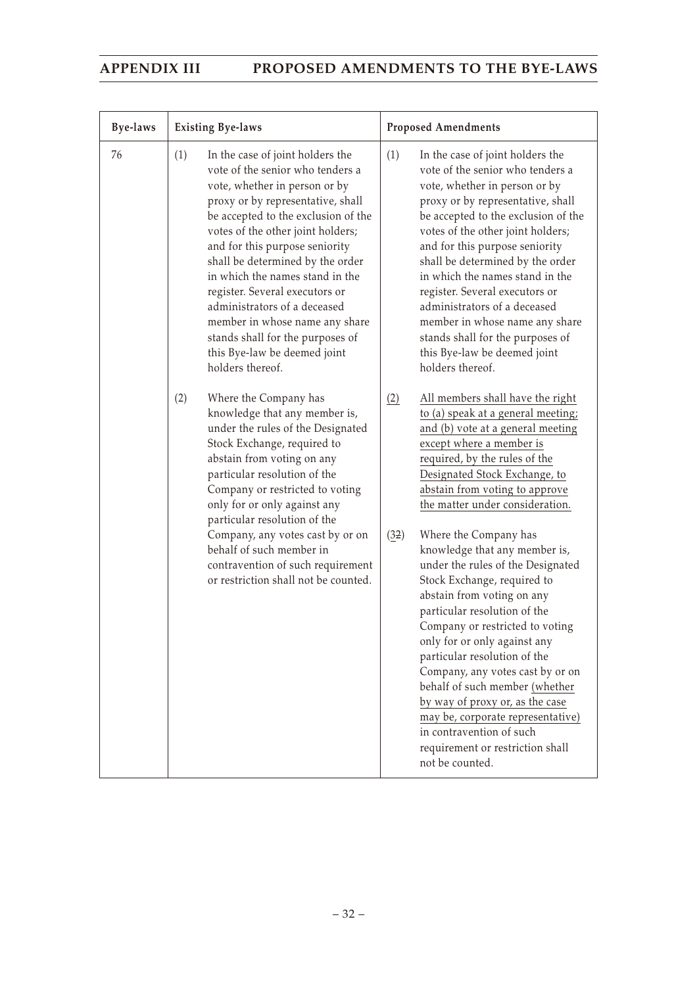| <b>Bye-laws</b> |     | <b>Existing Bye-laws</b>                                                                                                                                                                                                                                                                                                                                                                                                                                                                                                    |             | <b>Proposed Amendments</b>                                                                                                                                                                                                                                                                                                                                                                                                                                                                                                                                                                                                                                                                                                                                                                                     |
|-----------------|-----|-----------------------------------------------------------------------------------------------------------------------------------------------------------------------------------------------------------------------------------------------------------------------------------------------------------------------------------------------------------------------------------------------------------------------------------------------------------------------------------------------------------------------------|-------------|----------------------------------------------------------------------------------------------------------------------------------------------------------------------------------------------------------------------------------------------------------------------------------------------------------------------------------------------------------------------------------------------------------------------------------------------------------------------------------------------------------------------------------------------------------------------------------------------------------------------------------------------------------------------------------------------------------------------------------------------------------------------------------------------------------------|
| 76              | (1) | In the case of joint holders the<br>vote of the senior who tenders a<br>vote, whether in person or by<br>proxy or by representative, shall<br>be accepted to the exclusion of the<br>votes of the other joint holders;<br>and for this purpose seniority<br>shall be determined by the order<br>in which the names stand in the<br>register. Several executors or<br>administrators of a deceased<br>member in whose name any share<br>stands shall for the purposes of<br>this Bye-law be deemed joint<br>holders thereof. | (1)         | In the case of joint holders the<br>vote of the senior who tenders a<br>vote, whether in person or by<br>proxy or by representative, shall<br>be accepted to the exclusion of the<br>votes of the other joint holders;<br>and for this purpose seniority<br>shall be determined by the order<br>in which the names stand in the<br>register. Several executors or<br>administrators of a deceased<br>member in whose name any share<br>stands shall for the purposes of<br>this Bye-law be deemed joint<br>holders thereof.                                                                                                                                                                                                                                                                                    |
|                 | (2) | Where the Company has<br>knowledge that any member is,<br>under the rules of the Designated<br>Stock Exchange, required to<br>abstain from voting on any<br>particular resolution of the<br>Company or restricted to voting<br>only for or only against any<br>particular resolution of the<br>Company, any votes cast by or on<br>behalf of such member in<br>contravention of such requirement<br>or restriction shall not be counted.                                                                                    | (2)<br>(32) | All members shall have the right<br>to (a) speak at a general meeting;<br>and (b) vote at a general meeting<br>except where a member is<br>required, by the rules of the<br>Designated Stock Exchange, to<br>abstain from voting to approve<br>the matter under consideration.<br>Where the Company has<br>knowledge that any member is,<br>under the rules of the Designated<br>Stock Exchange, required to<br>abstain from voting on any<br>particular resolution of the<br>Company or restricted to voting<br>only for or only against any<br>particular resolution of the<br>Company, any votes cast by or on<br>behalf of such member (whether<br>by way of proxy or, as the case<br>may be, corporate representative)<br>in contravention of such<br>requirement or restriction shall<br>not be counted. |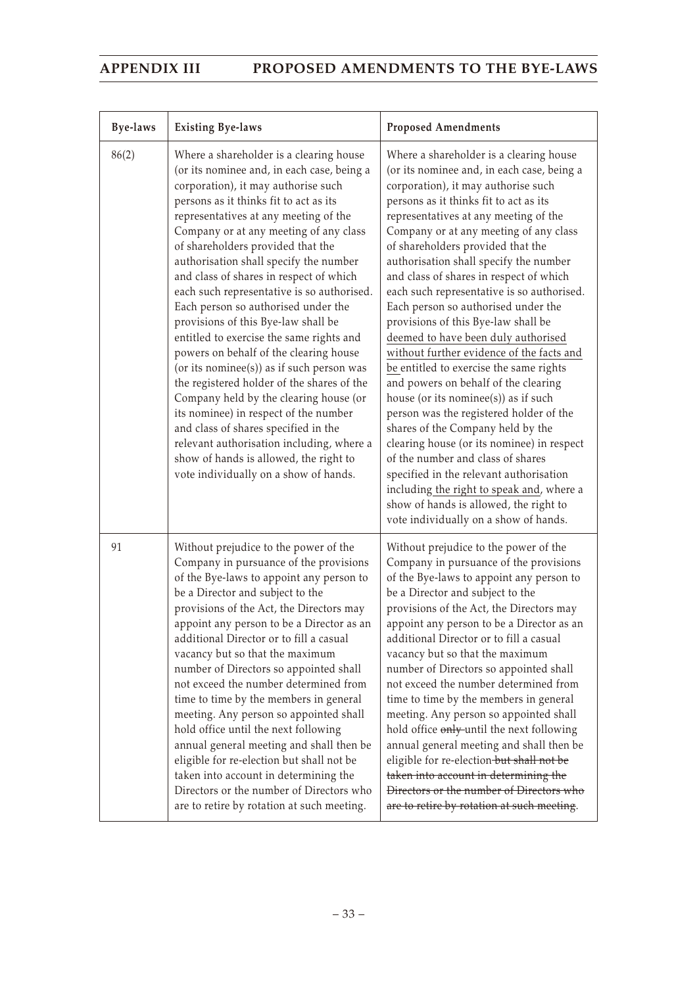| <b>Bye-laws</b> | <b>Existing Bye-laws</b>                                                                                                                                                                                                                                                                                                                                                                                                                                                                                                                                                                                                                                                                                                                                                                                                                                                                                                                                    | <b>Proposed Amendments</b>                                                                                                                                                                                                                                                                                                                                                                                                                                                                                                                                                                                                                                                                                                                                                                                                                                                                                                                                                                                                                                                   |
|-----------------|-------------------------------------------------------------------------------------------------------------------------------------------------------------------------------------------------------------------------------------------------------------------------------------------------------------------------------------------------------------------------------------------------------------------------------------------------------------------------------------------------------------------------------------------------------------------------------------------------------------------------------------------------------------------------------------------------------------------------------------------------------------------------------------------------------------------------------------------------------------------------------------------------------------------------------------------------------------|------------------------------------------------------------------------------------------------------------------------------------------------------------------------------------------------------------------------------------------------------------------------------------------------------------------------------------------------------------------------------------------------------------------------------------------------------------------------------------------------------------------------------------------------------------------------------------------------------------------------------------------------------------------------------------------------------------------------------------------------------------------------------------------------------------------------------------------------------------------------------------------------------------------------------------------------------------------------------------------------------------------------------------------------------------------------------|
| 86(2)           | Where a shareholder is a clearing house<br>(or its nominee and, in each case, being a<br>corporation), it may authorise such<br>persons as it thinks fit to act as its<br>representatives at any meeting of the<br>Company or at any meeting of any class<br>of shareholders provided that the<br>authorisation shall specify the number<br>and class of shares in respect of which<br>each such representative is so authorised.<br>Each person so authorised under the<br>provisions of this Bye-law shall be<br>entitled to exercise the same rights and<br>powers on behalf of the clearing house<br>(or its nominee(s)) as if such person was<br>the registered holder of the shares of the<br>Company held by the clearing house (or<br>its nominee) in respect of the number<br>and class of shares specified in the<br>relevant authorisation including, where a<br>show of hands is allowed, the right to<br>vote individually on a show of hands. | Where a shareholder is a clearing house<br>(or its nominee and, in each case, being a<br>corporation), it may authorise such<br>persons as it thinks fit to act as its<br>representatives at any meeting of the<br>Company or at any meeting of any class<br>of shareholders provided that the<br>authorisation shall specify the number<br>and class of shares in respect of which<br>each such representative is so authorised.<br>Each person so authorised under the<br>provisions of this Bye-law shall be<br>deemed to have been duly authorised<br>without further evidence of the facts and<br>be entitled to exercise the same rights<br>and powers on behalf of the clearing<br>house (or its nominee(s)) as if such<br>person was the registered holder of the<br>shares of the Company held by the<br>clearing house (or its nominee) in respect<br>of the number and class of shares<br>specified in the relevant authorisation<br>including the right to speak and, where a<br>show of hands is allowed, the right to<br>vote individually on a show of hands. |
| 91              | Without prejudice to the power of the<br>Company in pursuance of the provisions<br>of the Bye-laws to appoint any person to<br>be a Director and subject to the<br>provisions of the Act, the Directors may<br>appoint any person to be a Director as an<br>additional Director or to fill a casual<br>vacancy but so that the maximum<br>number of Directors so appointed shall<br>not exceed the number determined from<br>time to time by the members in general<br>meeting. Any person so appointed shall<br>hold office until the next following<br>annual general meeting and shall then be<br>eligible for re-election but shall not be<br>taken into account in determining the<br>Directors or the number of Directors who<br>are to retire by rotation at such meeting.                                                                                                                                                                           | Without prejudice to the power of the<br>Company in pursuance of the provisions<br>of the Bye-laws to appoint any person to<br>be a Director and subject to the<br>provisions of the Act, the Directors may<br>appoint any person to be a Director as an<br>additional Director or to fill a casual<br>vacancy but so that the maximum<br>number of Directors so appointed shall<br>not exceed the number determined from<br>time to time by the members in general<br>meeting. Any person so appointed shall<br>hold office only until the next following<br>annual general meeting and shall then be<br>eligible for re-election-but shall not be<br>taken into account in determining the<br>Directors or the number of Directors who<br>are to retire by rotation at such meeting.                                                                                                                                                                                                                                                                                       |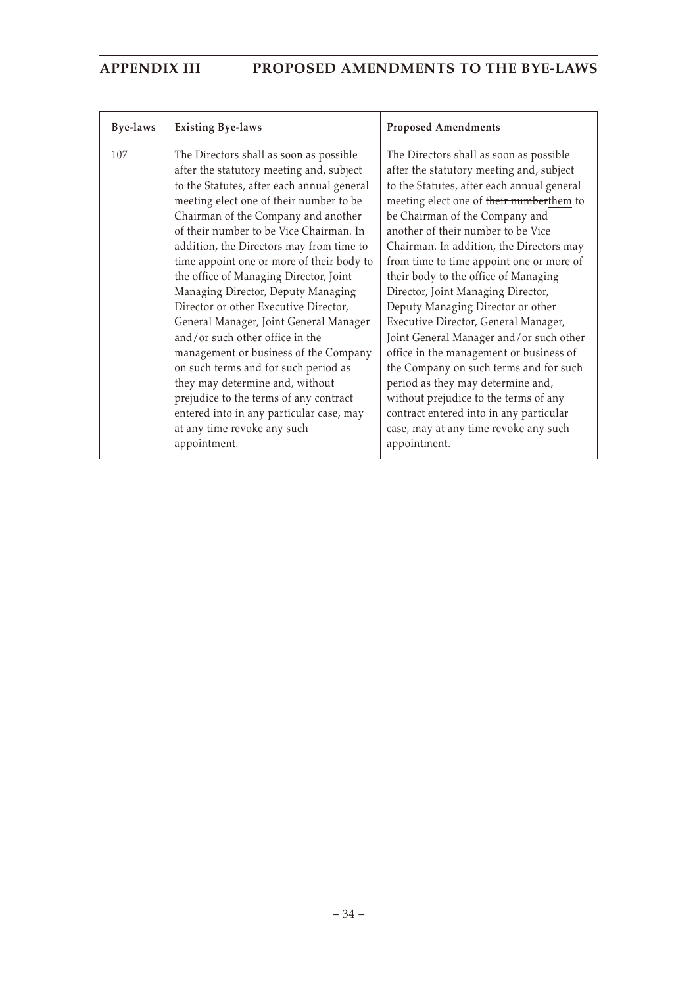| Bye-laws | <b>Existing Bye-laws</b>                                                                                                                                                                                                                                                                                                                                                                                                                                                                                                                                                                                                                                                                                                                                                                                               | <b>Proposed Amendments</b>                                                                                                                                                                                                                                                                                                                                                                                                                                                                                                                                                                                                                                                                                                                                                                                                 |
|----------|------------------------------------------------------------------------------------------------------------------------------------------------------------------------------------------------------------------------------------------------------------------------------------------------------------------------------------------------------------------------------------------------------------------------------------------------------------------------------------------------------------------------------------------------------------------------------------------------------------------------------------------------------------------------------------------------------------------------------------------------------------------------------------------------------------------------|----------------------------------------------------------------------------------------------------------------------------------------------------------------------------------------------------------------------------------------------------------------------------------------------------------------------------------------------------------------------------------------------------------------------------------------------------------------------------------------------------------------------------------------------------------------------------------------------------------------------------------------------------------------------------------------------------------------------------------------------------------------------------------------------------------------------------|
| 107      | The Directors shall as soon as possible<br>after the statutory meeting and, subject<br>to the Statutes, after each annual general<br>meeting elect one of their number to be<br>Chairman of the Company and another<br>of their number to be Vice Chairman. In<br>addition, the Directors may from time to<br>time appoint one or more of their body to<br>the office of Managing Director, Joint<br>Managing Director, Deputy Managing<br>Director or other Executive Director,<br>General Manager, Joint General Manager<br>and/or such other office in the<br>management or business of the Company<br>on such terms and for such period as<br>they may determine and, without<br>prejudice to the terms of any contract<br>entered into in any particular case, may<br>at any time revoke any such<br>appointment. | The Directors shall as soon as possible<br>after the statutory meeting and, subject<br>to the Statutes, after each annual general<br>meeting elect one of their numberthem to<br>be Chairman of the Company and<br>another of their number to be Vice<br>Chairman. In addition, the Directors may<br>from time to time appoint one or more of<br>their body to the office of Managing<br>Director, Joint Managing Director,<br>Deputy Managing Director or other<br>Executive Director, General Manager,<br>Joint General Manager and/or such other<br>office in the management or business of<br>the Company on such terms and for such<br>period as they may determine and,<br>without prejudice to the terms of any<br>contract entered into in any particular<br>case, may at any time revoke any such<br>appointment. |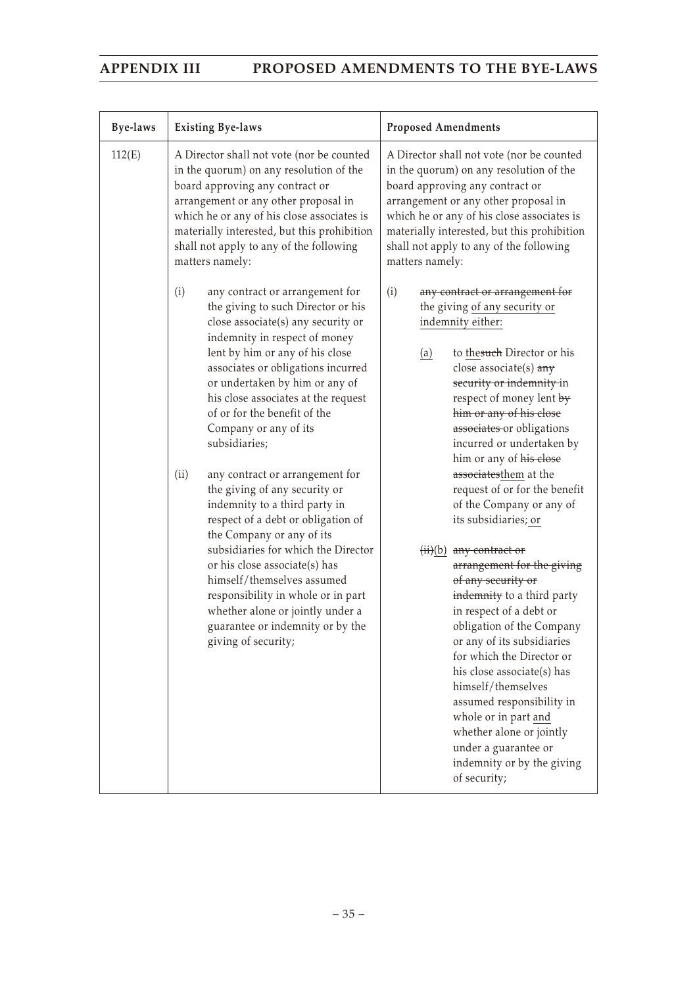| Bye-laws | <b>Existing Bye-laws</b>                                                                                                                                                                                                                                                                                                                                                                                                                                                                                                                                                                                                                                                                                                                                                                                   | <b>Proposed Amendments</b>                                                                                                                                                                                                                                                                                                                                                                                                                                                                                                                                                                                                                                                                                                                                                                                                                                                                                    |
|----------|------------------------------------------------------------------------------------------------------------------------------------------------------------------------------------------------------------------------------------------------------------------------------------------------------------------------------------------------------------------------------------------------------------------------------------------------------------------------------------------------------------------------------------------------------------------------------------------------------------------------------------------------------------------------------------------------------------------------------------------------------------------------------------------------------------|---------------------------------------------------------------------------------------------------------------------------------------------------------------------------------------------------------------------------------------------------------------------------------------------------------------------------------------------------------------------------------------------------------------------------------------------------------------------------------------------------------------------------------------------------------------------------------------------------------------------------------------------------------------------------------------------------------------------------------------------------------------------------------------------------------------------------------------------------------------------------------------------------------------|
| 112(E)   | A Director shall not vote (nor be counted<br>in the quorum) on any resolution of the<br>board approving any contract or<br>arrangement or any other proposal in<br>which he or any of his close associates is<br>materially interested, but this prohibition<br>shall not apply to any of the following<br>matters namely:                                                                                                                                                                                                                                                                                                                                                                                                                                                                                 | A Director shall not vote (nor be counted<br>in the quorum) on any resolution of the<br>board approving any contract or<br>arrangement or any other proposal in<br>which he or any of his close associates is<br>materially interested, but this prohibition<br>shall not apply to any of the following<br>matters namely:                                                                                                                                                                                                                                                                                                                                                                                                                                                                                                                                                                                    |
|          | (i)<br>any contract or arrangement for<br>the giving to such Director or his<br>close associate(s) any security or<br>indemnity in respect of money<br>lent by him or any of his close<br>associates or obligations incurred<br>or undertaken by him or any of<br>his close associates at the request<br>of or for the benefit of the<br>Company or any of its<br>subsidiaries;<br>(ii)<br>any contract or arrangement for<br>the giving of any security or<br>indemnity to a third party in<br>respect of a debt or obligation of<br>the Company or any of its<br>subsidiaries for which the Director<br>or his close associate(s) has<br>himself/themselves assumed<br>responsibility in whole or in part<br>whether alone or jointly under a<br>guarantee or indemnity or by the<br>giving of security; | (i)<br>any contract or arrangement for<br>the giving of any security or<br>indemnity either:<br>to thesuch Director or his<br>$\underline{a}$<br>close associate(s) $a$ ny<br>security or indemnity in<br>respect of money lent by<br>him or any of his close<br>associates or obligations<br>incurred or undertaken by<br>him or any of his close<br>associatesthem at the<br>request of or for the benefit<br>of the Company or any of<br>its subsidiaries; or<br>$(ii)(b)$ any contract or<br>arrangement for the giving<br>of any security or<br>indemnity to a third party<br>in respect of a debt or<br>obligation of the Company<br>or any of its subsidiaries<br>for which the Director or<br>his close associate(s) has<br>himself/themselves<br>assumed responsibility in<br>whole or in part and<br>whether alone or jointly<br>under a guarantee or<br>indemnity or by the giving<br>of security; |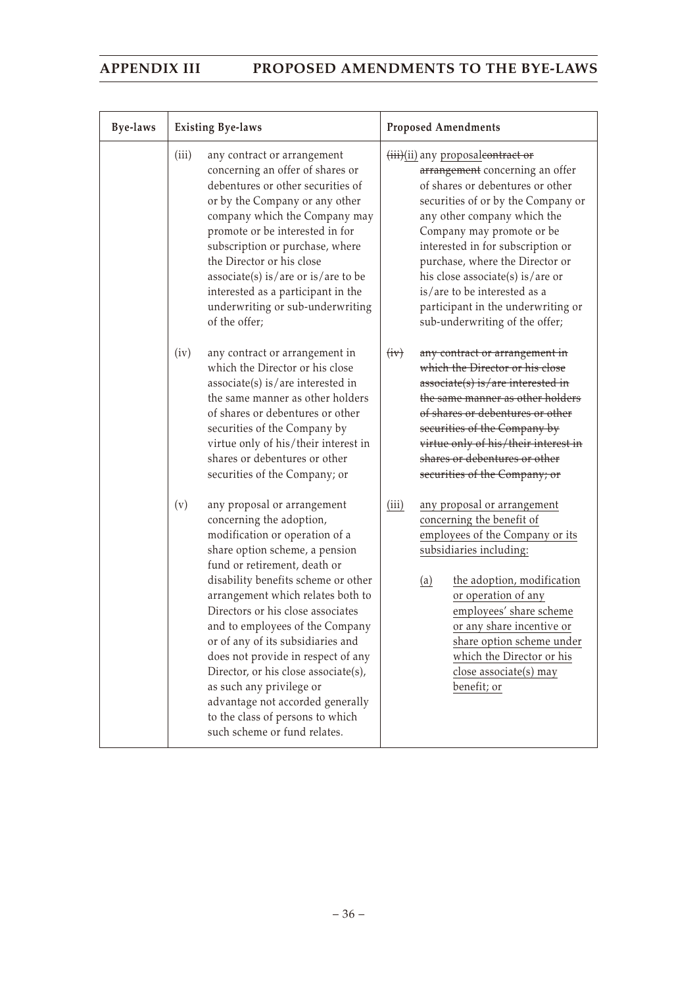| <b>Bye-laws</b> | <b>Existing Bye-laws</b>                                                                                                                                                                                                                                                                                                                                                                                                                                                                                                                                                      | <b>Proposed Amendments</b>                                                                                                                                                                                                                                                                                                                                                                                                     |
|-----------------|-------------------------------------------------------------------------------------------------------------------------------------------------------------------------------------------------------------------------------------------------------------------------------------------------------------------------------------------------------------------------------------------------------------------------------------------------------------------------------------------------------------------------------------------------------------------------------|--------------------------------------------------------------------------------------------------------------------------------------------------------------------------------------------------------------------------------------------------------------------------------------------------------------------------------------------------------------------------------------------------------------------------------|
|                 | (iii)<br>any contract or arrangement<br>concerning an offer of shares or<br>debentures or other securities of<br>or by the Company or any other<br>company which the Company may<br>promote or be interested in for<br>subscription or purchase, where<br>the Director or his close<br>$associate(s)$ is/are or is/are to be<br>interested as a participant in the<br>underwriting or sub-underwriting<br>of the offer;                                                                                                                                                       | (iii)(ii) any proposaleontract or<br>arrangement concerning an offer<br>of shares or debentures or other<br>securities of or by the Company or<br>any other company which the<br>Company may promote or be<br>interested in for subscription or<br>purchase, where the Director or<br>his close associate(s) is/are or<br>is/are to be interested as a<br>participant in the underwriting or<br>sub-underwriting of the offer; |
|                 | any contract or arrangement in<br>(iv)<br>which the Director or his close<br>$associate(s)$ is/are interested in<br>the same manner as other holders<br>of shares or debentures or other<br>securities of the Company by<br>virtue only of his/their interest in<br>shares or debentures or other<br>securities of the Company; or                                                                                                                                                                                                                                            | (iiv)<br>any contract or arrangement in<br>which the Director or his close<br>associate(s) is/are interested in<br>the same manner as other holders<br>of shares or debentures or other<br>securities of the Company by<br>virtue only of his/their interest in<br>shares or debentures or other<br>securities of the Company; or                                                                                              |
|                 | any proposal or arrangement<br>(v)<br>concerning the adoption,<br>modification or operation of a<br>share option scheme, a pension<br>fund or retirement, death or<br>disability benefits scheme or other<br>arrangement which relates both to<br>Directors or his close associates<br>and to employees of the Company<br>or of any of its subsidiaries and<br>does not provide in respect of any<br>Director, or his close associate(s),<br>as such any privilege or<br>advantage not accorded generally<br>to the class of persons to which<br>such scheme or fund relates. | any proposal or arrangement<br>(iii)<br>concerning the benefit of<br>employees of the Company or its<br>subsidiaries including:<br>the adoption, modification<br>(a)<br>or operation of any<br>employees' share scheme<br>or any share incentive or<br>share option scheme under<br>which the Director or his<br>close associate(s) may<br>benefit; or                                                                         |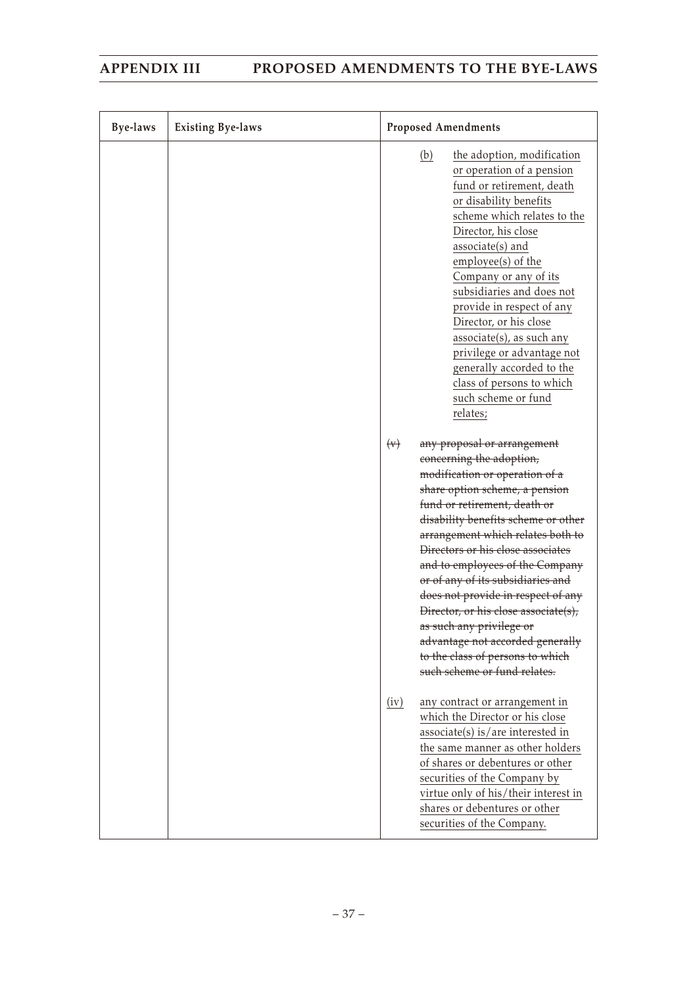| <b>Bye-laws</b> | <b>Existing Bye-laws</b> | <b>Proposed Amendments</b>                                                                                                                                                                                                                                                                                                                                                                                                                                                                                                                                                            |
|-----------------|--------------------------|---------------------------------------------------------------------------------------------------------------------------------------------------------------------------------------------------------------------------------------------------------------------------------------------------------------------------------------------------------------------------------------------------------------------------------------------------------------------------------------------------------------------------------------------------------------------------------------|
|                 |                          | (b)<br>the adoption, modification<br>or operation of a pension<br>fund or retirement, death<br>or disability benefits<br>scheme which relates to the<br>Director, his close<br>associate(s) and<br>employee(s) of the<br>Company or any of its<br>subsidiaries and does not<br>provide in respect of any<br>Director, or his close<br>associate(s), as such any<br>privilege or advantage not<br>generally accorded to the<br>class of persons to which<br>such scheme or fund<br>relates;                                                                                            |
|                 |                          | $(\forall)$<br>any proposal or arrangement<br>concerning the adoption,<br>modification or operation of a<br>share option scheme, a pension<br>fund or retirement, death or<br>disability benefits scheme or other<br>arrangement which relates both to<br>Directors or his close associates<br>and to employees of the Company<br>or of any of its subsidiaries and<br>does not provide in respect of any<br>Director, or his close associate(s),<br>as such any privilege or<br>advantage not accorded generally<br>to the class of persons to which<br>such scheme or fund relates. |
|                 |                          | (iv)<br>any contract or arrangement in<br>which the Director or his close<br>$associate(s)$ is/are interested in<br>the same manner as other holders<br>of shares or debentures or other<br>securities of the Company by<br>virtue only of his/their interest in<br>shares or debentures or other<br>securities of the Company.                                                                                                                                                                                                                                                       |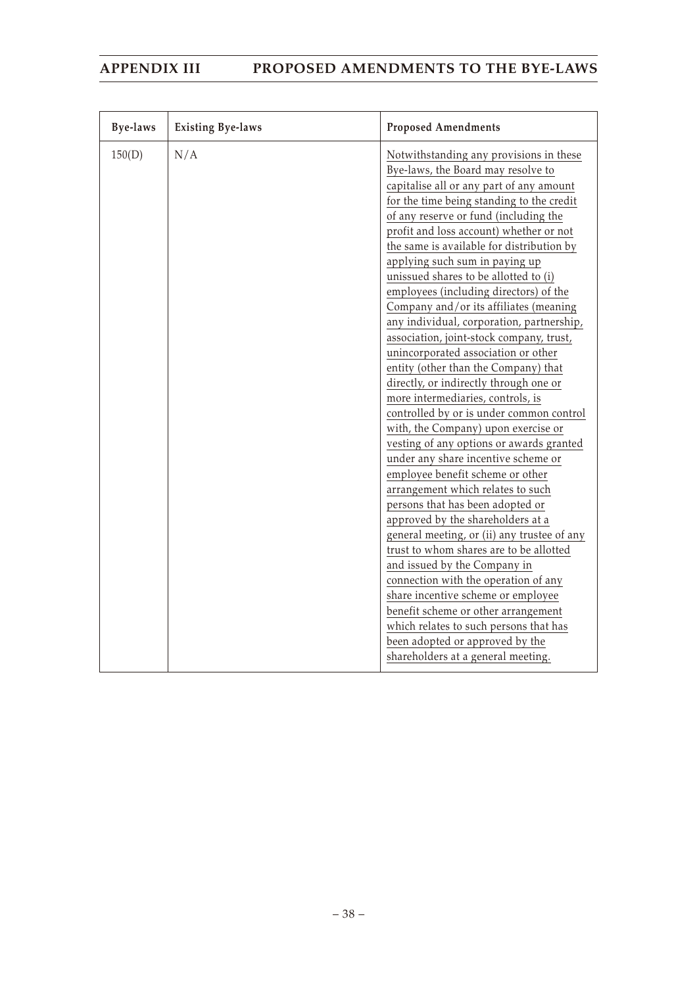| <b>Bye-laws</b> | <b>Existing Bye-laws</b> | <b>Proposed Amendments</b>                  |
|-----------------|--------------------------|---------------------------------------------|
| 150(D)          | N/A                      | Notwithstanding any provisions in these     |
|                 |                          | Bye-laws, the Board may resolve to          |
|                 |                          | capitalise all or any part of any amount    |
|                 |                          | for the time being standing to the credit   |
|                 |                          | of any reserve or fund (including the       |
|                 |                          | profit and loss account) whether or not     |
|                 |                          | the same is available for distribution by   |
|                 |                          | applying such sum in paying up              |
|                 |                          | unissued shares to be allotted to (i)       |
|                 |                          | employees (including directors) of the      |
|                 |                          | Company and/or its affiliates (meaning      |
|                 |                          | any individual, corporation, partnership,   |
|                 |                          | association, joint-stock company, trust,    |
|                 |                          | unincorporated association or other         |
|                 |                          | entity (other than the Company) that        |
|                 |                          | directly, or indirectly through one or      |
|                 |                          | more intermediaries, controls, is           |
|                 |                          | controlled by or is under common control    |
|                 |                          | with, the Company) upon exercise or         |
|                 |                          | vesting of any options or awards granted    |
|                 |                          | under any share incentive scheme or         |
|                 |                          | employee benefit scheme or other            |
|                 |                          | arrangement which relates to such           |
|                 |                          | persons that has been adopted or            |
|                 |                          | approved by the shareholders at a           |
|                 |                          | general meeting, or (ii) any trustee of any |
|                 |                          | trust to whom shares are to be allotted     |
|                 |                          | and issued by the Company in                |
|                 |                          | connection with the operation of any        |
|                 |                          | share incentive scheme or employee          |
|                 |                          | benefit scheme or other arrangement         |
|                 |                          | which relates to such persons that has      |
|                 |                          | been adopted or approved by the             |
|                 |                          | shareholders at a general meeting.          |
|                 |                          |                                             |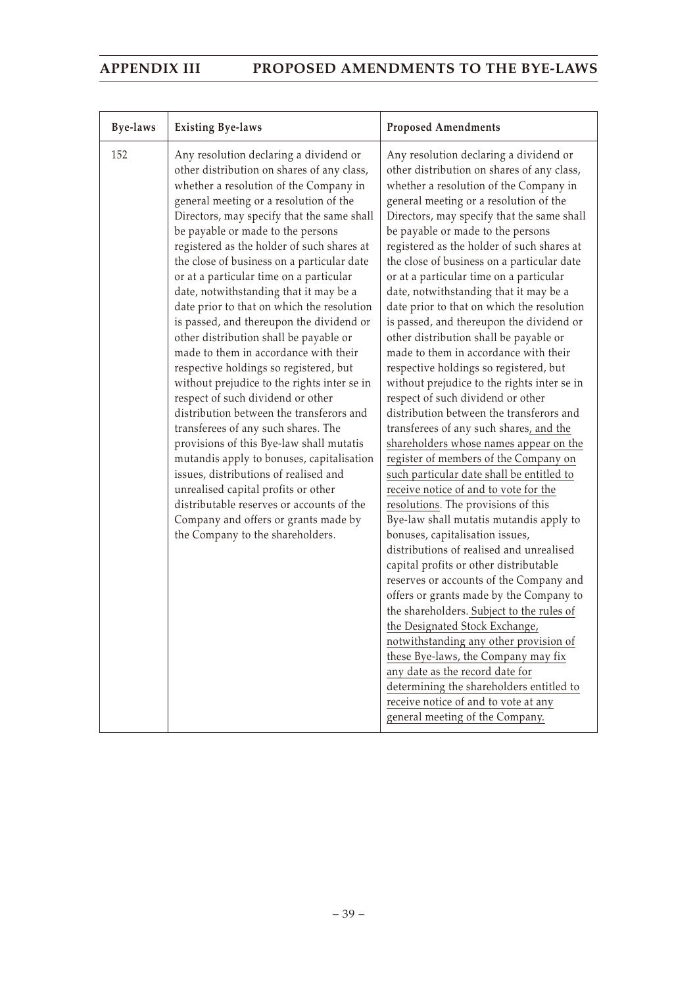| <b>Bye-laws</b> | <b>Existing Bye-laws</b>                                                                                                                                                                                                                                                                                                                                                                                                                                                                                                                                                                                                                                                                                                                                                                                                                                                                                                                                                                                                                                                                                                                     | <b>Proposed Amendments</b>                                                                                                                                                                                                                                                                                                                                                                                                                                                                                                                                                                                                                                                                                                                                                                                                                                                                                                                                                                                                                                                                                                                                                                                                                                                                                                                                                                                                                                                                                                                                                                                                                         |
|-----------------|----------------------------------------------------------------------------------------------------------------------------------------------------------------------------------------------------------------------------------------------------------------------------------------------------------------------------------------------------------------------------------------------------------------------------------------------------------------------------------------------------------------------------------------------------------------------------------------------------------------------------------------------------------------------------------------------------------------------------------------------------------------------------------------------------------------------------------------------------------------------------------------------------------------------------------------------------------------------------------------------------------------------------------------------------------------------------------------------------------------------------------------------|----------------------------------------------------------------------------------------------------------------------------------------------------------------------------------------------------------------------------------------------------------------------------------------------------------------------------------------------------------------------------------------------------------------------------------------------------------------------------------------------------------------------------------------------------------------------------------------------------------------------------------------------------------------------------------------------------------------------------------------------------------------------------------------------------------------------------------------------------------------------------------------------------------------------------------------------------------------------------------------------------------------------------------------------------------------------------------------------------------------------------------------------------------------------------------------------------------------------------------------------------------------------------------------------------------------------------------------------------------------------------------------------------------------------------------------------------------------------------------------------------------------------------------------------------------------------------------------------------------------------------------------------------|
| 152             | Any resolution declaring a dividend or<br>other distribution on shares of any class,<br>whether a resolution of the Company in<br>general meeting or a resolution of the<br>Directors, may specify that the same shall<br>be payable or made to the persons<br>registered as the holder of such shares at<br>the close of business on a particular date<br>or at a particular time on a particular<br>date, notwithstanding that it may be a<br>date prior to that on which the resolution<br>is passed, and thereupon the dividend or<br>other distribution shall be payable or<br>made to them in accordance with their<br>respective holdings so registered, but<br>without prejudice to the rights inter se in<br>respect of such dividend or other<br>distribution between the transferors and<br>transferees of any such shares. The<br>provisions of this Bye-law shall mutatis<br>mutandis apply to bonuses, capitalisation<br>issues, distributions of realised and<br>unrealised capital profits or other<br>distributable reserves or accounts of the<br>Company and offers or grants made by<br>the Company to the shareholders. | Any resolution declaring a dividend or<br>other distribution on shares of any class,<br>whether a resolution of the Company in<br>general meeting or a resolution of the<br>Directors, may specify that the same shall<br>be payable or made to the persons<br>registered as the holder of such shares at<br>the close of business on a particular date<br>or at a particular time on a particular<br>date, notwithstanding that it may be a<br>date prior to that on which the resolution<br>is passed, and thereupon the dividend or<br>other distribution shall be payable or<br>made to them in accordance with their<br>respective holdings so registered, but<br>without prejudice to the rights inter se in<br>respect of such dividend or other<br>distribution between the transferors and<br>transferees of any such shares, and the<br>shareholders whose names appear on the<br>register of members of the Company on<br>such particular date shall be entitled to<br>receive notice of and to vote for the<br>resolutions. The provisions of this<br>Bye-law shall mutatis mutandis apply to<br>bonuses, capitalisation issues,<br>distributions of realised and unrealised<br>capital profits or other distributable<br>reserves or accounts of the Company and<br>offers or grants made by the Company to<br>the shareholders. Subject to the rules of<br>the Designated Stock Exchange,<br>notwithstanding any other provision of<br>these Bye-laws, the Company may fix<br>any date as the record date for<br>determining the shareholders entitled to<br>receive notice of and to vote at any<br>general meeting of the Company. |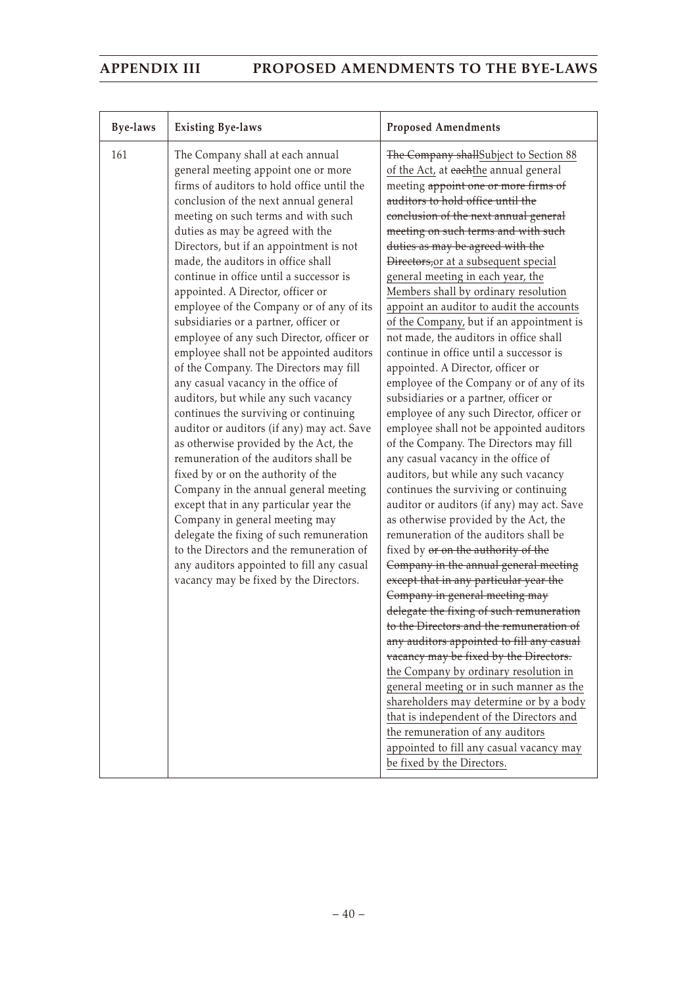| <b>Bye-laws</b> | <b>Existing Bye-laws</b>                                                                                                                                                                                                                                                                                                                                                                                                                                                                                                                                                                                                                                                                                                                                                                                                                                                                                                                                                                                                                                                                                                                                                                                                              | <b>Proposed Amendments</b>                                                                                                                                                                                                                                                                                                                                                                                                                                                                                                                                                                                                                                                                                                                                                                                                                                                                                                                                                                                                                                                                                                                                                                                                                                                                                                                                                                                                                                                                                                                                                                                                                                                                                                                    |
|-----------------|---------------------------------------------------------------------------------------------------------------------------------------------------------------------------------------------------------------------------------------------------------------------------------------------------------------------------------------------------------------------------------------------------------------------------------------------------------------------------------------------------------------------------------------------------------------------------------------------------------------------------------------------------------------------------------------------------------------------------------------------------------------------------------------------------------------------------------------------------------------------------------------------------------------------------------------------------------------------------------------------------------------------------------------------------------------------------------------------------------------------------------------------------------------------------------------------------------------------------------------|-----------------------------------------------------------------------------------------------------------------------------------------------------------------------------------------------------------------------------------------------------------------------------------------------------------------------------------------------------------------------------------------------------------------------------------------------------------------------------------------------------------------------------------------------------------------------------------------------------------------------------------------------------------------------------------------------------------------------------------------------------------------------------------------------------------------------------------------------------------------------------------------------------------------------------------------------------------------------------------------------------------------------------------------------------------------------------------------------------------------------------------------------------------------------------------------------------------------------------------------------------------------------------------------------------------------------------------------------------------------------------------------------------------------------------------------------------------------------------------------------------------------------------------------------------------------------------------------------------------------------------------------------------------------------------------------------------------------------------------------------|
| 161             | The Company shall at each annual<br>general meeting appoint one or more<br>firms of auditors to hold office until the<br>conclusion of the next annual general<br>meeting on such terms and with such<br>duties as may be agreed with the<br>Directors, but if an appointment is not<br>made, the auditors in office shall<br>continue in office until a successor is<br>appointed. A Director, officer or<br>employee of the Company or of any of its<br>subsidiaries or a partner, officer or<br>employee of any such Director, officer or<br>employee shall not be appointed auditors<br>of the Company. The Directors may fill<br>any casual vacancy in the office of<br>auditors, but while any such vacancy<br>continues the surviving or continuing<br>auditor or auditors (if any) may act. Save<br>as otherwise provided by the Act, the<br>remuneration of the auditors shall be<br>fixed by or on the authority of the<br>Company in the annual general meeting<br>except that in any particular year the<br>Company in general meeting may<br>delegate the fixing of such remuneration<br>to the Directors and the remuneration of<br>any auditors appointed to fill any casual<br>vacancy may be fixed by the Directors. | The Company shallSubject to Section 88<br>of the Act, at eachthe annual general<br>meeting appoint one or more firms of<br>auditors to hold office until the<br>conclusion of the next annual general<br>meeting on such terms and with such<br>duties as may be agreed with the<br>Directors, or at a subsequent special<br>general meeting in each year, the<br>Members shall by ordinary resolution<br>appoint an auditor to audit the accounts<br>of the Company, but if an appointment is<br>not made, the auditors in office shall<br>continue in office until a successor is<br>appointed. A Director, officer or<br>employee of the Company or of any of its<br>subsidiaries or a partner, officer or<br>employee of any such Director, officer or<br>employee shall not be appointed auditors<br>of the Company. The Directors may fill<br>any casual vacancy in the office of<br>auditors, but while any such vacancy<br>continues the surviving or continuing<br>auditor or auditors (if any) may act. Save<br>as otherwise provided by the Act, the<br>remuneration of the auditors shall be<br>fixed by or on the authority of the<br>Company in the annual general meeting<br>except that in any particular year the<br>Company in general meeting may<br>delegate the fixing of such remuneration<br>to the Directors and the remuneration of<br>any auditors appointed to fill any casual<br>vacancy may be fixed by the Directors.<br>the Company by ordinary resolution in<br>general meeting or in such manner as the<br>shareholders may determine or by a body<br>that is independent of the Directors and<br>the remuneration of any auditors<br>appointed to fill any casual vacancy may<br>be fixed by the Directors. |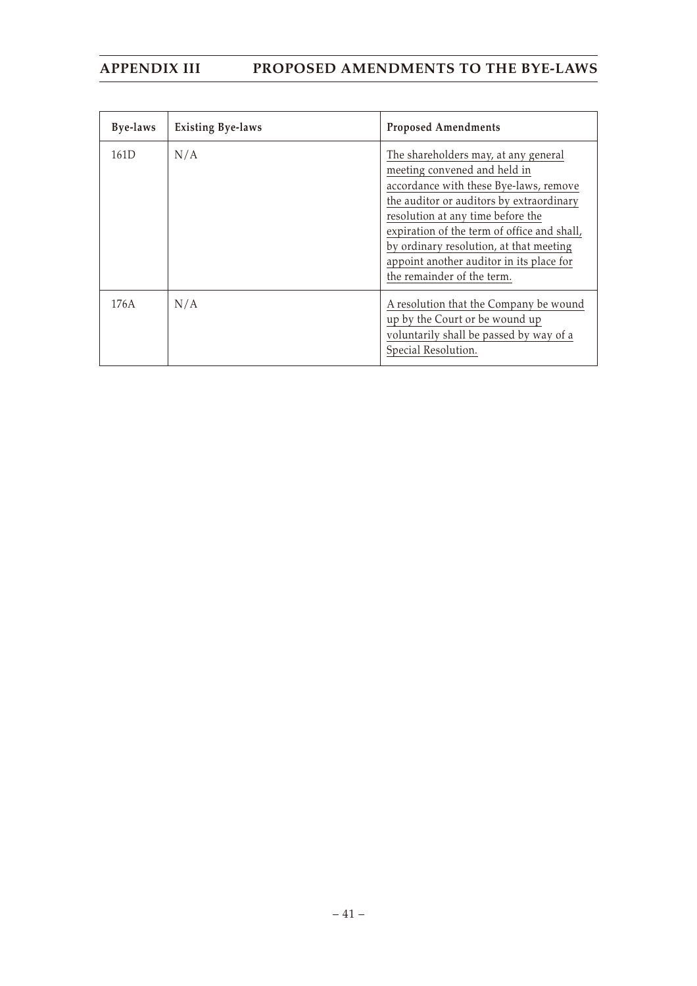| Bye-laws | <b>Existing Bye-laws</b> | <b>Proposed Amendments</b>                                                                                                                                                                                                                                                                                                                                          |
|----------|--------------------------|---------------------------------------------------------------------------------------------------------------------------------------------------------------------------------------------------------------------------------------------------------------------------------------------------------------------------------------------------------------------|
| 161D     | N/A                      | The shareholders may, at any general<br>meeting convened and held in<br>accordance with these Bye-laws, remove<br>the auditor or auditors by extraordinary<br>resolution at any time before the<br>expiration of the term of office and shall,<br>by ordinary resolution, at that meeting<br>appoint another auditor in its place for<br>the remainder of the term. |
| 176A     | N/A                      | A resolution that the Company be wound<br>up by the Court or be wound up<br>voluntarily shall be passed by way of a<br>Special Resolution.                                                                                                                                                                                                                          |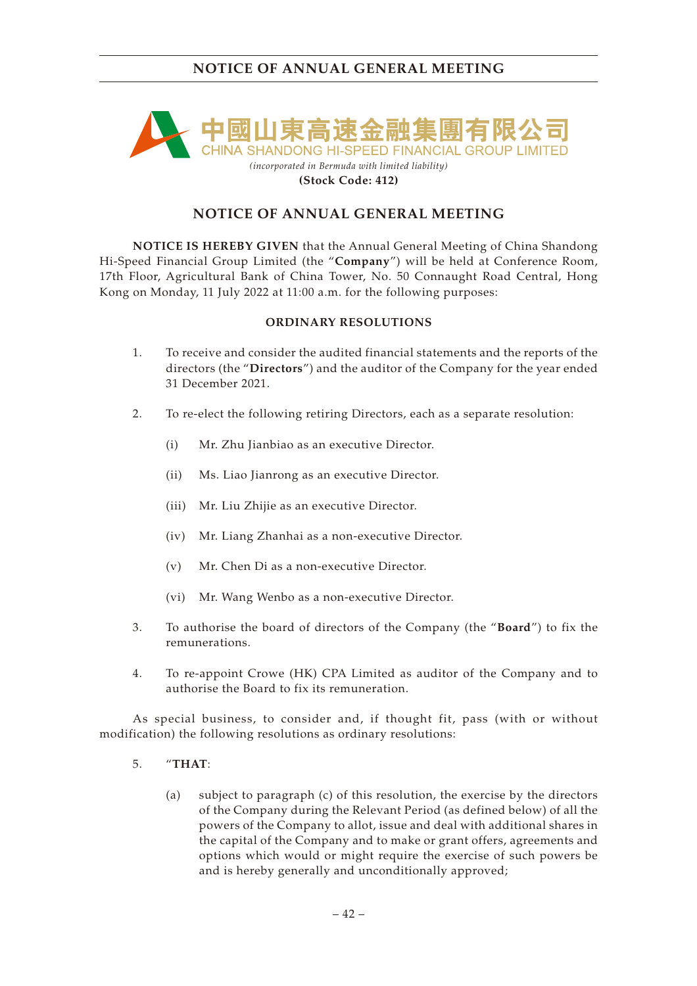

### **(Stock Code: 412)**

## **NOTICE OF ANNUAL GENERAL MEETING**

**NOTICE IS HEREBY GIVEN** that the Annual General Meeting of China Shandong Hi-Speed Financial Group Limited (the "**Company**") will be held at Conference Room, 17th Floor, Agricultural Bank of China Tower, No. 50 Connaught Road Central, Hong Kong on Monday, 11 July 2022 at 11:00 a.m. for the following purposes:

## **ORDINARY RESOLUTIONS**

- 1. To receive and consider the audited financial statements and the reports of the directors (the "**Directors**") and the auditor of the Company for the year ended 31 December 2021.
- 2. To re-elect the following retiring Directors, each as a separate resolution:
	- (i) Mr. Zhu Jianbiao as an executive Director.
	- (ii) Ms. Liao Jianrong as an executive Director.
	- (iii) Mr. Liu Zhijie as an executive Director.
	- (iv) Mr. Liang Zhanhai as a non-executive Director.
	- (v) Mr. Chen Di as a non-executive Director.
	- (vi) Mr. Wang Wenbo as a non-executive Director.
- 3. To authorise the board of directors of the Company (the "**Board**") to fix the remunerations.
- 4. To re-appoint Crowe (HK) CPA Limited as auditor of the Company and to authorise the Board to fix its remuneration.

As special business, to consider and, if thought fit, pass (with or without modification) the following resolutions as ordinary resolutions:

- 5. "**THAT**:
	- (a) subject to paragraph (c) of this resolution, the exercise by the directors of the Company during the Relevant Period (as defined below) of all the powers of the Company to allot, issue and deal with additional shares in the capital of the Company and to make or grant offers, agreements and options which would or might require the exercise of such powers be and is hereby generally and unconditionally approved;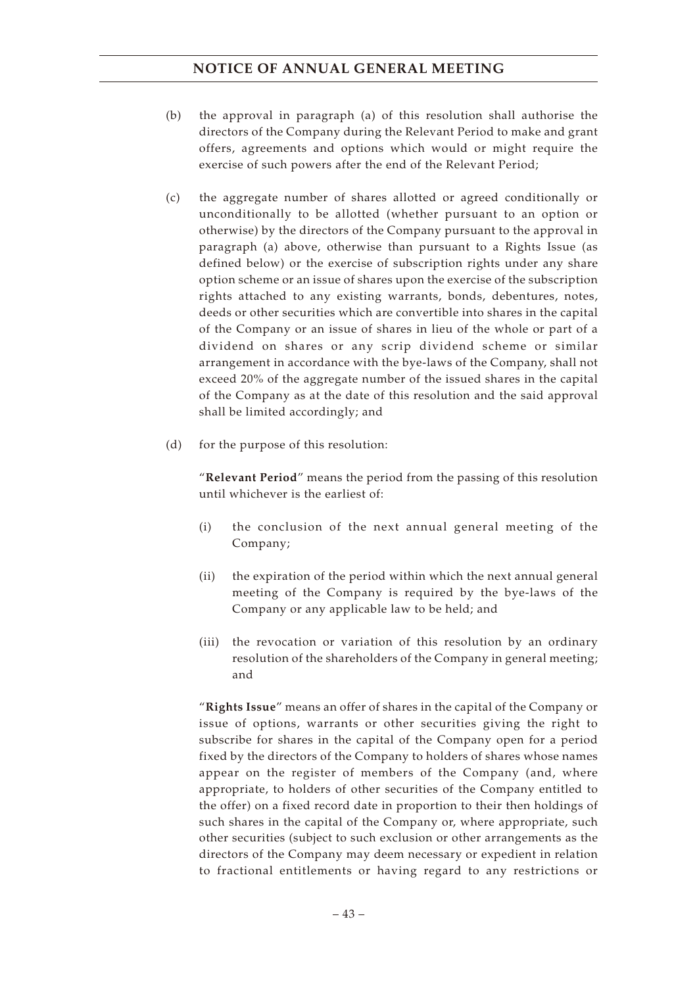- (b) the approval in paragraph (a) of this resolution shall authorise the directors of the Company during the Relevant Period to make and grant offers, agreements and options which would or might require the exercise of such powers after the end of the Relevant Period;
- (c) the aggregate number of shares allotted or agreed conditionally or unconditionally to be allotted (whether pursuant to an option or otherwise) by the directors of the Company pursuant to the approval in paragraph (a) above, otherwise than pursuant to a Rights Issue (as defined below) or the exercise of subscription rights under any share option scheme or an issue of shares upon the exercise of the subscription rights attached to any existing warrants, bonds, debentures, notes, deeds or other securities which are convertible into shares in the capital of the Company or an issue of shares in lieu of the whole or part of a dividend on shares or any scrip dividend scheme or similar arrangement in accordance with the bye-laws of the Company, shall not exceed 20% of the aggregate number of the issued shares in the capital of the Company as at the date of this resolution and the said approval shall be limited accordingly; and
- (d) for the purpose of this resolution:

"**Relevant Period**" means the period from the passing of this resolution until whichever is the earliest of:

- (i) the conclusion of the next annual general meeting of the Company;
- (ii) the expiration of the period within which the next annual general meeting of the Company is required by the bye-laws of the Company or any applicable law to be held; and
- (iii) the revocation or variation of this resolution by an ordinary resolution of the shareholders of the Company in general meeting; and

"**Rights Issue**" means an offer of shares in the capital of the Company or issue of options, warrants or other securities giving the right to subscribe for shares in the capital of the Company open for a period fixed by the directors of the Company to holders of shares whose names appear on the register of members of the Company (and, where appropriate, to holders of other securities of the Company entitled to the offer) on a fixed record date in proportion to their then holdings of such shares in the capital of the Company or, where appropriate, such other securities (subject to such exclusion or other arrangements as the directors of the Company may deem necessary or expedient in relation to fractional entitlements or having regard to any restrictions or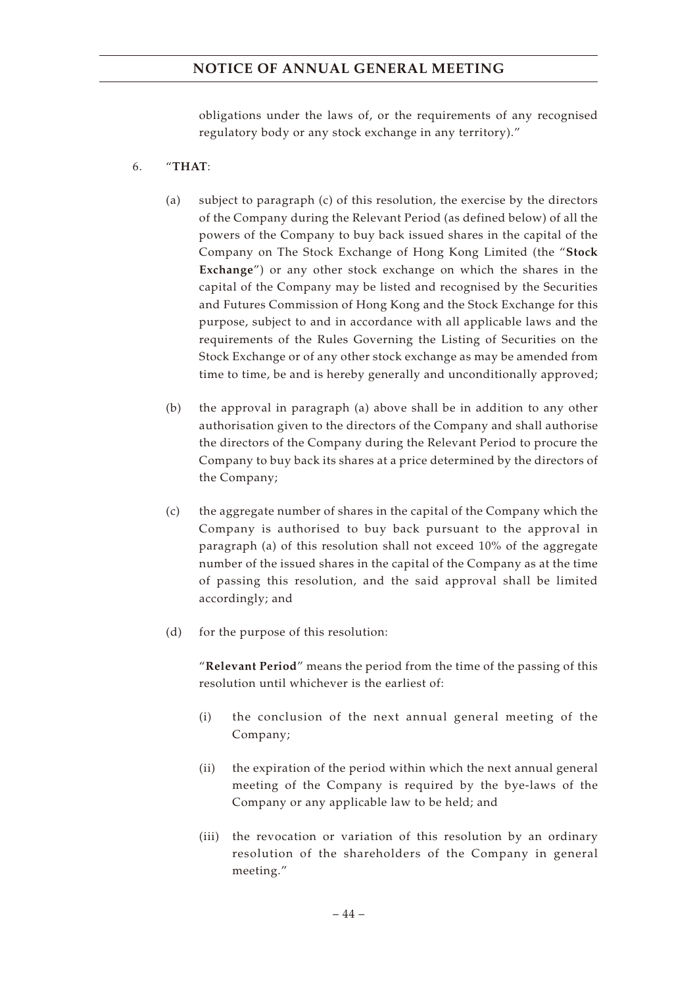obligations under the laws of, or the requirements of any recognised regulatory body or any stock exchange in any territory)."

## 6. "**THAT**:

- (a) subject to paragraph (c) of this resolution, the exercise by the directors of the Company during the Relevant Period (as defined below) of all the powers of the Company to buy back issued shares in the capital of the Company on The Stock Exchange of Hong Kong Limited (the "**Stock Exchange**") or any other stock exchange on which the shares in the capital of the Company may be listed and recognised by the Securities and Futures Commission of Hong Kong and the Stock Exchange for this purpose, subject to and in accordance with all applicable laws and the requirements of the Rules Governing the Listing of Securities on the Stock Exchange or of any other stock exchange as may be amended from time to time, be and is hereby generally and unconditionally approved;
- (b) the approval in paragraph (a) above shall be in addition to any other authorisation given to the directors of the Company and shall authorise the directors of the Company during the Relevant Period to procure the Company to buy back its shares at a price determined by the directors of the Company;
- (c) the aggregate number of shares in the capital of the Company which the Company is authorised to buy back pursuant to the approval in paragraph (a) of this resolution shall not exceed 10% of the aggregate number of the issued shares in the capital of the Company as at the time of passing this resolution, and the said approval shall be limited accordingly; and
- (d) for the purpose of this resolution:

"**Relevant Period**" means the period from the time of the passing of this resolution until whichever is the earliest of:

- (i) the conclusion of the next annual general meeting of the Company;
- (ii) the expiration of the period within which the next annual general meeting of the Company is required by the bye-laws of the Company or any applicable law to be held; and
- (iii) the revocation or variation of this resolution by an ordinary resolution of the shareholders of the Company in general meeting."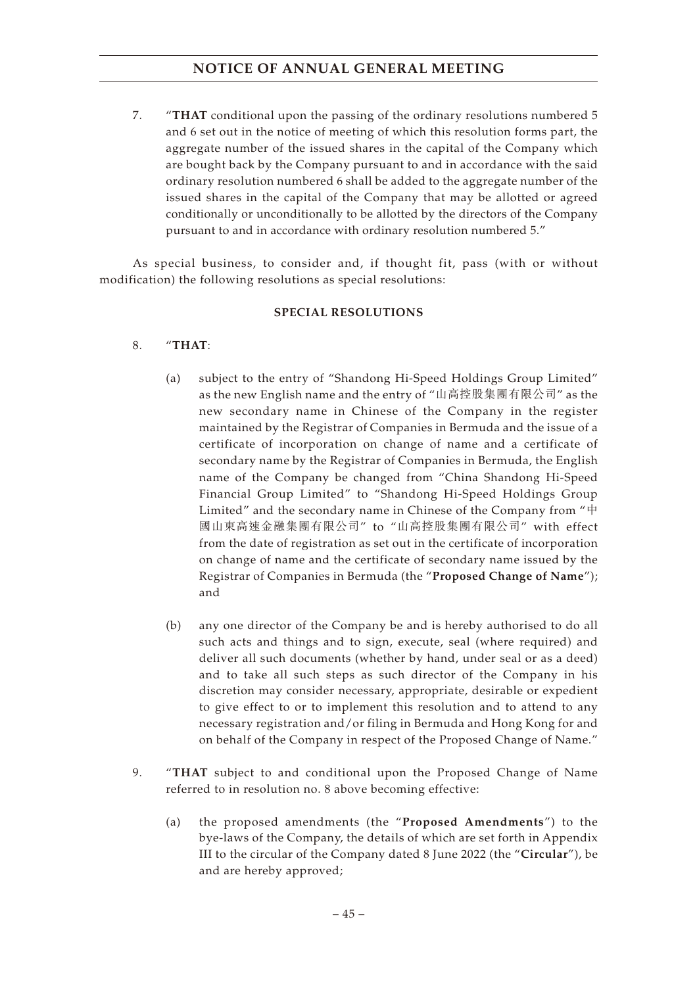7. "**THAT** conditional upon the passing of the ordinary resolutions numbered 5 and 6 set out in the notice of meeting of which this resolution forms part, the aggregate number of the issued shares in the capital of the Company which are bought back by the Company pursuant to and in accordance with the said ordinary resolution numbered 6 shall be added to the aggregate number of the issued shares in the capital of the Company that may be allotted or agreed conditionally or unconditionally to be allotted by the directors of the Company pursuant to and in accordance with ordinary resolution numbered 5."

As special business, to consider and, if thought fit, pass (with or without modification) the following resolutions as special resolutions:

## **SPECIAL RESOLUTIONS**

- 8. "**THAT**:
	- (a) subject to the entry of "Shandong Hi-Speed Holdings Group Limited" as the new English name and the entry of "山高控股集團有限公司" as the new secondary name in Chinese of the Company in the register maintained by the Registrar of Companies in Bermuda and the issue of a certificate of incorporation on change of name and a certificate of secondary name by the Registrar of Companies in Bermuda, the English name of the Company be changed from "China Shandong Hi-Speed Financial Group Limited" to "Shandong Hi-Speed Holdings Group Limited" and the secondary name in Chinese of the Company from "中 國山東高速金融集團有限公司" to "山高控股集團有限公司" with effect from the date of registration as set out in the certificate of incorporation on change of name and the certificate of secondary name issued by the Registrar of Companies in Bermuda (the "**Proposed Change of Name**"); and
	- (b) any one director of the Company be and is hereby authorised to do all such acts and things and to sign, execute, seal (where required) and deliver all such documents (whether by hand, under seal or as a deed) and to take all such steps as such director of the Company in his discretion may consider necessary, appropriate, desirable or expedient to give effect to or to implement this resolution and to attend to any necessary registration and/or filing in Bermuda and Hong Kong for and on behalf of the Company in respect of the Proposed Change of Name."
- 9. "**THAT** subject to and conditional upon the Proposed Change of Name referred to in resolution no. 8 above becoming effective:
	- (a) the proposed amendments (the "**Proposed Amendments**") to the bye-laws of the Company, the details of which are set forth in Appendix III to the circular of the Company dated 8 June 2022 (the "**Circular**"), be and are hereby approved;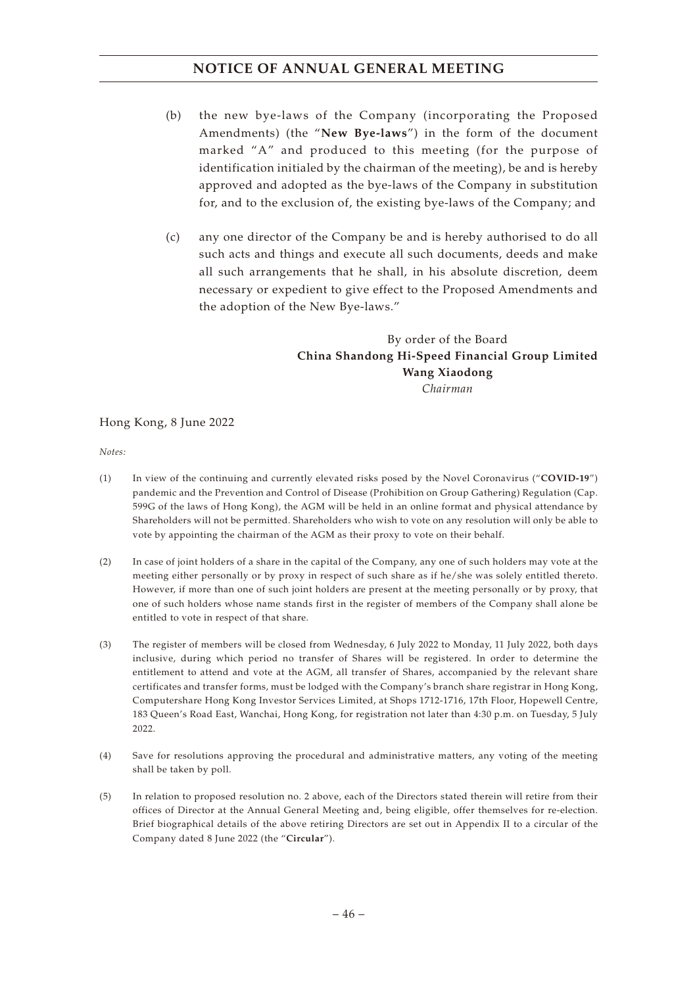- (b) the new bye-laws of the Company (incorporating the Proposed Amendments) (the "**New Bye-laws**") in the form of the document marked "A" and produced to this meeting (for the purpose of identification initialed by the chairman of the meeting), be and is hereby approved and adopted as the bye-laws of the Company in substitution for, and to the exclusion of, the existing bye-laws of the Company; and
- (c) any one director of the Company be and is hereby authorised to do all such acts and things and execute all such documents, deeds and make all such arrangements that he shall, in his absolute discretion, deem necessary or expedient to give effect to the Proposed Amendments and the adoption of the New Bye-laws."

## By order of the Board **China Shandong Hi-Speed Financial Group Limited Wang Xiaodong** *Chairman*

## Hong Kong, 8 June 2022

*Notes:*

- (1) In view of the continuing and currently elevated risks posed by the Novel Coronavirus ("**COVID-19**") pandemic and the Prevention and Control of Disease (Prohibition on Group Gathering) Regulation (Cap. 599G of the laws of Hong Kong), the AGM will be held in an online format and physical attendance by Shareholders will not be permitted. Shareholders who wish to vote on any resolution will only be able to vote by appointing the chairman of the AGM as their proxy to vote on their behalf.
- (2) In case of joint holders of a share in the capital of the Company, any one of such holders may vote at the meeting either personally or by proxy in respect of such share as if he/she was solely entitled thereto. However, if more than one of such joint holders are present at the meeting personally or by proxy, that one of such holders whose name stands first in the register of members of the Company shall alone be entitled to vote in respect of that share.
- (3) The register of members will be closed from Wednesday, 6 July 2022 to Monday, 11 July 2022, both days inclusive, during which period no transfer of Shares will be registered. In order to determine the entitlement to attend and vote at the AGM, all transfer of Shares, accompanied by the relevant share certificates and transfer forms, must be lodged with the Company's branch share registrar in Hong Kong, Computershare Hong Kong Investor Services Limited, at Shops 1712-1716, 17th Floor, Hopewell Centre, 183 Queen's Road East, Wanchai, Hong Kong, for registration not later than 4:30 p.m. on Tuesday, 5 July 2022.
- (4) Save for resolutions approving the procedural and administrative matters, any voting of the meeting shall be taken by poll.
- (5) In relation to proposed resolution no. 2 above, each of the Directors stated therein will retire from their offices of Director at the Annual General Meeting and, being eligible, offer themselves for re-election. Brief biographical details of the above retiring Directors are set out in Appendix II to a circular of the Company dated 8 June 2022 (the "**Circular**").